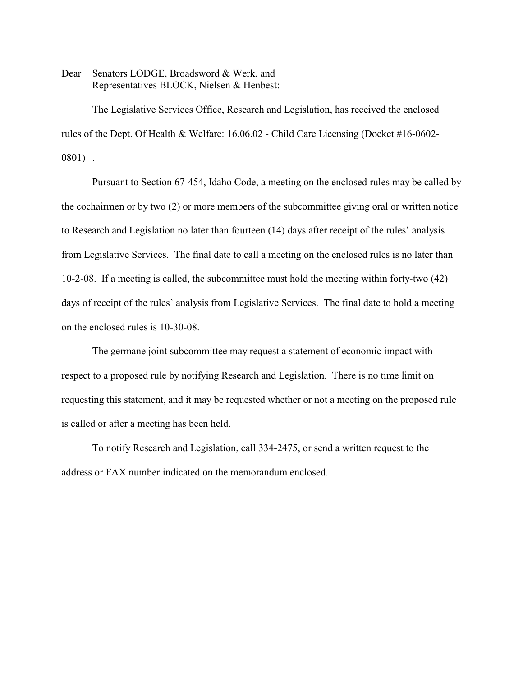Dear Senators LODGE, Broadsword & Werk, and Representatives BLOCK, Nielsen & Henbest:

The Legislative Services Office, Research and Legislation, has received the enclosed rules of the Dept. Of Health & Welfare: 16.06.02 - Child Care Licensing (Docket #16-0602- 0801) .

Pursuant to Section 67-454, Idaho Code, a meeting on the enclosed rules may be called by the cochairmen or by two (2) or more members of the subcommittee giving oral or written notice to Research and Legislation no later than fourteen (14) days after receipt of the rules' analysis from Legislative Services. The final date to call a meeting on the enclosed rules is no later than 10-2-08. If a meeting is called, the subcommittee must hold the meeting within forty-two (42) days of receipt of the rules' analysis from Legislative Services. The final date to hold a meeting on the enclosed rules is 10-30-08.

The germane joint subcommittee may request a statement of economic impact with respect to a proposed rule by notifying Research and Legislation. There is no time limit on requesting this statement, and it may be requested whether or not a meeting on the proposed rule is called or after a meeting has been held.

To notify Research and Legislation, call 334-2475, or send a written request to the address or FAX number indicated on the memorandum enclosed.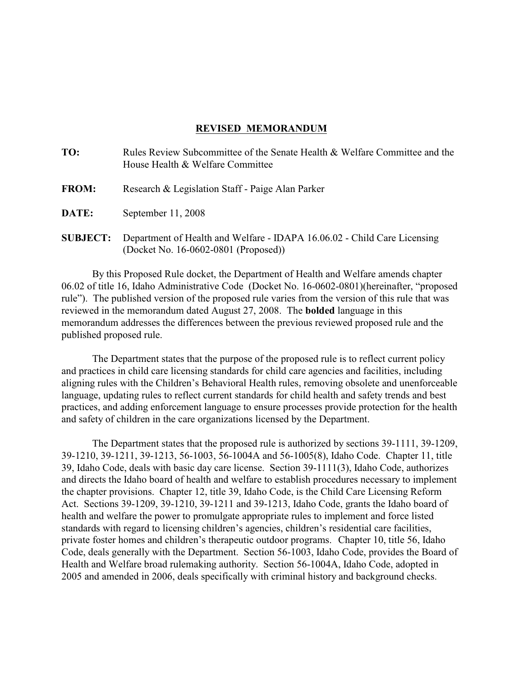### **REVISED MEMORANDUM**

| TO:             | Rules Review Subcommittee of the Senate Health & Welfare Committee and the<br>House Health & Welfare Committee |
|-----------------|----------------------------------------------------------------------------------------------------------------|
| <b>FROM:</b>    | Research & Legislation Staff - Paige Alan Parker                                                               |
| <b>DATE:</b>    | September 11, 2008                                                                                             |
| <b>SUBJECT:</b> | Department of Health and Welfare - IDAPA 16.06.02 - Child Care Licensing                                       |

(Docket No. 16-0602-0801 (Proposed))

By this Proposed Rule docket, the Department of Health and Welfare amends chapter 06.02 of title 16, Idaho Administrative Code (Docket No. 16-0602-0801)(hereinafter, "proposed rule"). The published version of the proposed rule varies from the version of this rule that was reviewed in the memorandum dated August 27, 2008. The **bolded** language in this memorandum addresses the differences between the previous reviewed proposed rule and the published proposed rule.

The Department states that the purpose of the proposed rule is to reflect current policy and practices in child care licensing standards for child care agencies and facilities, including aligning rules with the Children's Behavioral Health rules, removing obsolete and unenforceable language, updating rules to reflect current standards for child health and safety trends and best practices, and adding enforcement language to ensure processes provide protection for the health and safety of children in the care organizations licensed by the Department.

The Department states that the proposed rule is authorized by sections 39-1111, 39-1209, 39-1210, 39-1211, 39-1213, 56-1003, 56-1004A and 56-1005(8), Idaho Code. Chapter 11, title 39, Idaho Code, deals with basic day care license. Section 39-1111(3), Idaho Code, authorizes and directs the Idaho board of health and welfare to establish procedures necessary to implement the chapter provisions. Chapter 12, title 39, Idaho Code, is the Child Care Licensing Reform Act. Sections 39-1209, 39-1210, 39-1211 and 39-1213, Idaho Code, grants the Idaho board of health and welfare the power to promulgate appropriate rules to implement and force listed standards with regard to licensing children's agencies, children's residential care facilities, private foster homes and children's therapeutic outdoor programs. Chapter 10, title 56, Idaho Code, deals generally with the Department. Section 56-1003, Idaho Code, provides the Board of Health and Welfare broad rulemaking authority. Section 56-1004A, Idaho Code, adopted in 2005 and amended in 2006, deals specifically with criminal history and background checks.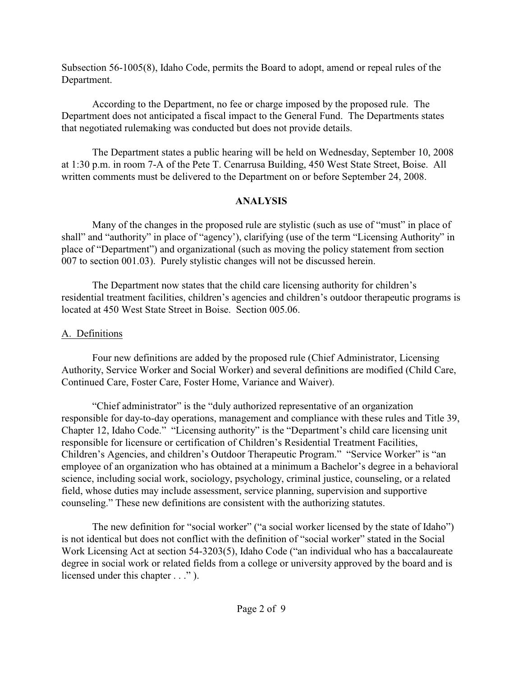Subsection 56-1005(8), Idaho Code, permits the Board to adopt, amend or repeal rules of the Department.

According to the Department, no fee or charge imposed by the proposed rule. The Department does not anticipated a fiscal impact to the General Fund. The Departments states that negotiated rulemaking was conducted but does not provide details.

The Department states a public hearing will be held on Wednesday, September 10, 2008 at 1:30 p.m. in room 7-A of the Pete T. Cenarrusa Building, 450 West State Street, Boise. All written comments must be delivered to the Department on or before September 24, 2008.

# **ANALYSIS**

Many of the changes in the proposed rule are stylistic (such as use of "must" in place of shall" and "authority" in place of "agency'), clarifying (use of the term "Licensing Authority" in place of "Department") and organizational (such as moving the policy statement from section 007 to section 001.03). Purely stylistic changes will not be discussed herein.

The Department now states that the child care licensing authority for children's residential treatment facilities, children's agencies and children's outdoor therapeutic programs is located at 450 West State Street in Boise. Section 005.06.

# A. Definitions

Four new definitions are added by the proposed rule (Chief Administrator, Licensing Authority, Service Worker and Social Worker) and several definitions are modified (Child Care, Continued Care, Foster Care, Foster Home, Variance and Waiver).

"Chief administrator" is the "duly authorized representative of an organization responsible for day-to-day operations, management and compliance with these rules and Title 39, Chapter 12, Idaho Code." "Licensing authority" is the "Department's child care licensing unit responsible for licensure or certification of Children's Residential Treatment Facilities, Children's Agencies, and children's Outdoor Therapeutic Program." "Service Worker" is "an employee of an organization who has obtained at a minimum a Bachelor's degree in a behavioral science, including social work, sociology, psychology, criminal justice, counseling, or a related field, whose duties may include assessment, service planning, supervision and supportive counseling." These new definitions are consistent with the authorizing statutes.

The new definition for "social worker" ("a social worker licensed by the state of Idaho") is not identical but does not conflict with the definition of "social worker" stated in the Social Work Licensing Act at section 54-3203(5), Idaho Code ("an individual who has a baccalaureate degree in social work or related fields from a college or university approved by the board and is licensed under this chapter  $\dots$ ").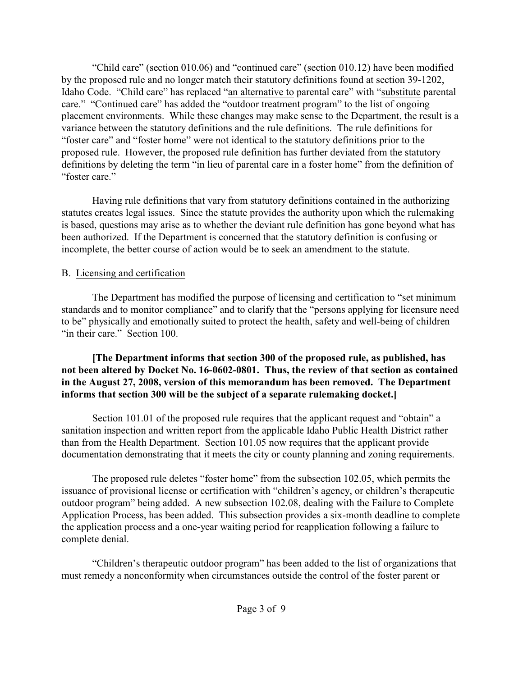"Child care" (section 010.06) and "continued care" (section 010.12) have been modified by the proposed rule and no longer match their statutory definitions found at section 39-1202, Idaho Code. "Child care" has replaced "an alternative to parental care" with "substitute parental care." "Continued care" has added the "outdoor treatment program" to the list of ongoing placement environments. While these changes may make sense to the Department, the result is a variance between the statutory definitions and the rule definitions. The rule definitions for "foster care" and "foster home" were not identical to the statutory definitions prior to the proposed rule. However, the proposed rule definition has further deviated from the statutory definitions by deleting the term "in lieu of parental care in a foster home" from the definition of "foster care."

Having rule definitions that vary from statutory definitions contained in the authorizing statutes creates legal issues. Since the statute provides the authority upon which the rulemaking is based, questions may arise as to whether the deviant rule definition has gone beyond what has been authorized. If the Department is concerned that the statutory definition is confusing or incomplete, the better course of action would be to seek an amendment to the statute.

# B. Licensing and certification

The Department has modified the purpose of licensing and certification to "set minimum standards and to monitor compliance" and to clarify that the "persons applying for licensure need to be" physically and emotionally suited to protect the health, safety and well-being of children "in their care." Section 100.

# **[The Department informs that section 300 of the proposed rule, as published, has not been altered by Docket No. 16-0602-0801. Thus, the review of that section as contained in the August 27, 2008, version of this memorandum has been removed. The Department informs that section 300 will be the subject of a separate rulemaking docket.]**

Section 101.01 of the proposed rule requires that the applicant request and "obtain" a sanitation inspection and written report from the applicable Idaho Public Health District rather than from the Health Department. Section 101.05 now requires that the applicant provide documentation demonstrating that it meets the city or county planning and zoning requirements.

The proposed rule deletes "foster home" from the subsection 102.05, which permits the issuance of provisional license or certification with "children's agency, or children's therapeutic outdoor program" being added. A new subsection 102.08, dealing with the Failure to Complete Application Process, has been added. This subsection provides a six-month deadline to complete the application process and a one-year waiting period for reapplication following a failure to complete denial.

"Children's therapeutic outdoor program" has been added to the list of organizations that must remedy a nonconformity when circumstances outside the control of the foster parent or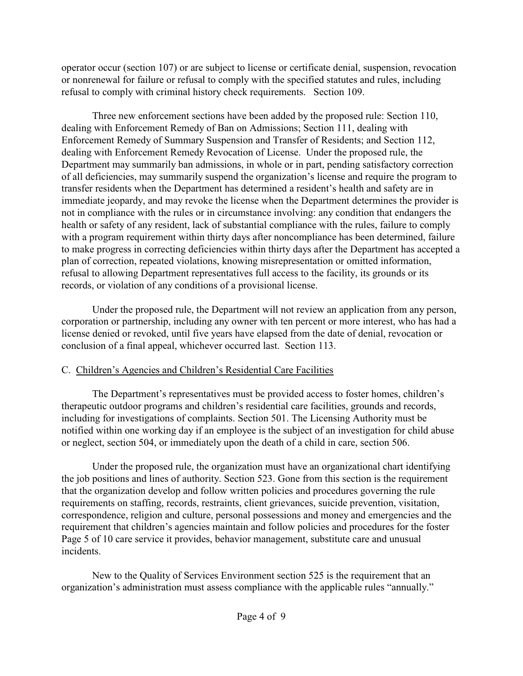operator occur (section 107) or are subject to license or certificate denial, suspension, revocation or nonrenewal for failure or refusal to comply with the specified statutes and rules, including refusal to comply with criminal history check requirements. Section 109.

Three new enforcement sections have been added by the proposed rule: Section 110, dealing with Enforcement Remedy of Ban on Admissions; Section 111, dealing with Enforcement Remedy of Summary Suspension and Transfer of Residents; and Section 112, dealing with Enforcement Remedy Revocation of License. Under the proposed rule, the Department may summarily ban admissions, in whole or in part, pending satisfactory correction of all deficiencies, may summarily suspend the organization's license and require the program to transfer residents when the Department has determined a resident's health and safety are in immediate jeopardy, and may revoke the license when the Department determines the provider is not in compliance with the rules or in circumstance involving: any condition that endangers the health or safety of any resident, lack of substantial compliance with the rules, failure to comply with a program requirement within thirty days after noncompliance has been determined, failure to make progress in correcting deficiencies within thirty days after the Department has accepted a plan of correction, repeated violations, knowing misrepresentation or omitted information, refusal to allowing Department representatives full access to the facility, its grounds or its records, or violation of any conditions of a provisional license.

Under the proposed rule, the Department will not review an application from any person, corporation or partnership, including any owner with ten percent or more interest, who has had a license denied or revoked, until five years have elapsed from the date of denial, revocation or conclusion of a final appeal, whichever occurred last. Section 113.

# C. Children's Agencies and Children's Residential Care Facilities

The Department's representatives must be provided access to foster homes, children's therapeutic outdoor programs and children's residential care facilities, grounds and records, including for investigations of complaints. Section 501. The Licensing Authority must be notified within one working day if an employee is the subject of an investigation for child abuse or neglect, section 504, or immediately upon the death of a child in care, section 506.

Under the proposed rule, the organization must have an organizational chart identifying the job positions and lines of authority. Section 523. Gone from this section is the requirement that the organization develop and follow written policies and procedures governing the rule requirements on staffing, records, restraints, client grievances, suicide prevention, visitation, correspondence, religion and culture, personal possessions and money and emergencies and the requirement that children's agencies maintain and follow policies and procedures for the foster Page 5 of 10 care service it provides, behavior management, substitute care and unusual incidents.

New to the Quality of Services Environment section 525 is the requirement that an organization's administration must assess compliance with the applicable rules "annually."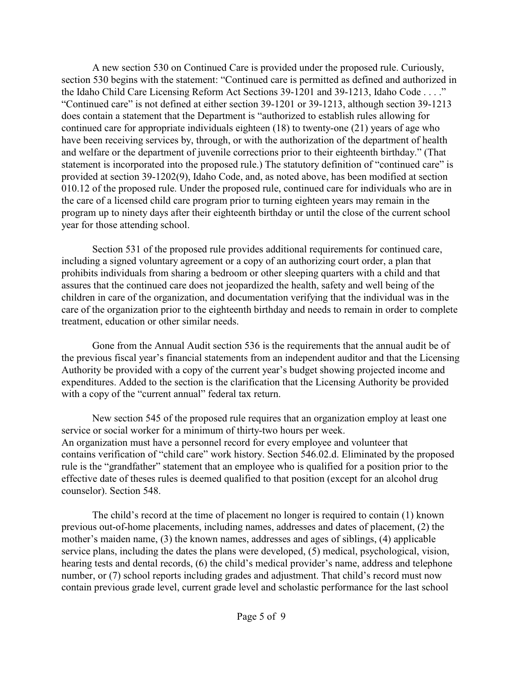A new section 530 on Continued Care is provided under the proposed rule. Curiously, section 530 begins with the statement: "Continued care is permitted as defined and authorized in the Idaho Child Care Licensing Reform Act Sections 39-1201 and 39-1213, Idaho Code . . . ." "Continued care" is not defined at either section 39-1201 or 39-1213, although section 39-1213 does contain a statement that the Department is "authorized to establish rules allowing for continued care for appropriate individuals eighteen (18) to twenty-one (21) years of age who have been receiving services by, through, or with the authorization of the department of health and welfare or the department of juvenile corrections prior to their eighteenth birthday." (That statement is incorporated into the proposed rule.) The statutory definition of "continued care" is provided at section 39-1202(9), Idaho Code, and, as noted above, has been modified at section 010.12 of the proposed rule. Under the proposed rule, continued care for individuals who are in the care of a licensed child care program prior to turning eighteen years may remain in the program up to ninety days after their eighteenth birthday or until the close of the current school year for those attending school.

Section 531 of the proposed rule provides additional requirements for continued care, including a signed voluntary agreement or a copy of an authorizing court order, a plan that prohibits individuals from sharing a bedroom or other sleeping quarters with a child and that assures that the continued care does not jeopardized the health, safety and well being of the children in care of the organization, and documentation verifying that the individual was in the care of the organization prior to the eighteenth birthday and needs to remain in order to complete treatment, education or other similar needs.

Gone from the Annual Audit section 536 is the requirements that the annual audit be of the previous fiscal year's financial statements from an independent auditor and that the Licensing Authority be provided with a copy of the current year's budget showing projected income and expenditures. Added to the section is the clarification that the Licensing Authority be provided with a copy of the "current annual" federal tax return.

New section 545 of the proposed rule requires that an organization employ at least one service or social worker for a minimum of thirty-two hours per week. An organization must have a personnel record for every employee and volunteer that contains verification of "child care" work history. Section 546.02.d. Eliminated by the proposed rule is the "grandfather" statement that an employee who is qualified for a position prior to the effective date of theses rules is deemed qualified to that position (except for an alcohol drug counselor). Section 548.

The child's record at the time of placement no longer is required to contain (1) known previous out-of-home placements, including names, addresses and dates of placement, (2) the mother's maiden name, (3) the known names, addresses and ages of siblings, (4) applicable service plans, including the dates the plans were developed, (5) medical, psychological, vision, hearing tests and dental records, (6) the child's medical provider's name, address and telephone number, or (7) school reports including grades and adjustment. That child's record must now contain previous grade level, current grade level and scholastic performance for the last school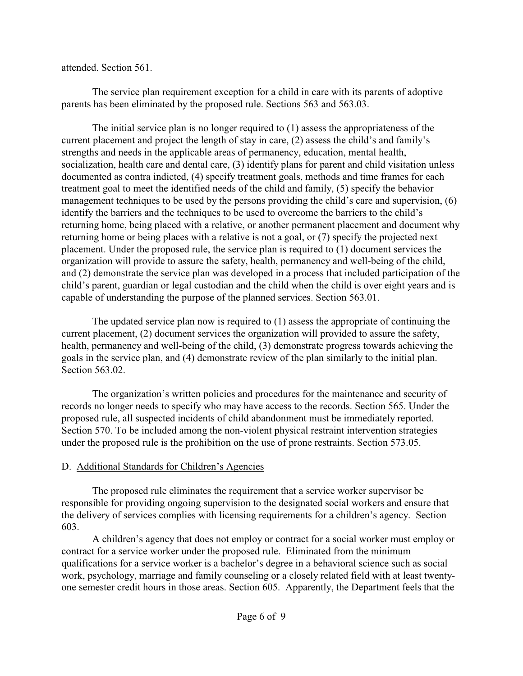attended. Section 561.

The service plan requirement exception for a child in care with its parents of adoptive parents has been eliminated by the proposed rule. Sections 563 and 563.03.

The initial service plan is no longer required to (1) assess the appropriateness of the current placement and project the length of stay in care, (2) assess the child's and family's strengths and needs in the applicable areas of permanency, education, mental health, socialization, health care and dental care, (3) identify plans for parent and child visitation unless documented as contra indicted, (4) specify treatment goals, methods and time frames for each treatment goal to meet the identified needs of the child and family, (5) specify the behavior management techniques to be used by the persons providing the child's care and supervision, (6) identify the barriers and the techniques to be used to overcome the barriers to the child's returning home, being placed with a relative, or another permanent placement and document why returning home or being places with a relative is not a goal, or (7) specify the projected next placement. Under the proposed rule, the service plan is required to (1) document services the organization will provide to assure the safety, health, permanency and well-being of the child, and (2) demonstrate the service plan was developed in a process that included participation of the child's parent, guardian or legal custodian and the child when the child is over eight years and is capable of understanding the purpose of the planned services. Section 563.01.

The updated service plan now is required to (1) assess the appropriate of continuing the current placement, (2) document services the organization will provided to assure the safety, health, permanency and well-being of the child, (3) demonstrate progress towards achieving the goals in the service plan, and (4) demonstrate review of the plan similarly to the initial plan. Section 563.02.

The organization's written policies and procedures for the maintenance and security of records no longer needs to specify who may have access to the records. Section 565. Under the proposed rule, all suspected incidents of child abandonment must be immediately reported. Section 570. To be included among the non-violent physical restraint intervention strategies under the proposed rule is the prohibition on the use of prone restraints. Section 573.05.

# D. Additional Standards for Children's Agencies

The proposed rule eliminates the requirement that a service worker supervisor be responsible for providing ongoing supervision to the designated social workers and ensure that the delivery of services complies with licensing requirements for a children's agency. Section 603.

A children's agency that does not employ or contract for a social worker must employ or contract for a service worker under the proposed rule. Eliminated from the minimum qualifications for a service worker is a bachelor's degree in a behavioral science such as social work, psychology, marriage and family counseling or a closely related field with at least twentyone semester credit hours in those areas. Section 605. Apparently, the Department feels that the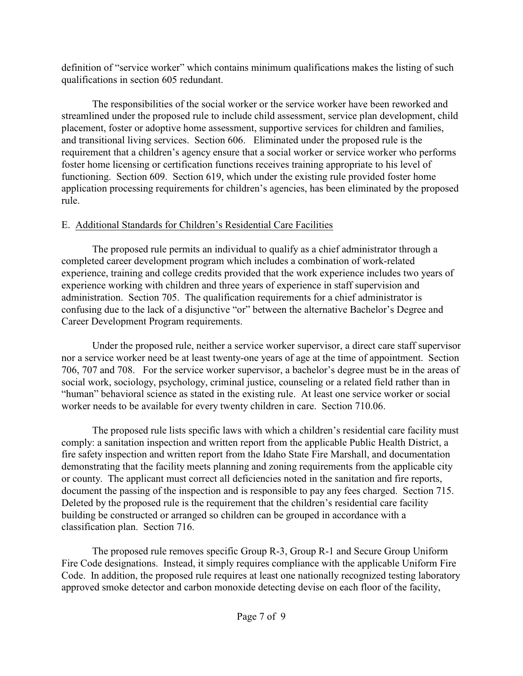definition of "service worker" which contains minimum qualifications makes the listing of such qualifications in section 605 redundant.

The responsibilities of the social worker or the service worker have been reworked and streamlined under the proposed rule to include child assessment, service plan development, child placement, foster or adoptive home assessment, supportive services for children and families, and transitional living services. Section 606. Eliminated under the proposed rule is the requirement that a children's agency ensure that a social worker or service worker who performs foster home licensing or certification functions receives training appropriate to his level of functioning. Section 609. Section 619, which under the existing rule provided foster home application processing requirements for children's agencies, has been eliminated by the proposed rule.

# E. Additional Standards for Children's Residential Care Facilities

The proposed rule permits an individual to qualify as a chief administrator through a completed career development program which includes a combination of work-related experience, training and college credits provided that the work experience includes two years of experience working with children and three years of experience in staff supervision and administration. Section 705. The qualification requirements for a chief administrator is confusing due to the lack of a disjunctive "or" between the alternative Bachelor's Degree and Career Development Program requirements.

Under the proposed rule, neither a service worker supervisor, a direct care staff supervisor nor a service worker need be at least twenty-one years of age at the time of appointment. Section 706, 707 and 708. For the service worker supervisor, a bachelor's degree must be in the areas of social work, sociology, psychology, criminal justice, counseling or a related field rather than in "human" behavioral science as stated in the existing rule. At least one service worker or social worker needs to be available for every twenty children in care. Section 710.06.

The proposed rule lists specific laws with which a children's residential care facility must comply: a sanitation inspection and written report from the applicable Public Health District, a fire safety inspection and written report from the Idaho State Fire Marshall, and documentation demonstrating that the facility meets planning and zoning requirements from the applicable city or county. The applicant must correct all deficiencies noted in the sanitation and fire reports, document the passing of the inspection and is responsible to pay any fees charged. Section 715. Deleted by the proposed rule is the requirement that the children's residential care facility building be constructed or arranged so children can be grouped in accordance with a classification plan. Section 716.

The proposed rule removes specific Group R-3, Group R-1 and Secure Group Uniform Fire Code designations. Instead, it simply requires compliance with the applicable Uniform Fire Code. In addition, the proposed rule requires at least one nationally recognized testing laboratory approved smoke detector and carbon monoxide detecting devise on each floor of the facility,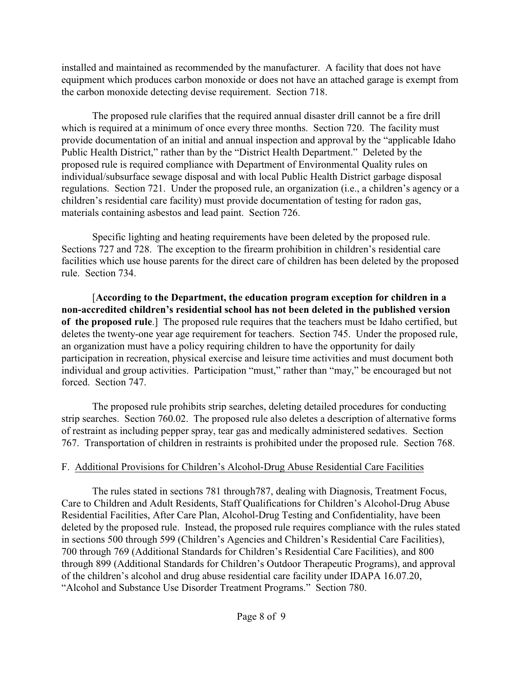installed and maintained as recommended by the manufacturer. A facility that does not have equipment which produces carbon monoxide or does not have an attached garage is exempt from the carbon monoxide detecting devise requirement. Section 718.

The proposed rule clarifies that the required annual disaster drill cannot be a fire drill which is required at a minimum of once every three months. Section 720. The facility must provide documentation of an initial and annual inspection and approval by the "applicable Idaho Public Health District," rather than by the "District Health Department." Deleted by the proposed rule is required compliance with Department of Environmental Quality rules on individual/subsurface sewage disposal and with local Public Health District garbage disposal regulations. Section 721. Under the proposed rule, an organization (i.e., a children's agency or a children's residential care facility) must provide documentation of testing for radon gas, materials containing asbestos and lead paint. Section 726.

Specific lighting and heating requirements have been deleted by the proposed rule. Sections 727 and 728. The exception to the firearm prohibition in children's residential care facilities which use house parents for the direct care of children has been deleted by the proposed rule. Section 734.

[**According to the Department, the education program exception for children in a non-accredited children's residential school has not been deleted in the published version of the proposed rule**.] The proposed rule requires that the teachers must be Idaho certified, but deletes the twenty-one year age requirement for teachers. Section 745. Under the proposed rule, an organization must have a policy requiring children to have the opportunity for daily participation in recreation, physical exercise and leisure time activities and must document both individual and group activities. Participation "must," rather than "may," be encouraged but not forced. Section 747.

The proposed rule prohibits strip searches, deleting detailed procedures for conducting strip searches. Section 760.02. The proposed rule also deletes a description of alternative forms of restraint as including pepper spray, tear gas and medically administered sedatives. Section 767. Transportation of children in restraints is prohibited under the proposed rule. Section 768.

# F. Additional Provisions for Children's Alcohol-Drug Abuse Residential Care Facilities

The rules stated in sections 781 through787, dealing with Diagnosis, Treatment Focus, Care to Children and Adult Residents, Staff Qualifications for Children's Alcohol-Drug Abuse Residential Facilities, After Care Plan, Alcohol-Drug Testing and Confidentiality, have been deleted by the proposed rule. Instead, the proposed rule requires compliance with the rules stated in sections 500 through 599 (Children's Agencies and Children's Residential Care Facilities), 700 through 769 (Additional Standards for Children's Residential Care Facilities), and 800 through 899 (Additional Standards for Children's Outdoor Therapeutic Programs), and approval of the children's alcohol and drug abuse residential care facility under IDAPA 16.07.20, "Alcohol and Substance Use Disorder Treatment Programs." Section 780.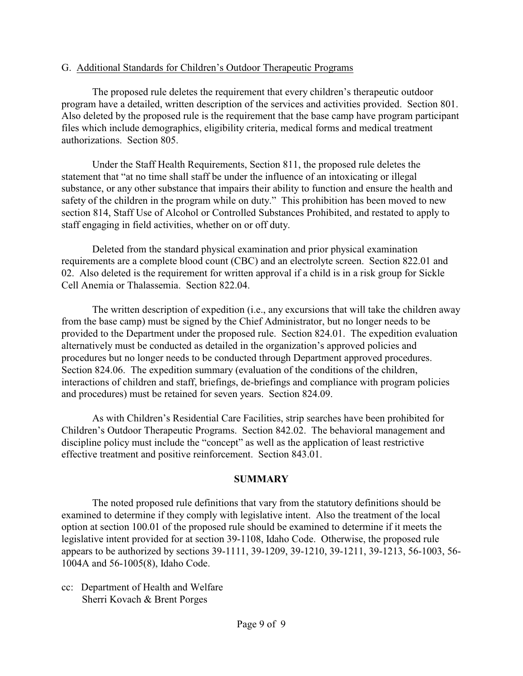## G. Additional Standards for Children's Outdoor Therapeutic Programs

The proposed rule deletes the requirement that every children's therapeutic outdoor program have a detailed, written description of the services and activities provided. Section 801. Also deleted by the proposed rule is the requirement that the base camp have program participant files which include demographics, eligibility criteria, medical forms and medical treatment authorizations. Section 805.

Under the Staff Health Requirements, Section 811, the proposed rule deletes the statement that "at no time shall staff be under the influence of an intoxicating or illegal substance, or any other substance that impairs their ability to function and ensure the health and safety of the children in the program while on duty." This prohibition has been moved to new section 814, Staff Use of Alcohol or Controlled Substances Prohibited, and restated to apply to staff engaging in field activities, whether on or off duty.

Deleted from the standard physical examination and prior physical examination requirements are a complete blood count (CBC) and an electrolyte screen. Section 822.01 and 02. Also deleted is the requirement for written approval if a child is in a risk group for Sickle Cell Anemia or Thalassemia. Section 822.04.

The written description of expedition (i.e., any excursions that will take the children away from the base camp) must be signed by the Chief Administrator, but no longer needs to be provided to the Department under the proposed rule. Section 824.01. The expedition evaluation alternatively must be conducted as detailed in the organization's approved policies and procedures but no longer needs to be conducted through Department approved procedures. Section 824.06. The expedition summary (evaluation of the conditions of the children, interactions of children and staff, briefings, de-briefings and compliance with program policies and procedures) must be retained for seven years. Section 824.09.

As with Children's Residential Care Facilities, strip searches have been prohibited for Children's Outdoor Therapeutic Programs. Section 842.02. The behavioral management and discipline policy must include the "concept" as well as the application of least restrictive effective treatment and positive reinforcement. Section 843.01.

## **SUMMARY**

The noted proposed rule definitions that vary from the statutory definitions should be examined to determine if they comply with legislative intent. Also the treatment of the local option at section 100.01 of the proposed rule should be examined to determine if it meets the legislative intent provided for at section 39-1108, Idaho Code. Otherwise, the proposed rule appears to be authorized by sections 39-1111, 39-1209, 39-1210, 39-1211, 39-1213, 56-1003, 56- 1004A and 56-1005(8), Idaho Code.

cc: Department of Health and Welfare Sherri Kovach & Brent Porges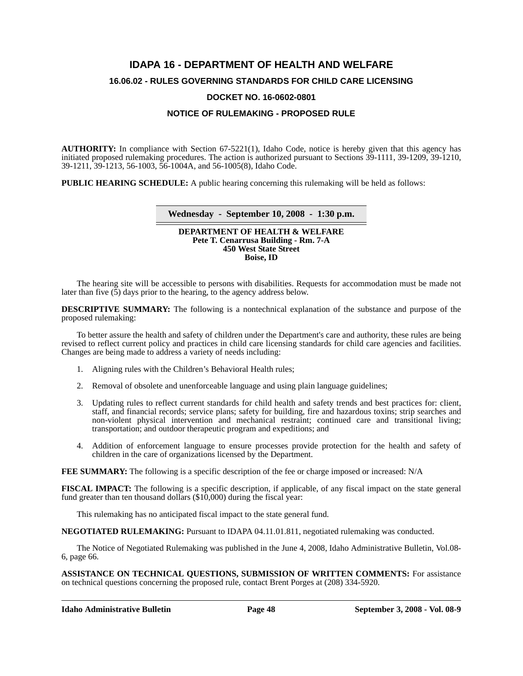# **IDAPA 16 - DEPARTMENT OF HEALTH AND WELFARE 16.06.02 - RULES GOVERNING STANDARDS FOR CHILD CARE LICENSING**

#### **DOCKET NO. 16-0602-0801**

### **NOTICE OF RULEMAKING - PROPOSED RULE**

**AUTHORITY:** In compliance with Section 67-5221(1), Idaho Code, notice is hereby given that this agency has initiated proposed rulemaking procedures. The action is authorized pursuant to Sections 39-1111, 39-1209, 39-1210, 39-1211, 39-1213, 56-1003, 56-1004A, and 56-1005(8), Idaho Code.

**PUBLIC HEARING SCHEDULE:** A public hearing concerning this rulemaking will be held as follows:

#### **Wednesday - September 10, 2008 - 1:30 p.m.**

#### **DEPARTMENT OF HEALTH & WELFARE Pete T. Cenarrusa Building - Rm. 7-A 450 West State Street Boise, ID**

The hearing site will be accessible to persons with disabilities. Requests for accommodation must be made not later than five  $(5)$  days prior to the hearing, to the agency address below.

**DESCRIPTIVE SUMMARY:** The following is a nontechnical explanation of the substance and purpose of the proposed rulemaking:

To better assure the health and safety of children under the Department's care and authority, these rules are being revised to reflect current policy and practices in child care licensing standards for child care agencies and facilities. Changes are being made to address a variety of needs including:

- 1. Aligning rules with the Children's Behavioral Health rules;
- 2. Removal of obsolete and unenforceable language and using plain language guidelines;
- 3. Updating rules to reflect current standards for child health and safety trends and best practices for: client, staff, and financial records; service plans; safety for building, fire and hazardous toxins; strip searches and non-violent physical intervention and mechanical restraint; continued care and transitional living; transportation; and outdoor therapeutic program and expeditions; and
- 4. Addition of enforcement language to ensure processes provide protection for the health and safety of children in the care of organizations licensed by the Department.

**FEE SUMMARY:** The following is a specific description of the fee or charge imposed or increased: N/A

**FISCAL IMPACT:** The following is a specific description, if applicable, of any fiscal impact on the state general fund greater than ten thousand dollars (\$10,000) during the fiscal year:

This rulemaking has no anticipated fiscal impact to the state general fund.

**NEGOTIATED RULEMAKING:** Pursuant to IDAPA 04.11.01.811, negotiated rulemaking was conducted.

[The Notice of Negotiated Rulemaking was published in the June 4, 2008, Idaho Administrative Bulletin, Vol.08-](http://adm.idaho.gov/adminrules/bulletin/bul/08jun.pdf#P.66) 6, page 66.

**ASSISTANCE ON TECHNICAL QUESTIONS, SUBMISSION OF WRITTEN COMMENTS:** For assistance on technical questions concerning the proposed rule, contact Brent Porges at (208) 334-5920.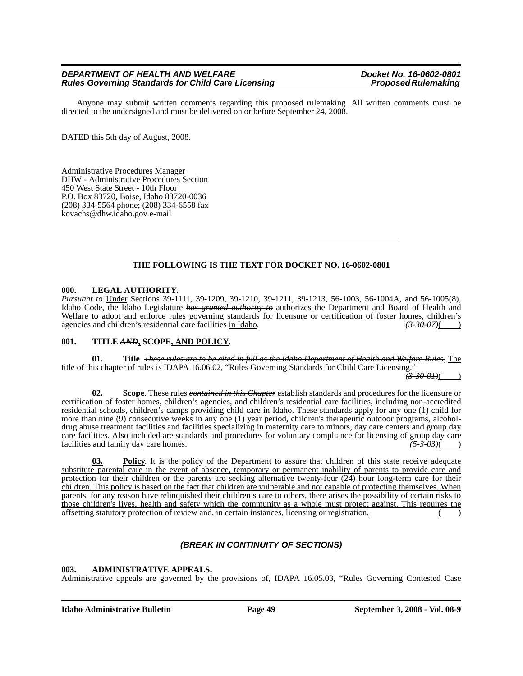Anyone may submit written comments regarding this proposed rulemaking. All written comments must be directed to the undersigned and must be delivered on or before September 24, 2008.

DATED this 5th day of August, 2008.

Administrative Procedures Manager DHW - Administrative Procedures Section 450 West State Street - 10th Floor P.O. Box 83720, Boise, Idaho 83720-0036 (208) 334-5564 phone; (208) 334-6558 fax kovachs@dhw.idaho.gov e-mail

#### **THE FOLLOWING IS THE TEXT FOR DOCKET NO. 16-0602-0801**

#### **000. LEGAL AUTHORITY.**

*Pursuant to* Under Sections 39-1111, 39-1209, 39-1210, 39-1211, 39-1213, 56-1003, 56-1004A, and 56-1005(8), Idaho Code, the Idaho Legislature *has granted authority to* authorizes the Department and Board of Health and Welfare to adopt and enforce rules governing standards for licensure or certification of foster homes, children's agencies and children's residential care facilities in Idaho. *(3-30-07)*( )

#### **001. TITLE** *AND***, SCOPE, AND POLICY.**

**01. Title**. *These rules are to be cited in full as the Idaho Department of Health and Welfare Rules,* The title of this chapter of rules is IDAPA 16.06.02, "Rules Governing Standards for Child Care Licensing."

*(3-30-01)*( )

**02. Scope**. These rules *contained in this Chapter* establish standards and procedures for the licensure or certification of foster homes, children's agencies, and children's residential care facilities, including non-accredited residential schools, children's camps providing child care in Idaho. These standards apply for any one (1) child for more than nine (9) consecutive weeks in any one (1) year period, children's therapeutic outdoor programs, alcoholdrug abuse treatment facilities and facilities specializing in maternity care to minors, day care centers and group day care facilities. Also included are standards and procedures for voluntary compliance for licensing of group day care facilities and family day care homes. facilities and family day care homes.

**03. Policy**. It is the policy of the Department to assure that children of this state receive adequate substitute parental care in the event of absence, temporary or permanent inability of parents to provide care and protection for their children or the parents are seeking alternative twenty-four (24) hour long-term care for their children. This policy is based on the fact that children are vulnerable and not capable of protecting themselves. When parents, for any reason have relinquished their children's care to others, there arises the possibility of certain risks to those children's lives, health and safety which the community as a whole must protect against. This requires the offsetting statutory protection of review and, in certain instances, licensing or registration. ( )

### *(BREAK IN CONTINUITY OF SECTIONS)*

#### **003. ADMINISTRATIVE APPEALS.**

Administrative appeals are governed by the provisions of*,* IDAPA 16.05.03, "Rules Governing Contested Case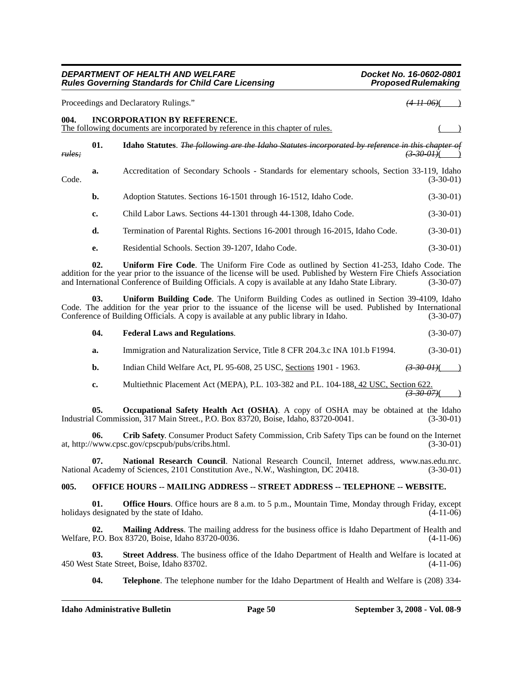Proceedings and Declaratory Rulings." *(4-11-06)* 

**004. INCORPORATION BY REFERENCE.**

|        |     | The following documents are incorporated by reference in this chapter of rules.                          |                        |
|--------|-----|----------------------------------------------------------------------------------------------------------|------------------------|
| rules: | 01. | Idaho Statutes. <i>The following are the Idaho Statutes incorporated by reference in this chapter of</i> | <del>(3-30-01)</del> ( |
| Code.  | a.  | Accreditation of Secondary Schools - Standards for elementary schools, Section 33-119, Idaho             | $(3-30-01)$            |
|        | b.  | Adoption Statutes. Sections 16-1501 through 16-1512, Idaho Code.                                         | $(3-30-01)$            |
|        | c.  | Child Labor Laws. Sections 44-1301 through 44-1308, Idaho Code.                                          | $(3-30-01)$            |
|        | d.  | Termination of Parental Rights. Sections 16-2001 through 16-2015, Idaho Code.                            | $(3-30-01)$            |
|        | e.  | Residential Schools. Section 39-1207, Idaho Code.                                                        | $(3-30-01)$            |
|        |     |                                                                                                          |                        |

**02. Uniform Fire Code**. The Uniform Fire Code as outlined by Section 41-253, Idaho Code. The addition for the year prior to the issuance of the license will be used. Published by Western Fire Chiefs Association and International Conference of Building Officials. A copy is available at any Idaho State Library. (3-3 and International Conference of Building Officials. A copy is available at any Idaho State Library.

**03. Uniform Building Code**. The Uniform Building Codes as outlined in Section 39-4109, Idaho Code. The addition for the year prior to the issuance of the license will be used. Published by International Conference of Building Officials. A copy is available at any public library in Idaho. (3-30-07) Conference of Building Officials. A copy is available at any public library in Idaho.

| 04. | <b>Federal Laws and Regulations.</b>                                         | $(3-30-07)$ |
|-----|------------------------------------------------------------------------------|-------------|
| а.  | Immigration and Naturalization Service, Title 8 CFR 204.3.c INA 101.b F1994. | $(3-30-01)$ |
|     |                                                                              |             |

- **b.** Indian Child Welfare Act, PL 95-608, 25 USC, Sections 1901 1963. *(3-30-01)*(
- **c.** Multiethnic Placement Act (MEPA), P.L. 103-382 and P.L. 104-188, 42 USC, Section 622. *(3-30-07)*( )

**05. Occupational Safety Health Act (OSHA)**. A copy of OSHA may be obtained at the Idaho Industrial Commission, 317 Main Street., P.O. Box 83720, Boise, Idaho, 83720-0041. (3-30-01)

**06. Crib Safety**. Consumer Product Safety Commission, Crib Safety Tips can be found on the Internet at, http://www.cpsc.gov/cpscpub/pubs/cribs.html. (3-30-01)

**07.** National Research Council. National Research Council, Internet address, www.nas.edu.nrc. Academy of Sciences, 2101 Constitution Ave., N.W., Washington, DC 20418. (3-30-01) National Academy of Sciences, 2101 Constitution Ave., N.W., Washington, DC 20418.

## **005. OFFICE HOURS -- MAILING ADDRESS -- STREET ADDRESS -- TELEPHONE -- WEBSITE.**

**01. Office Hours**. Office hours are 8 a.m. to 5 p.m., Mountain Time, Monday through Friday, except designated by the state of Idaho. (4-11-06) holidays designated by the state of Idaho.

**02. Mailing Address**. The mailing address for the business office is Idaho Department of Health and Welfare, P.O. Box 83720, Boise, Idaho 83720-0036. (4-11-06)

**03.** Street Address. The business office of the Idaho Department of Health and Welfare is located at t State Street, Boise, Idaho 83702. (4-11-06) 450 West State Street, Boise, Idaho 83702.

**04. Telephone**. The telephone number for the Idaho Department of Health and Welfare is (208) 334-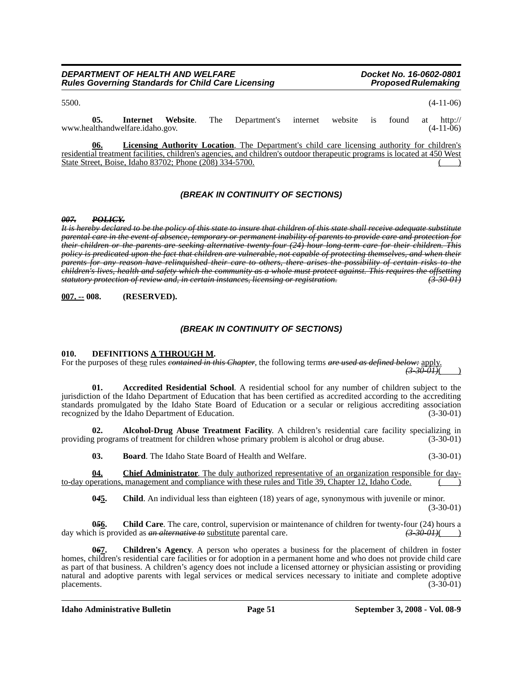| DEPARTMENT OF HEALTH AND WELFARE                          |  |
|-----------------------------------------------------------|--|
| <b>Rules Governing Standards for Child Care Licensing</b> |  |

| 5500. |     |                                 |  |                                                               |  |                  | $(4-11-06)$ |
|-------|-----|---------------------------------|--|---------------------------------------------------------------|--|------------------|-------------|
|       | 05. | www.healthandwelfare.idaho.gov. |  | <b>Internet</b> Website. The Department's internet website is |  | found at http:// | $(4-11-06)$ |
|       |     |                                 |  |                                                               |  |                  |             |

**06. Licensing Authority Location**. The Department's child care licensing authority for children's residential treatment facilities, children's agencies, and children's outdoor therapeutic programs is located at 450 West State Street, Boise, Idaho 83702; Phone (208) 334-5700.

### *(BREAK IN CONTINUITY OF SECTIONS)*

#### *007. POLICY.*

*It is hereby declared to be the policy of this state to insure that children of this state shall receive adequate substitute parental care in the event of absence, temporary or permanent inability of parents to provide care and protection for their children or the parents are seeking alternative twenty-four (24) hour long-term care for their children. This policy is predicated upon the fact that children are vulnerable, not capable of protecting themselves, and when their parents for any reason have relinquished their care to others, there arises the possibility of certain risks to the children's lives, health and safety which the community as a whole must protect against. This requires the offsetting statutory protection of review and, in certain instances, licensing or registration. (3-30-01)*

**007. -- 008. (RESERVED).**

#### *(BREAK IN CONTINUITY OF SECTIONS)*

#### **010. DEFINITIONS A THROUGH M.**

For the purposes of these rules *contained in this Chapter*, the following terms *are used as defined below:* apply.  $(3-30-01)$ 

**01. Accredited Residential School**. A residential school for any number of children subject to the jurisdiction of the Idaho Department of Education that has been certified as accredited according to the accrediting standards promulgated by the Idaho State Board of Education or a secular or religious accrediting association recognized by the Idaho Department of Education. (3-30-01)

**02. Alcohol-Drug Abuse Treatment Facility**. A children's residential care facility specializing in providing programs of treatment for children whose primary problem is alcohol or drug abuse. (3-30-01)

**03. Board**. The Idaho State Board of Health and Welfare. (3-30-01)

**04. Chief Administrator**. The duly authorized representative of an organization responsible for dayto-day operations, management and compliance with these rules and Title 39, Chapter 12, Idaho Code.

**0***4***5. Child**. An individual less than eighteen (18) years of age, synonymous with juvenile or minor. (3-30-01)

**05<u>6</u>.** Child Care. The care, control, supervision or maintenance of children for twenty-four (24) hours a day which is provided as *an alternative to* substitute parental care. *(3-30-01)*( )

**0***6***7. Children's Agency**. A person who operates a business for the placement of children in foster homes, children's residential care facilities or for adoption in a permanent home and who does not provide child care as part of that business. A children's agency does not include a licensed attorney or physician assisting or providing natural and adoptive parents with legal services or medical services necessary to initiate and complete adoptive placements.  $(3-30-01)$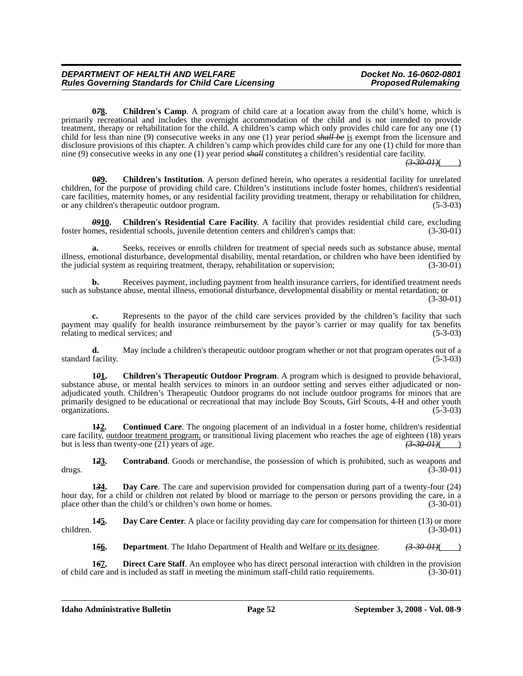**0***7***8. Children's Camp**. A program of child care at a location away from the child's home, which is primarily recreational and includes the overnight accommodation of the child and is not intended to provide treatment, therapy or rehabilitation for the child. A children's camp which only provides child care for any one (1) child for less than nine (9) consecutive weeks in any one (1) year period *shall be* is exempt from the licensure and disclosure provisions of this chapter. A children's camp which provides child care for any one (1) child for more than nine (9) consecutive weeks in any one (1) year period *shall* constitutes a children's residential care facility.

*(3-30-01)*( )

**0***8***9. Children's Institution**. A person defined herein, who operates a residential facility for unrelated children, for the purpose of providing child care. Children's institutions include foster homes, children's residential care facilities, maternity homes, or any residential facility providing treatment, therapy or rehabilitation for children, or any children's therapeutic outdoor program. or any children's therapeutic outdoor program.

**0910.** Children's Residential Care Facility. A facility that provides residential child care, excluding mes, residential schools, juvenile detention centers and children's camps that: (3-30-01) foster homes, residential schools, juvenile detention centers and children's camps that:

**a.** Seeks, receives or enrolls children for treatment of special needs such as substance abuse, mental illness, emotional disturbance, developmental disability, mental retardation, or children who have been identified by the judicial system as requiring treatment, therapy, rehabilitation or supervision; (3-30-01)

**b.** Receives payment, including payment from health insurance carriers, for identified treatment needs such as substance abuse, mental illness, emotional disturbance, developmental disability or mental retardation; or

**c.** Represents to the payor of the child care services provided by the children's facility that such payment may qualify for health insurance reimbursement by the payor's carrier or may qualify for tax benefits relating to medical services: and (5-3-03) relating to medical services; and

**d.** May include a children's therapeutic outdoor program whether or not that program operates out of a facility. (5-3-03) standard facility.

**1***0***1. Children's Therapeutic Outdoor Program**. A program which is designed to provide behavioral, substance abuse, or mental health services to minors in an outdoor setting and serves either adjudicated or nonadjudicated youth. Children's Therapeutic Outdoor programs do not include outdoor programs for minors that are primarily designed to be educational or recreational that may include Boy Scouts, Girl Scouts, 4-H and other youth organizations. organizations.

**1***1***2. Continued Care**. The ongoing placement of an individual in a foster home, children's residential care facility, <u>outdoor treatment program</u>, or transitional living placement who reaches the age of eighteen (18) years but is less than twenty-one (21) years of age. but is less than twenty-one (21) years of age.

**12<u>3</u>. Contraband**. Goods or merchandise, the possession of which is prohibited, such as weapons and (3-30-01) drugs. (3-30-01)

**1***3***4. Day Care**. The care and supervision provided for compensation during part of a twenty-four (24) hour day, for a child or children not related by blood or marriage to the person or persons providing the care, in a place other than the child's or children's own home or homes. (3-30-01)

**1***4***5. Day Care Center**. A place or facility providing day care for compensation for thirteen (13) or more children. (3-30-01)

**1***5***6. Department**. The Idaho Department of Health and Welfare or its designee. *(3-30-01)*( )

**167. Direct Care Staff**. An employee who has direct personal interaction with children in the provision care and is included as staff in meeting the minimum staff-child ratio requirements. (3-30-01) of child care and is included as staff in meeting the minimum staff-child ratio requirements.

 $(3-30-01)$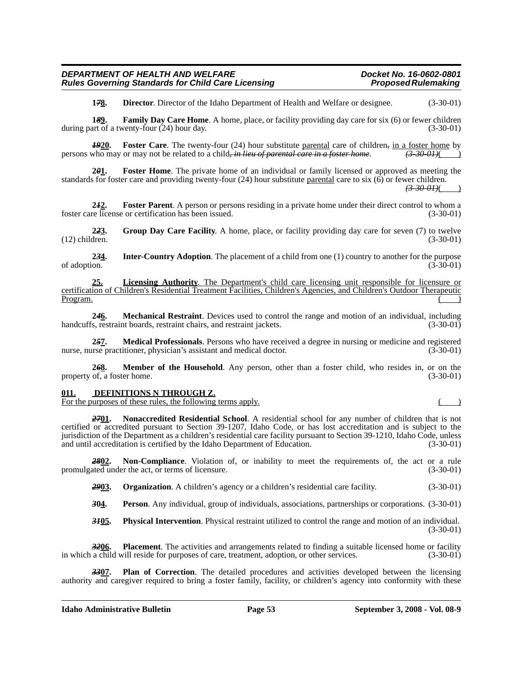**1***7***8. Director**. Director of the Idaho Department of Health and Welfare or designee. (3-30-01)

**1***8***9. Family Day Care Home**. A home, place, or facility providing day care for six (6) or fewer children during part of a twenty-four (24) hour day. (3-30-01)

**1920.** Foster Care. The twenty-four (24) hour substitute parental care of children, in a foster home by who may or may not be related to a child, in lieu of parental care in a foster home.  $\left(3\text{-}30\text{-}01\right)$ persons who may or may not be related to a child, *in lieu of parental care in a foster home*.

**2***0***1. Foster Home**. The private home of an individual or family licensed or approved as meeting the standards for foster care and providing twenty-four  $(24)$  hour substitute parental care to six  $(6)$  or fewer children. *(3-30-01)*( )

**2***1***2. Foster Parent**. A person or persons residing in a private home under their direct control to whom a foster care license or certification has been issued. (3-30-01)

**2<del>2</del>3.** Group Day Care Facility. A home, place, or facility providing day care for seven (7) to twelve dren. (3-30-01)  $(12)$  children.

**234.** Inter-Country Adoption. The placement of a child from one (1) country to another for the purpose of adoption. (3-30-01) of adoption.  $(3-30-01)$ 

**25. Licensing Authority**. The Department's child care licensing unit responsible for licensure or certification of Children's Residential Treatment Facilities, Children's Agencies, and Children's Outdoor Therapeutic  $P$ rogram.  $\overline{)}$ 

**2***4***6. Mechanical Restraint**. Devices used to control the range and motion of an individual, including handcuffs, restraint boards, restraint chairs, and restraint jackets. (3-30-01)

**2***5***7. Medical Professionals**. Persons who have received a degree in nursing or medicine and registered nurse, nurse practitioner, physician's assistant and medical doctor. (3-30-01)

**2***6***8. Member of the Household**. Any person, other than a foster child, who resides in, or on the property of, a foster home. (3-30-01)

#### **011. DEFINITIONS N THROUGH Z.**

For the purposes of these rules, the following terms apply.

*27***01. Nonaccredited Residential School**. A residential school for any number of children that is not certified or accredited pursuant to Section 39-1207, Idaho Code, or has lost accreditation and is subject to the jurisdiction of the Department as a children's residential care facility pursuant to Section 39-1210, Idaho Code, unless and until accreditation is certified by the Idaho Department of Education. (3-30-01)

*28***02. Non-Compliance**. Violation of, or inability to meet the requirements of, the act or a rule promulgated under the act, or terms of licensure. (3-30-01)

**2903. Organization**. A children's agency or a children's residential care facility. (3-30-01)

*3***04. Person**. Any individual, group of individuals, associations, partnerships or corporations. (3-30-01)

*31***05. Physical Intervention**. Physical restraint utilized to control the range and motion of an individual. (3-30-01)

*32***06. Placement**. The activities and arrangements related to finding a suitable licensed home or facility in which a child will reside for purposes of care, treatment, adoption, or other services. (3-30-01)

**Plan of Correction**. The detailed procedures and activities developed between the licensing authority and caregiver required to bring a foster family, facility, or children's agency into conformity with these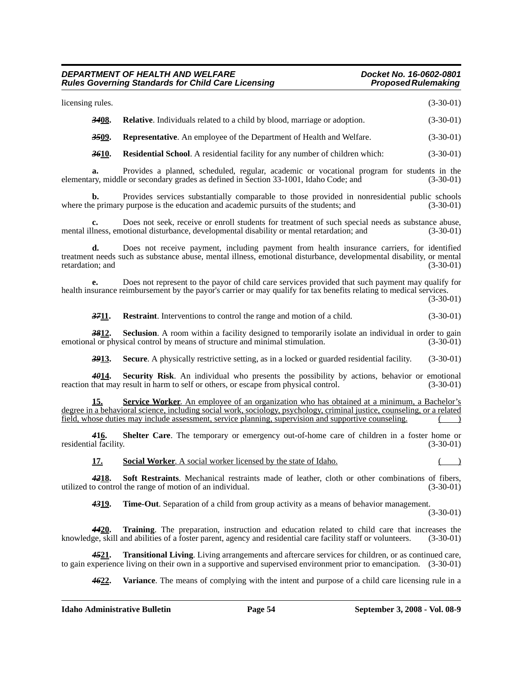#### *DEPARTMENT OF HEALTH AND WELFARE Docket No. 16-0602-0801* **Rules Governing Standards for Child Care Licensing** *Proposed Rulemaking**Proposed Rulemaking*

| licensing rules.       |              |                                                                                                                                                                                                                                                                                                                                | $(3-30-01)$ |  |
|------------------------|--------------|--------------------------------------------------------------------------------------------------------------------------------------------------------------------------------------------------------------------------------------------------------------------------------------------------------------------------------|-------------|--|
|                        | 3408.        | <b>Relative.</b> Individuals related to a child by blood, marriage or adoption.                                                                                                                                                                                                                                                | $(3-30-01)$ |  |
|                        | 3509.        | Representative. An employee of the Department of Health and Welfare.                                                                                                                                                                                                                                                           | $(3-30-01)$ |  |
|                        | 3610.        | <b>Residential School.</b> A residential facility for any number of children which:                                                                                                                                                                                                                                            | $(3-30-01)$ |  |
| a.                     |              | Provides a planned, scheduled, regular, academic or vocational program for students in the<br>elementary, middle or secondary grades as defined in Section 33-1001, Idaho Code; and                                                                                                                                            | $(3-30-01)$ |  |
| b.                     |              | Provides services substantially comparable to those provided in nonresidential public schools<br>where the primary purpose is the education and academic pursuits of the students; and                                                                                                                                         | $(3-30-01)$ |  |
| c.                     |              | Does not seek, receive or enroll students for treatment of such special needs as substance abuse,<br>mental illness, emotional disturbance, developmental disability or mental retardation; and                                                                                                                                | $(3-30-01)$ |  |
| d.<br>retardation; and |              | Does not receive payment, including payment from health insurance carriers, for identified<br>treatment needs such as substance abuse, mental illness, emotional disturbance, developmental disability, or mental                                                                                                              | $(3-30-01)$ |  |
| е.                     |              | Does not represent to the payor of child care services provided that such payment may qualify for<br>health insurance reimbursement by the payor's carrier or may qualify for tax benefits relating to medical services.                                                                                                       | $(3-30-01)$ |  |
|                        | 3711.        | <b>Restraint.</b> Interventions to control the range and motion of a child.                                                                                                                                                                                                                                                    | $(3-30-01)$ |  |
|                        | 3812.        | <b>Seclusion.</b> A room within a facility designed to temporarily isolate an individual in order to gain<br>emotional or physical control by means of structure and minimal stimulation.                                                                                                                                      | $(3-30-01)$ |  |
|                        | <b>3913.</b> | <b>Secure.</b> A physically restrictive setting, as in a locked or guarded residential facility.                                                                                                                                                                                                                               | $(3-30-01)$ |  |
|                        | 4014.        | Security Risk. An individual who presents the possibility by actions, behavior or emotional<br>reaction that may result in harm to self or others, or escape from physical control.                                                                                                                                            | $(3-30-01)$ |  |
|                        | 15.          | Service Worker. An employee of an organization who has obtained at a minimum, a Bachelor's<br>degree in a behavioral science, including social work, sociology, psychology, criminal justice, counseling, or a related<br>field, whose duties may include assessment, service planning, supervision and supportive counseling. |             |  |
| residential facility.  | 416.         | <b>Shelter Care.</b> The temporary or emergency out-of-home care of children in a foster home or                                                                                                                                                                                                                               | $(3-30-01)$ |  |
|                        | <u>17.</u>   | <b>Social Worker.</b> A social worker licensed by the state of Idaho.                                                                                                                                                                                                                                                          |             |  |
|                        | 4218.        | Soft Restraints. Mechanical restraints made of leather, cloth or other combinations of fibers,<br>utilized to control the range of motion of an individual.                                                                                                                                                                    | $(3-30-01)$ |  |
|                        | 4319.        | <b>Time-Out</b> . Separation of a child from group activity as a means of behavior management.                                                                                                                                                                                                                                 | $(3-30-01)$ |  |
|                        | 4420.        | Training. The preparation, instruction and education related to child care that increases the<br>knowledge, skill and abilities of a foster parent, agency and residential care facility staff or volunteers.                                                                                                                  | $(3-30-01)$ |  |
|                        | 4521.        | <b>Transitional Living.</b> Living arrangements and aftercare services for children, or as continued care,<br>to gain experience living on their own in a supportive and supervised environment prior to emancipation. (3-30-01)                                                                                               |             |  |
|                        | <u>4622.</u> | <b>Variance</b> . The means of complying with the intent and purpose of a child care licensing rule in a                                                                                                                                                                                                                       |             |  |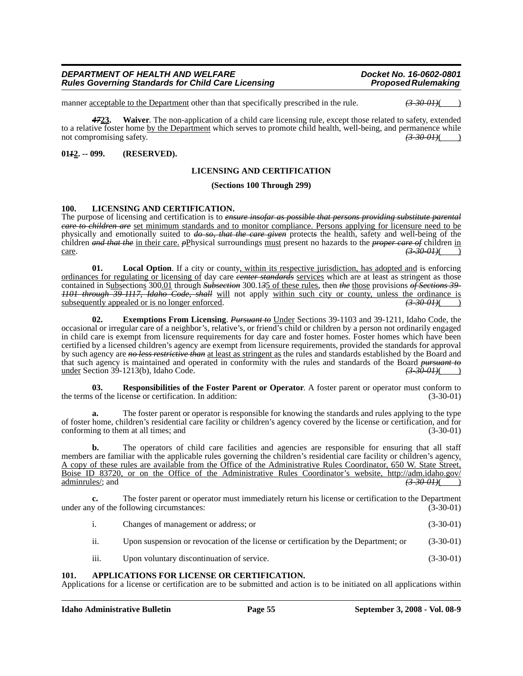manner <u>acceptable to the Department</u> other than that specifically prescribed in the rule.  $\left(3\text{-}30\text{-}01\right)\left(1\right)$ 

*47***23. Waiver**. The non-application of a child care licensing rule, except those related to safety, extended to a relative foster home by the Department which serves to promote child health, well-being, and permanence while not compromising safety. not compromising safety. *(3-30-01)*( )

#### **01***1***2. -- 099. (RESERVED).**

#### **LICENSING AND CERTIFICATION**

#### **(Sections 100 Through 299)**

#### **100. LICENSING AND CERTIFICATION.**

The purpose of licensing and certification is to *ensure insofar as possible that persons providing substitute parental care to children are* set minimum standards and to monitor compliance. Persons applying for licensure need to be physically and emotionally suited to *do so, that the care given* protect*s* the health, safety and well-being of the children *and that the* in their care. *p*Physical surroundings must present no hazards to the *proper care of* children in care.  $\frac{(3-30-01)}{2}$ 

**01.** Local Option. If a city or county, within its respective jurisdiction, has adopted and is enforcing ordinances for regulating or licensing of day care *center standards* services which are at least as stringent as those contained in Subsections 300.01 through *Subsection* 300.1*3*5 of these rules, then *the* those provisions *of Sections 39- 1101 through 39-1117, Idaho Code, shall* will not apply within such city or county, unless the ordinance is subsequently appealed or is no longer enforced. subsequently appealed or is no longer enforced.

**02. Exemptions From Licensing**. *Pursuant to* Under Sections 39-1103 and 39-1211, Idaho Code, the occasional or irregular care of a neighbor's, relative's, or friend's child or children by a person not ordinarily engaged in child care is exempt from licensure requirements for day care and foster homes. Foster homes which have been certified by a licensed children's agency are exempt from licensure requirements, provided the standards for approval by such agency are *no less restrictive than* at least as stringent as the rules and standards established by the Board and that such agency is maintained and operated in conformity with the rules and standards of the Board *pursuant to* under Section 39-1213(b), Idaho Code. under Section 39-1213(b), Idaho Code. *(3-30-01)*( )

**03. Responsibilities of the Foster Parent or Operator**. A foster parent or operator must conform to the terms of the license or certification. In addition: (3-30-01)

**a.** The foster parent or operator is responsible for knowing the standards and rules applying to the type of foster home, children's residential care facility or children's agency covered by the license or certification, and for conforming to them at all times; and

**b.** The operators of child care facilities and agencies are responsible for ensuring that all staff members are familiar with the applicable rules governing the children's residential care facility or children's agency. A copy of these rules are available from the Office of the Administrative Rules Coordinator, 650 W. State Street, [Boise ID 83720, or on the Office of the Administrative Rules Coordinator's website, http://adm.idaho.gov/](http://adm.idaho.gov/adminrules/)<br>administrative Rules Coordinator's website, http://adm.idaho.gov/<br> $\overline{(3-30-0.01)}$ [adminrules/](http://adm.idaho.gov/adminrules/); and

**c.** The foster parent or operator must immediately return his license or certification to the Department y of the following circumstances: (3-30-01) under any of the following circumstances:

- i. Changes of management or address; or (3-30-01)
- ii. Upon suspension or revocation of the license or certification by the Department; or (3-30-01)
- iii. Upon voluntary discontinuation of service. (3-30-01)

#### **101. APPLICATIONS FOR LICENSE OR CERTIFICATION.**

Applications for a license or certification are to be submitted and action is to be initiated on all applications within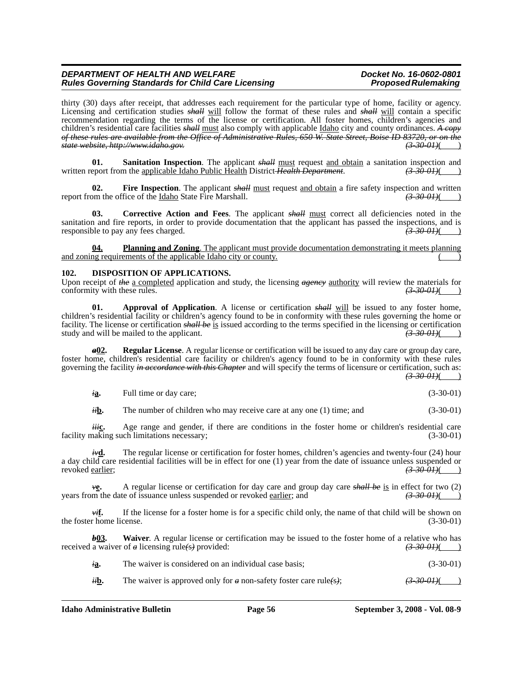thirty (30) days after receipt, that addresses each requirement for the particular type of home, facility or agency. Licensing and certification studies *shall* will follow the format of these rules and *shall* will contain a specific recommendation regarding the terms of the license or certification. All foster homes, children's agencies and children's residential care facilities *shall* must also comply with applicable Idaho city and county ordinances. *A copy of these rules are available from the Office of Administrative Rules, 650 W. State Street, Boise ID 83720, or on the state website, http://www.idaho.gov. (3-30-01)*( )

**01.** Sanitation Inspection. The applicant *shall* must request and obtain a sanitation inspection and written report from the <u>applicable Idaho Public Health</u> District *Health Department*. *(3-30-01)*( *(3-30-01)*(

**02.** Fire Inspection. The applicant *shall* must request <u>and obtain</u> a fire safety inspection and written on the office of the <u>Idaho</u> State Fire Marshall. (3-30-01) report from the office of the *Idaho State Fire Marshall*.

**Corrective Action and Fees.** The applicant *shall* must correct all deficiencies noted in the sanitation and fire reports, in order to provide documentation that the applicant has passed the inspections, and is responsible to pay any fees charged. responsible to pay any fees charged.

**04. Planning and Zoning**. The applicant must provide documentation demonstrating it meets planning and zoning requirements of the applicable Idaho city or county.

#### **102. DISPOSITION OF APPLICATIONS.**

Upon receipt of *the* <u>a completed</u> application and study, the licensing *agency* <u>authority</u> will review the materials for conformity with these rules. conformity with these rules.

**01.** Approval of Application. A license or certification *shall* will be issued to any foster home, children's residential facility or children's agency found to be in conformity with these rules governing the home or facility. The license or certification *shall be* is issued according to the terms specified in the licensing or certification study and will be mailed to the applicant. study and will be mailed to the applicant.

*a***02. Regular License**. A regular license or certification will be issued to any day care or group day care, foster home, children's residential care facility or children's agency found to be in conformity with these rules governing the facility *in accordance with this Chapter* and will specify the terms of licensure or certification, such as:  $(3-30-01)$ ( )

*i***a.** Full time or day care; (3-30-01) (3-30-01)

*ii***b.** The number of children who may receive care at any one (1) time; and (3-30-01)

*iii***c.** Age range and gender, if there are conditions in the foster home or children's residential care naking such limitations necessary; (3-30-01) facility making such limitations necessary;

*i*v**d.** The regular license or certification for foster homes, children's agencies and twenty-four (24) hour a day child care residential facilities will be in effect for one (1) year from the date of issuance unless suspended or revoked earlier;  $\left(3.30-0.04\right)$ revoked earlier;

*v***e.** A regular license or certification for day care and group day care *shall be* is in effect for two (2) years from the date of issuance unless suspended or revoked earlier; and *(3-30-01)*( )

*vi***f.** If the license for a foster home is for a specific child only, the name of that child will be shown on r home license.  $(3-30-01)$ the foster home license.

*b***03.** Waiver. A regular license or certification may be issued to the foster home of a relative who has received a waiver of *a* licensing rule*(*s*)* provided: *(3-30-01)*( )

| ıa. | The waiver is considered on an individual case basis: | $(3-30-01)$ |
|-----|-------------------------------------------------------|-------------|
|     |                                                       |             |

*ii***b.** The waiver is approved only for *a* non-safety foster care rule(s);  $\left(3-30-01\right)$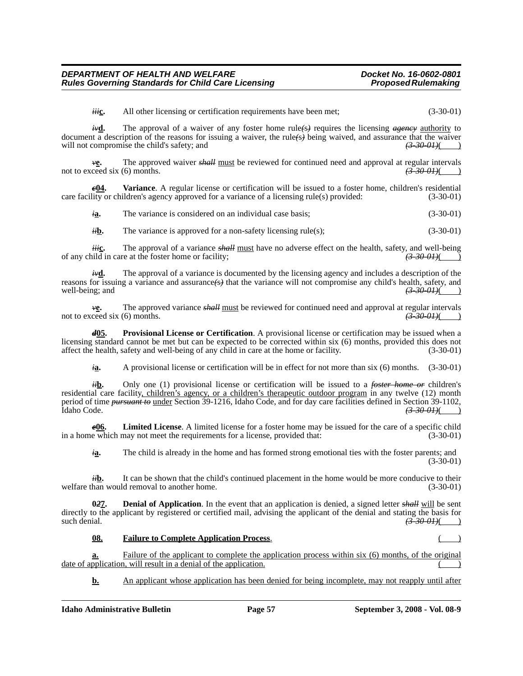*iii***c.** All other licensing or certification requirements have been met; (3-30-01)

*iv***d.** The approval of a waiver of any foster home rule(s) requires the licensing *agency* authority to document a description of the reasons for issuing a waiver, the rule<sup>(s)</sup> being waived, and assurance that the waiver will not compromise the child's safety; and  $\left(3\text{-}30\text{-}01\right)$ will not compromise the child's safety; and

*v***e.** The approved waiver *shall* must be reviewed for continued need and approval at regular intervals not to exceed six (6) months.  $\left(3-30-01\right)$ 

*c***04. Variance**. A regular license or certification will be issued to a foster home, children's residential care facility or children's agency approved for a variance of a licensing rule(s) provided: (3-30-01)

*i***a.** The variance is considered on an individual case basis; (3-30-01)

*ii***b.** The variance is approved for a non-safety licensing rule(s); (3-30-01)

*iii***c.** The approval of a variance *shall* must have no adverse effect on the health, safety, and well-being of any child in care at the foster home or facility; *(3-30-01)*( )

*iv***d.** The approval of a variance is documented by the licensing agency and includes a description of the reasons for issuing a variance and assurance<del>(s)</del> that the variance will not compromise any child's health, safety, and well-being; and  $\left(3.30-0.04\right)$ well-being; and

*v***<b>e.** The approved variance *shall* must be reviewed for continued need and approval at regular intervals ceed six (6) months.  $\overrightarrow{3900H}$  (3) not to exceed six (6) months.

*d***05. Provisional License or Certification**. A provisional license or certification may be issued when a licensing standard cannot be met but can be expected to be corrected within six (6) months, provided this does not affect the health, safety and well-being of any child in care at the home or facility. (3-30-01)

*i***a.** A provisional license or certification will be in effect for not more than six (6) months. (3-30-01)

*ii***b.** Only one (1) provisional license or certification will be issued to a *foster home or* children's residential care facility, children's agency, or a children's therapeutic outdoor program in any twelve (12) month period of time *pursuant to* under Section 39-1216, Idaho Code, and for day care facilities defined in Section 39-1102, Idaho Code. *(3-30-01)*( )

*e***06. Limited License**. A limited license for a foster home may be issued for the care of a specific child in a home which may not meet the requirements for a license, provided that:

*i***a.** The child is already in the home and has formed strong emotional ties with the foster parents; and (3-30-01)

*ii***b.** It can be shown that the child's continued placement in the home would be more conducive to their han would removal to another home.  $(3-30-01)$ welfare than would removal to another home.

**0***2***7. Denial of Application**. In the event that an application is denied, a signed letter *shall* will be sent directly to the applicant by registered or certified mail, advising the applicant of the denial and stating the basis for such denial.  $\left(3,30,01\right)$  $\left( \frac{3500}{1}\right)$ 

#### **08. Failure to Complete Application Process.**

**a.** Failure of the applicant to complete the application process within six (6) months, of the original  $date$  of application, will result in a denial of the application.

**b.** An applicant whose application has been denied for being incomplete, may not reapply until after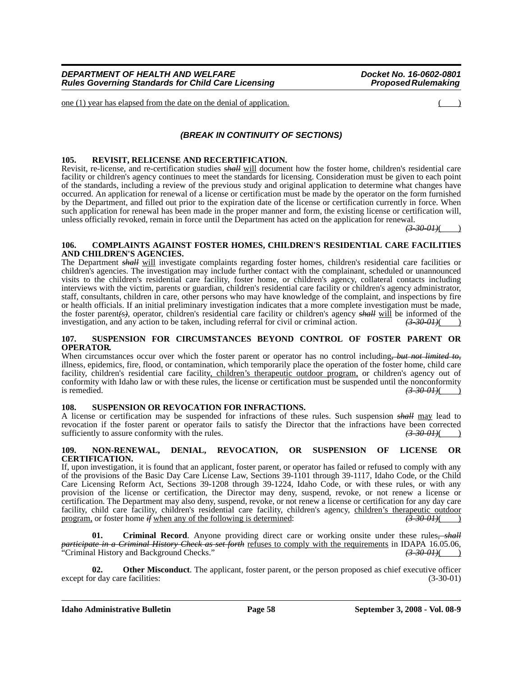one (1) year has elapsed from the date on the denial of application. ( )

#### *(BREAK IN CONTINUITY OF SECTIONS)*

#### **105. REVISIT, RELICENSE AND RECERTIFICATION.**

Revisit, re-license, and re-certification studies *shall* will document how the foster home, children's residential care facility or children's agency continues to meet the standards for licensing. Consideration must be given to each point of the standards, including a review of the previous study and original application to determine what changes have occurred. An application for renewal of a license or certification must be made by the operator on the form furnished by the Department, and filled out prior to the expiration date of the license or certification currently in force. When such application for renewal has been made in the proper manner and form, the existing license or certification will, unless officially revoked, remain in force until the Department has acted on the application for renewal.

*(3-30-01)*( )

#### **106. COMPLAINTS AGAINST FOSTER HOMES, CHILDREN'S RESIDENTIAL CARE FACILITIES AND CHILDREN'S AGENCIES.**

The Department *shall* will investigate complaints regarding foster homes, children's residential care facilities or children's agencies. The investigation may include further contact with the complainant, scheduled or unannounced visits to the children's residential care facility, foster home, or children's agency, collateral contacts including interviews with the victim, parents or guardian, children's residential care facility or children's agency administrator, staff, consultants, children in care, other persons who may have knowledge of the complaint, and inspections by fire or health officials. If an initial preliminary investigation indicates that a more complete investigation must be made, the foster parent*(*s*)*, operator, children's residential care facility or children's agency *shall* will be informed of the investigation, and any action to be taken, including referral for civil or criminal action.  $(3-30-01)($ 

#### **107. SUSPENSION FOR CIRCUMSTANCES BEYOND CONTROL OF FOSTER PARENT OR OPERATOR.**

When circumstances occur over which the foster parent or operator has no control including*, but not limited to,* illness, epidemics, fire, flood, or contamination, which temporarily place the operation of the foster home, child care facility, children's residential care facility, children's therapeutic outdoor program, or children's agency out of conformity with Idaho law or with these rules, the license or certification must be suspended until the nonconformity is remedied.  $\left(3.300H\right)$ is remedied.  $(3-30-0.01)()$ 

#### **108. SUSPENSION OR REVOCATION FOR INFRACTIONS.**

A license or certification may be suspended for infractions of these rules. Such suspension *shall* may lead to revocation if the foster parent or operator fails to satisfy the Director that the infractions have been corrected sufficiently to assure conformity with the rules.  $\frac{(3-30-0.01)()}{(3-30-0.01)()}$ sufficiently to assure conformity with the rules.

#### **109. NON-RENEWAL, DENIAL, REVOCATION, OR SUSPENSION OF LICENSE OR CERTIFICATION.**

If, upon investigation, it is found that an applicant, foster parent, or operator has failed or refused to comply with any of the provisions of the Basic Day Care License Law, Sections 39-1101 through 39-1117, Idaho Code, or the Child Care Licensing Reform Act, Sections 39-1208 through 39-1224, Idaho Code, or with these rules, or with any provision of the license or certification, the Director may deny, suspend, revoke, or not renew a license or certification. The Department may also deny, suspend, revoke, or not renew a license or certification for any day care facility, child care facility, children's residential care facility, children's agency, children's therapeutic outdoor program, or foster home  $\#$  when any of the following is determined: program, or foster home  $\hat{f}$  when any of the following is determined:

**01. Criminal Record**. Anyone providing direct care or working onsite under these rules*, shall participate in a Criminal History Check as set forth* refuses to comply with the requirements in IDAPA 16.05.06, "Criminal History and Background Checks." *(3-30-01)*( )

**02.** Other Misconduct. The applicant, foster parent, or the person proposed as chief executive officer except for day care facilities: (3-30-01)

**Idaho Administrative Bulletin Page 58 September 3, 2008 - Vol. 08-9**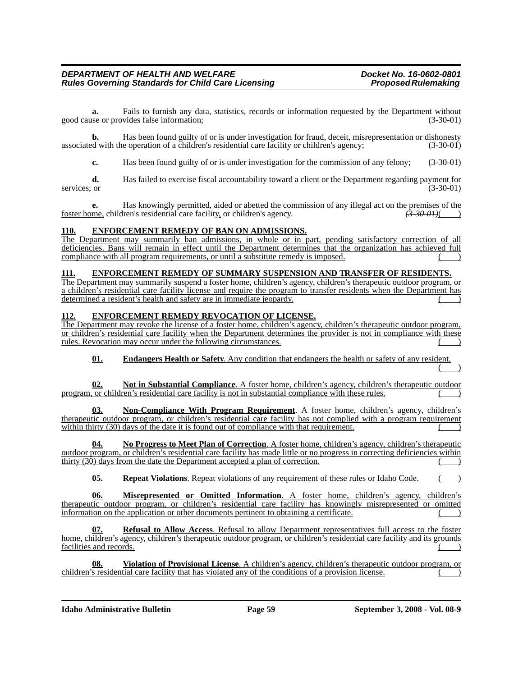**a.** Fails to furnish any data, statistics, records or information requested by the Department without good cause or provides false information; (3-30-01)

**b.** Has been found guilty of or is under investigation for fraud, deceit, misrepresentation or dishonesty associated with the operation of a children's residential care facility or children's agency; (3-30-01)

**c.** Has been found guilty of or is under investigation for the commission of any felony; (3-30-01)

**d.** Has failed to exercise fiscal accountability toward a client or the Department regarding payment for services; or (3-30-01) (3-30-01)

**e.** Has knowingly permitted, aided or abetted the commission of any illegal act on the premises of the foster home, children's residential care facility, or children's agency. *(3-30-01)*( )

#### **110. ENFORCEMENT REMEDY OF BAN ON ADMISSIONS.**

The Department may summarily ban admissions, in whole or in part, pending satisfactory correction of all deficiencies. Bans will remain in effect until the Department determines that the organization has achieved full compliance with all program requirements, or until a substitute remedy is imposed. ( )

#### **111. ENFORCEMENT REMEDY OF SUMMARY SUSPENSION AND TRANSFER OF RESIDENTS.**

The Department may summarily suspend a foster home, children's agency, children's therapeutic outdoor program, or a children's residential care facility license and require the program to transfer residents when the Department has determined a resident's health and safety are in immediate jeopardy.

#### **112. ENFORCEMENT REMEDY REVOCATION OF LICENSE.**

The Department may revoke the license of a foster home, children's agency, children's therapeutic outdoor program, or children's residential care facility when the Department determines the provider is not in compliance with these rules. Revocation may occur under the following circumstances.

**01. Endangers Health or Safety**. Any condition that endangers the health or safety of any resident.  $($  )

**02. Not in Substantial Compliance**. A foster home, children's agency, children's therapeutic outdoor program, or children's residential care facility is not in substantial compliance with these rules.

**03. Non-Compliance With Program Requirement**. A foster home, children's agency, children's therapeutic outdoor program, or children's residential care facility has not complied with a program requirement within thirty  $(30)$  days of the date it is found out of compliance with that requirement.

**04. No Progress to Meet Plan of Correction**. A foster home, children's agency, children's therapeutic outdoor program, or children's residential care facility has made little or no progress in correcting deficiencies within thirty  $(30)$  days from the date the Department accepted a plan of correction.

**05. Repeat Violations**. Repeat violations of any requirement of these rules or Idaho Code.

**06. Misrepresented or Omitted Information**. A foster home, children's agency, children's therapeutic outdoor program, or children's residential care facility has knowingly misrepresented or omitted information on the application or other documents pertinent to obtaining a certificate.

**07. Refusal to Allow Access**. Refusal to allow Department representatives full access to the foster home, children's agency, children's therapeutic outdoor program, or children's residential care facility and its grounds facilities and records. (a)

**08. Violation of Provisional License**. A children's agency, children's therapeutic outdoor program, or children's residential care facility that has violated any of the conditions of a provision license.

**Idaho Administrative Bulletin Page 59 September 3, 2008 - Vol. 08-9**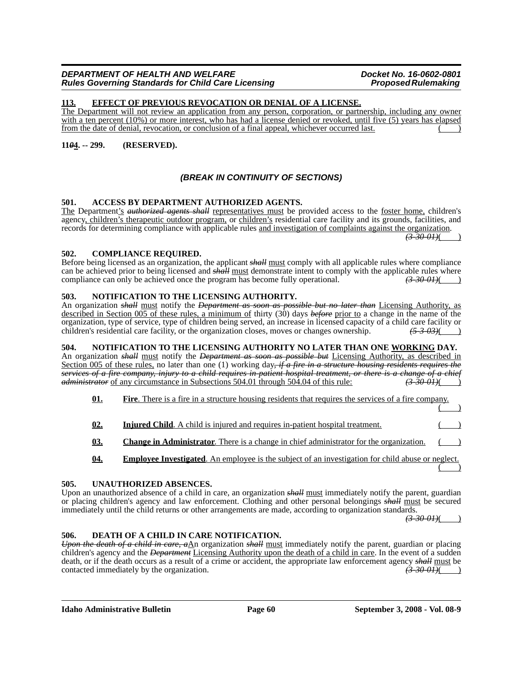#### **113. EFFECT OF PREVIOUS REVOCATION OR DENIAL OF A LICENSE.**

The Department will not review an application from any person, corporation, or partnership, including any owner with a ten percent (10%) or more interest, who has had a license denied or revoked, until five (5) years has elapsed from the date of denial, revocation, or conclusion of a final appeal, whichever occurred last.

#### **11***0***4. -- 299. (RESERVED).**

#### *(BREAK IN CONTINUITY OF SECTIONS)*

#### **501. ACCESS BY DEPARTMENT AUTHORIZED AGENTS.**

The Department's *authorized agents shall* representatives must be provided access to the foster home, children's agency, children's therapeutic outdoor program, or children's residential care facility and its grounds, facilities, and records for determining compliance with applicable rules and investigation of complaints against the organization. *(3-30-01)*( )

#### **502. COMPLIANCE REQUIRED.**

Before being licensed as an organization, the applicant *shall* must comply with all applicable rules where compliance can be achieved prior to being licensed and *shall* <u>must</u> demonstrate intent to comply with the applicable rules where compliance can only be achieved once the program has become fully operational.  $\left(3-30-01\right)$ compliance can only be achieved once the program has become fully operational.

#### **503. NOTIFICATION TO THE LICENSING AUTHORITY.**

An organization *shall* must notify the *Department as soon as possible but no later than* Licensing Authority, as described in Section 005 of these rules, a minimum of thirty (30) days *before* prior to a change in the name of the organization, type of service, type of children being served, an increase in licensed capacity of a child care facility or children's residential care facility, or the organization closes, moves or changes ownership. *(5-3-03)*( )

#### **504. NOTIFICATION TO THE LICENSING AUTHORITY NO LATER THAN ONE WORKING DAY.**

An organization *shall* must notify the *Department as soon as possible but* Licensing Authority, as described in Section 005 of these rules, no later than one (1) working day*, if a fire in a structure housing residents requires the services of a fire company, injury to a child requires in-patient hospital treatment, or there is a change of a chief administrator of a chief administrator of a chief*  $\frac{1}{3}$  *administrator of any circumstance in Subsec administrator* of any circumstance in Subsections 504.01 through 504.04 of this rule:

| 01. | <b>Fire.</b> There is a fire in a structure housing residents that requires the services of a fire company. |  |
|-----|-------------------------------------------------------------------------------------------------------------|--|
|     |                                                                                                             |  |

- **02. Injured Child**. A child is injured and requires in-patient hospital treatment. **03. Change in Administrator**. There is a change in chief administrator for the organization.
- **04. Employee Investigated**. An employee is the subject of an investigation for child abuse or neglect.  $($

#### **505. UNAUTHORIZED ABSENCES.**

Upon an unauthorized absence of a child in care, an organization *shall* must immediately notify the parent, guardian or placing children's agency and law enforcement. Clothing and other personal belongings *shall* must be secured immediately until the child returns or other arrangements are made, according to organization standards. *(3-30-01)*( )

#### **506. DEATH OF A CHILD IN CARE NOTIFICATION.**

*Upon the death of a child in care, a*An organization *shall* must immediately notify the parent, guardian or placing children's agency and the *Department* Licensing Authority upon the death of a child in care. In the event of a sudden death, or if the death occurs as a result of a crime or accident, the appropriate law enforcement agency *shall* must be contacted immediately by the organization. contacted immediately by the organization. *(3-30-01)* (3-30-01)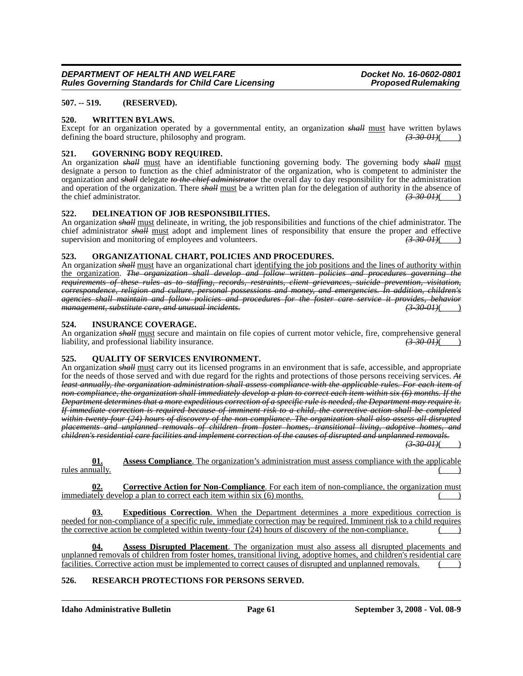#### **507. -- 519. (RESERVED).**

#### **520. WRITTEN BYLAWS.**

Except for an organization operated by a governmental entity, an organization *shall* must have written bylaws defining the board structure, philosophy and program. (3.30 01) defining the board structure, philosophy and program.

#### **521. GOVERNING BODY REQUIRED.**

An organization *shall* must have an identifiable functioning governing body. The governing body *shall* must designate a person to function as the chief administrator of the organization, who is competent to administer the organization and *shall* delegate *to the chief administrator* the overall day to day responsibility for the administration and operation of the organization. There  $\frac{\dot{A}}{dt}$  must be a written plan for the delegation of authority in the absence of the chief administrator. the chief administrator.

#### **522. DELINEATION OF JOB RESPONSIBILITIES.**

An organization *shall* must delineate, in writing, the job responsibilities and functions of the chief administrator. The chief administrator *shall* must adopt and implement lines of responsibility that ensure the proper and effective supervision and monitoring of employees and volunteers. supervision and monitoring of employees and volunteers.

#### **523. ORGANIZATIONAL CHART, POLICIES AND PROCEDURES.**

An organization *shall* must have an organizational chart identifying the job positions and the lines of authority within the organization. *The organization shall develop and follow written policies and procedures governing the requirements of these rules as to staffing, records, restraints, client grievances, suicide prevention, visitation, correspondence, religion and culture, personal possessions and money, and emergencies. In addition, children's agencies shall maintain and follow policies and procedures for the foster care service it provides, behavior management, substitute care, and unusual incidents. (3-30-01)*( )

#### **524. INSURANCE COVERAGE.**

An organization *shall* must secure and maintain on file copies of current motor vehicle, fire, comprehensive general liability, and professional liability insurance. liability, and professional liability insurance.

#### **525. QUALITY OF SERVICES ENVIRONMENT.**

An organization *shall* must carry out its licensed programs in an environment that is safe, accessible, and appropriate for the needs of those served and with due regard for the rights and protections of those persons receiving services. *At least annually, the organization administration shall assess compliance with the applicable rules. For each item of non-compliance, the organization shall immediately develop a plan to correct each item within six (6) months. If the Department determines that a more expeditious correction of a specific rule is needed, the Department may require it. If immediate correction is required because of imminent risk to a child, the corrective action shall be completed*  within twenty four (24) hours of discovery of the non-compliance. The organization shall also assess all disrupted *placements and unplanned removals of children from foster homes, transitional living, adoptive homes, and children's residential care facilities and implement correction of the causes of disrupted and unplanned removals.*

*(3-30-01)*( )

**01. Assess Compliance**. The organization's administration must assess compliance with the applicable rules annually.

**02. Corrective Action for Non-Compliance**. For each item of non-compliance, the organization must immediately develop a plan to correct each item within  $s$ ix  $(6)$  months.

**03. Expeditious Correction**. When the Department determines a more expeditious correction is needed for non-compliance of a specific rule, immediate correction may be required. Imminent risk to a child requires the corrective action be completed within twenty-four (24) hours of discovery of the non-compliance.

**04. Assess Disrupted Placement**. The organization must also assess all disrupted placements and unplanned removals of children from foster homes, transitional living, adoptive homes, and children's residential care facilities. Corrective action must be implemented to correct causes of disrupted and unplanned removals.

#### **526. RESEARCH PROTECTIONS FOR PERSONS SERVED.**

**Idaho Administrative Bulletin Page 61 September 3, 2008 - Vol. 08-9**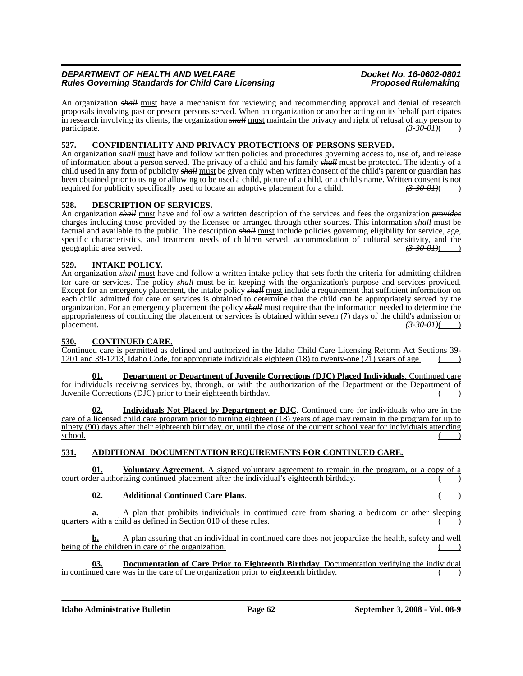#### *DEPARTMENT OF HEALTH AND WELFARE*<br>Rules Governing Standards for Child Care Licensing **Docket Mension Proposed Rulemaking Rules Governing Standards for Child Care Licensing**

An organization *shall* must have a mechanism for reviewing and recommending approval and denial of research proposals involving past or present persons served. When an organization or another acting on its behalf participates in research involving its clients, the organization *shall* must maintain the privacy and right of refusal of any person to participate.  $\left(3-30-01\right)$ ( $\left(3-30-01\right)$ ( $\left(3-30-01\right)$ )

#### **527. CONFIDENTIALITY AND PRIVACY PROTECTIONS OF PERSONS SERVED.**

An organization *shall* must have and follow written policies and procedures governing access to, use of, and release of information about a person served. The privacy of a child and his family *shall* must be protected. The identity of a child used in any form of publicity *shall* must be given only when written consent of the child's parent or guardian has been obtained prior to using or allowing to be used a child, picture of a child, or a child's name. Written consent is not required for publicity specifically used to locate an adoptive placement for a child.  $\left(3.300H\right$ required for publicity specifically used to locate an adoptive placement for a child.

#### **528. DESCRIPTION OF SERVICES.**

An organization *shall* must have and follow a written description of the services and fees the organization *provides* charges including those provided by the licensee or arranged through other sources. This information *shall* must be factual and available to the public. The description *shall* must include policies governing eligibility for service, age, specific characteristics, and treatment needs of children served, accommodation of cultural sensitivity, and the geographic area served. geographic area served. *(3-30-01)*( )

#### **529. INTAKE POLICY.**

An organization *shall* must have and follow a written intake policy that sets forth the criteria for admitting children for care or services. The policy *shall* must be in keeping with the organization's purpose and services provided. Except for an emergency placement, the intake policy *shall* must include a requirement that sufficient information on each child admitted for care or services is obtained to determine that the child can be appropriately served by the organization. For an emergency placement the policy *shall* must require that the information needed to determine the appropriateness of continuing the placement or services is obtained within seven (7) days of the child's admission or placement. *(3-30-01)*( )

#### **530. CONTINUED CARE.**

Continued care is permitted as defined and authorized in the Idaho Child Care Licensing Reform Act Sections 39- 1201 and 39-1213, Idaho Code, for appropriate individuals eighteen  $(18)$  to twenty-one  $(21)$  years of age.

**01. Department or Department of Juvenile Corrections (DJC) Placed Individuals**. Continued care for individuals receiving services by, through, or with the authorization of the Department or the Department of Juvenile Corrections  $(D\bar{J}C)$  prior to their eighteenth birthday.

**02. Individuals Not Placed by Department or DJC**. Continued care for individuals who are in the care of a licensed child care program prior to turning eighteen (18) years of age may remain in the program for up to ninety (90) days after their eighteenth birthday, or, until the close of the current school year for individuals attending school.  $\frac{\text{school}}{\text{.}}$ 

### **531. ADDITIONAL DOCUMENTATION REQUIREMENTS FOR CONTINUED CARE.**

**01. Voluntary Agreement**. A signed voluntary agreement to remain in the program, or a copy court order authorizing continued placement after the individual's eighteenth birthday.

### **02. Additional Continued Care Plans.**

**a.** A plan that prohibits individuals in continued care from sharing a bedroom or other sleeping  $quarters$  with a child as defined in Section 010 of these rules.

**b.** A plan assuring that an individual in continued care does not jeopardize the health, safety and well being of the children in care of the organization.

**03. Documentation of Care Prior to Eighteenth Birthday**. Documentation verifying the individual in continued care was in the care of the organization prior to eighteenth birthday.

**Idaho Administrative Bulletin Page 62 September 3, 2008 - Vol. 08-9**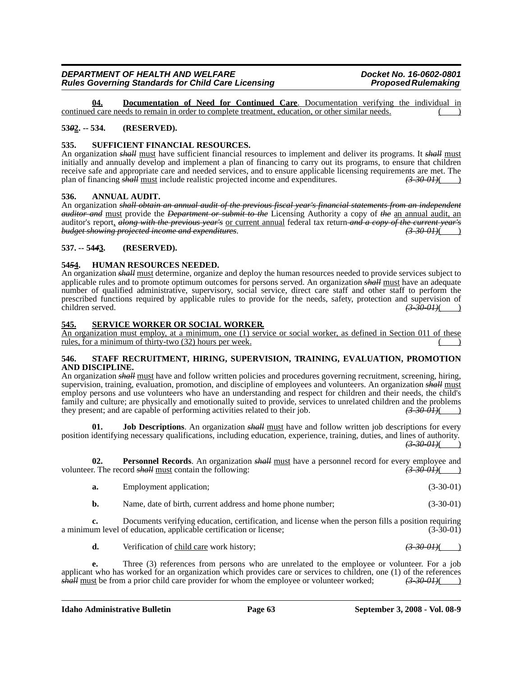**04. Documentation of Need for Continued Care**. Documentation verifying the individual in continued care needs to remain in order to complete treatment, education, or other similar needs.

#### **53***0***2. -- 534. (RESERVED).**

#### **535. SUFFICIENT FINANCIAL RESOURCES.**

An organization *shall* must have sufficient financial resources to implement and deliver its programs. It *shall* must initially and annually develop and implement a plan of financing to carry out its programs, to ensure that children receive safe and appropriate care and needed services, and to ensure applicable licensing requirements are met. The plan of financing *shall* must include realistic projected income and expenditures. *(3-30-01)*( )

#### **536. ANNUAL AUDIT.**

An organization *shall obtain an annual audit of the previous fiscal year's financial statements from an independent auditor and* must provide the *Department or submit to the* Licensing Authority a copy of *the* an annual audit, an auditor's report, *along with the previous year's* <u>or current annual</u> federal tax return-*and a copy of the current year's budget showing projected income and expenditures*. *budget showing projected income and expenditures.* 

#### **537. -- 54***4***3. (RESERVED).**

#### **54***5***4. HUMAN RESOURCES NEEDED.**

An organization *shall* must determine, organize and deploy the human resources needed to provide services subject to applicable rules and to promote optimum outcomes for persons served. An organization *shall* must have an adequate number of qualified administrative, supervisory, social service, direct care staff and other staff to perform the prescribed functions required by applicable rules to provide for the needs, safety, protection and supervision of children served.  $\left(3-30-01\right)$ children served. *(3-30-01)*( )

#### **545. SERVICE WORKER OR SOCIAL WORKER.**

An organization must employ, at a minimum, one (1) service or social worker, as defined in Section 011 of these rules, for a minimum of thirty-two  $(32)$  hours per week.

#### **546. STAFF RECRUITMENT, HIRING, SUPERVISION, TRAINING, EVALUATION, PROMOTION AND DISCIPLINE.**

An organization *shall* must have and follow written policies and procedures governing recruitment, screening, hiring, supervision, training, evaluation, promotion, and discipline of employees and volunteers. An organization *shall* must employ persons and use volunteers who have an understanding and respect for children and their needs, the child's family and culture; are physically and emotionally suited to provide, services to unrelated children and the problems they present: and are capable of performing activities related to their job.  $\left(3-30-0+1\right)$ they present; and are capable of performing activities related to their job.  $(3-30-0.01)($  )

**Job Descriptions**. An organization *shall* must have and follow written job descriptions for every position identifying necessary qualifications, including education, experience, training, duties, and lines of authority. *(3-30-01)*( )

**02. Personnel Records**. An organization *shall* must have a personnel record for every employee and r. The record *shall* must contain the following: volunteer. The record *shall* must contain the following:

|  | Employment application; |  | $(3-30-01)$ |
|--|-------------------------|--|-------------|
|--|-------------------------|--|-------------|

**b.** Name, date of birth, current address and home phone number; (3-30-01)

**c.** Documents verifying education, certification, and license when the person fills a position requiring a minimum level of education, applicable certification or license; (3-30-01)

**d.** Verification of child care work history; *(3.30-01)*(*3.30-01)*(

**e.** Three (3) references from persons who are unrelated to the employee or volunteer. For a job applicant who has worked for an organization which provides care or services to children, one (1) of the references *shall* must be from a prior child care provider for whom the employee or volunteer worked;  $(3-30-01)()$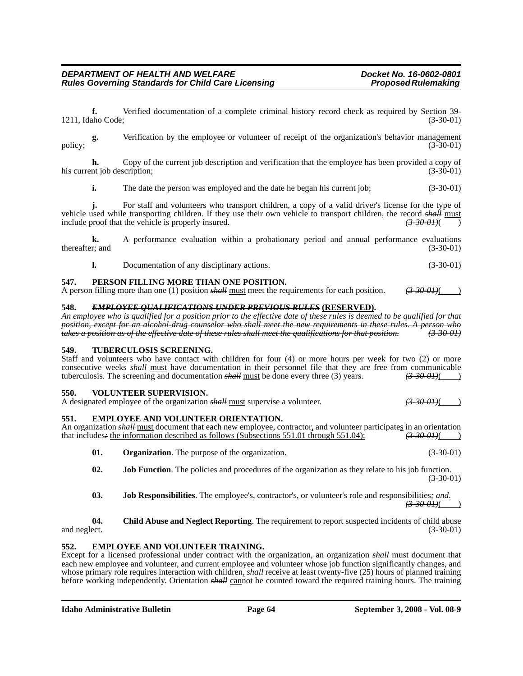**k.** A performance evaluation within a probationary period and annual performance evaluations thereafter; and (3-30-01) (3-30-01)

**l.** Documentation of any disciplinary actions. (3-30-01)

**f.** Verified documentation of a complete criminal history record check as required by Section 39-

**g.** Verification by the employee or volunteer of receipt of the organization's behavior management

**h.** Copy of the current job description and verification that the employee has been provided a copy of

**i.** The date the person was employed and the date he began his current job; (3-30-01)

**j.** For staff and volunteers who transport children, a copy of a valid driver's license for the type of

1211, Idaho Code; (3-30-01)

policy; (3-30-01) (3-30-01)

his current job description; (3-30-01) (3-30-01)

vehicle used while transporting children. If they use their own vehicle to transport children, the record *shall* must include proof that the vehicle is properly insured.  $\frac{(3-30-01)(\frac{1}{2})}{(3-30-01)(\frac{1}{2})}$ include proof that the vehicle is properly insured. *(3-30-01)*( )

### **547. PERSON FILLING MORE THAN ONE POSITION.**

**Rules Governing Standards for Child Care Licensing** 

A person filling more than one (1) position *shall* must meet the requirements for each position. *(3-30-01)*( )

### **548.** *EMPLOYEE QUALIFICATIONS UNDER PREVIOUS RULES* **(RESERVED).**

*An employee who is qualified for a position prior to the effective date of these rules is deemed to be qualified for that position, except for an alcohol-drug counselor who shall meet the new requirements in these rules. A person who takes a position as of the effective date of these rules shall meet the qualifications for that position. (3-30-01)*

#### **549. TUBERCULOSIS SCREENING.**

Staff and volunteers who have contact with children for four (4) or more hours per week for two (2) or more consecutive weeks *shall* must have documentation in their personnel file that they are free from communicable tuberculosis. The screening and documentation  $s$ *hall* must be done every three (3) years.  $(3-30-01)( )$ 

#### **550. VOLUNTEER SUPERVISION.**

| A designated employee of the organization <i>shall</i> must supervise a volunteer. | <del>(3-30-01)</del> (____) |
|------------------------------------------------------------------------------------|-----------------------------|
|------------------------------------------------------------------------------------|-----------------------------|

### **551. EMPLOYEE AND VOLUNTEER ORIENTATION.**

An organization *shall* must document that each new employee, contractor, and volunteer participates in an orientation that includes- the information described as follows (Subsections 551.01 through 551.04):  $\left(3-30-0.04\$ that includes: the information described as follows (Subsections 551.01 through 551.04):

**01. Organization**. The purpose of the organization. (3-30-01)

**02. Job Function**. The policies and procedures of the organization as they relate to his job function. (3-30-01)

**03. Job Responsibilities**. The employee's, contractor's, or volunteer's role and responsibilities*; and*. *(3-30-01)*( )

**04. Child Abuse and Neglect Reporting**. The requirement to report suspected incidents of child abuse and neglect. (3-30-01)

#### **552. EMPLOYEE AND VOLUNTEER TRAINING.**

Except for a licensed professional under contract with the organization, an organization *shall* must document that each new employee and volunteer, and current employee and volunteer whose job function significantly changes, and whose primary role requires interaction with children, *shall* receive at least twenty-five (25) hours of planned training before working independently. Orientation *shall* cannot be counted toward the required training hours. The training

- 
- 
- 
-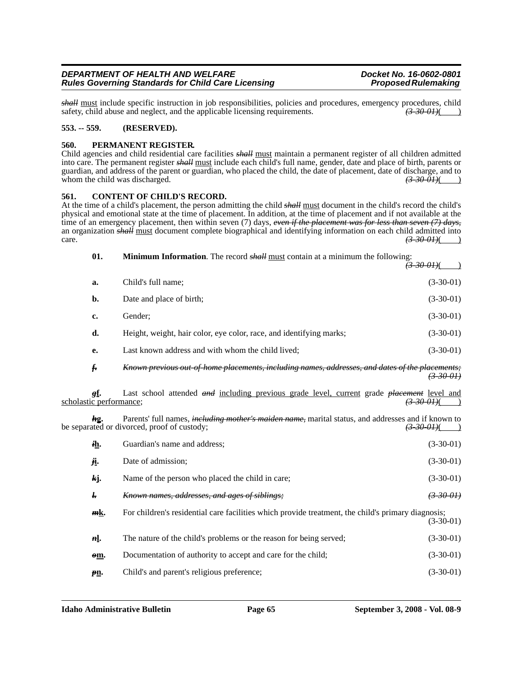*shall* must include specific instruction in job responsibilities, policies and procedures, emergency procedures, child safety, child abuse and neglect, and the applicable licensing requirements.  $\overrightarrow{(3.30.01)}}$ safety, child abuse and neglect, and the applicable licensing requirements.

#### **553. -- 559. (RESERVED).**

#### **560. PERMANENT REGISTER.**

Child agencies and child residential care facilities *shall* must maintain a permanent register of all children admitted into care. The permanent register *shall* must include each child's full name, gender, date and place of birth, parents or guardian, and address of the parent or guardian, who placed the child, the date of placement, date of discharge, and to whom the child was discharged.  $\left(3-30-01\right)$  ( $\left(3-30-01\right)$ )

#### **561. CONTENT OF CHILD'S RECORD.**

At the time of a child's placement, the person admitting the child *shall* must document in the child's record the child's physical and emotional state at the time of placement. In addition, at the time of placement and if not available at the time of an emergency placement, then within seven (7) days, *even if the placement was for less than seven (7) days,* an organization *shall* must document complete biographical and identifying information on each child admitted into care.  $(3-30-01)$ ( )

| 01.                            | <b>Minimum Information</b> . The record <i>shall</i> must contain at a minimum the following:<br><del>(3 30 01)</del> (                                                             |                      |
|--------------------------------|-------------------------------------------------------------------------------------------------------------------------------------------------------------------------------------|----------------------|
| a.                             | Child's full name;                                                                                                                                                                  | $(3-30-01)$          |
| b.                             | Date and place of birth;                                                                                                                                                            | $(3-30-01)$          |
| c.                             | Gender;                                                                                                                                                                             | $(3-30-01)$          |
| d.                             | Height, weight, hair color, eye color, race, and identifying marks;                                                                                                                 | $(3-30-01)$          |
| e.                             | Last known address and with whom the child lived;                                                                                                                                   | $(3-30-01)$          |
| f <sub>r</sub>                 | Known previous out of home placements, including names, addresses, and dates of the placements;                                                                                     | <del>(3-30-01)</del> |
| gf.<br>scholastic performance; | Last school attended and including previous grade level, current grade placement level and<br><del>(3-30-01)</del> (                                                                |                      |
| kg.                            | Parents' full names, <i>including mother's maiden name</i> , marital status, and addresses and if known to<br>be separated or divorced, proof of custody;<br><del>(3-30-01)</del> ( |                      |
| ih.                            | Guardian's name and address;                                                                                                                                                        | $(3-30-01)$          |
| ji.                            | Date of admission;                                                                                                                                                                  | $(3-30-01)$          |
| kj.                            | Name of the person who placed the child in care;                                                                                                                                    | $(3-30-01)$          |
| ŀ.                             | Known names, addresses, and ages of siblings;                                                                                                                                       | (3,30,01)            |

*m***k.** For children's residential care facilities which provide treatment, the child's primary diagnosis; (3-30-01)

*n***l**. The nature of the child's problems or the reason for being served; (3-30-01) *o***m.** Documentation of authority to accept and care for the child; (3-30-01)

*p***<u>n</u>.** Child's and parent's religious preference; (3-30-01)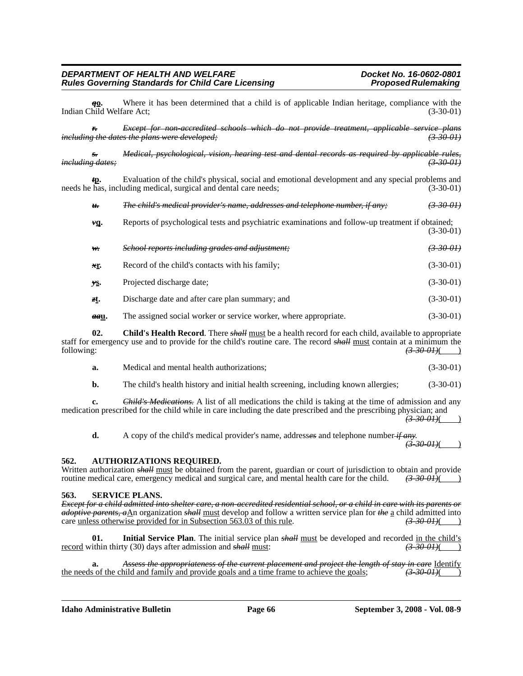*q***o.** Where it has been determined that a child is of applicable Indian heritage, compliance with the hild Welfare Act: (3-30-01) Indian Child Welfare Act;

*r. Except for non-accredited schools which do not provide treatment, applicable service plans including the dates the plans were developed;* 

*s. Medical, psychological, vision, hearing test and dental records as required by applicable rules, including dates; (3-30-01)*

*t***p.** Evaluation of the child's physical, social and emotional development and any special problems and needs he has, including medical, surgical and dental care needs; (3-30-01)

*u. The child's medical provider's name, addresses and telephone number, if any; (3-30-01)*

| vq.        | Reports of psychological tests and psychiatric examinations and follow-up treatment if obtained; | $(3-30-01)$ |
|------------|--------------------------------------------------------------------------------------------------|-------------|
| $w_{\tau}$ | School reports including grades and adjustment;                                                  | $(3-30-0)$  |
| xr.        | Record of the child's contacts with his family;                                                  | $(3-30-01)$ |

- *y***s.** Projected discharge date; (3-30-01)
- *z***t.** Discharge date and after care plan summary; and (3-30-01)
- **aau.** The assigned social worker or service worker, where appropriate. (3-30-01)

**02. Child's Health Record**. There *shall* must be a health record for each child, available to appropriate staff for emergency use and to provide for the child's routine care. The record *shall* must contain at a minimum the following: *(3-30-01)*( )

| a. | Medical and mental health authorizations: | $(3-30-01)$ |
|----|-------------------------------------------|-------------|
|    |                                           |             |

**b.** The child's health history and initial health screening, including known allergies; (3-30-01)

**c.** *Child's Medications.* A list of all medications the child is taking at the time of admission and any medication prescribed for the child while in care including the date prescribed and the prescribing physician; and *(3-30-01)*( )

**d.** A copy of the child's medical provider's name, addresses and telephone number  $\frac{d}{d\theta}$  and  $\frac{d}{d\theta}$  and  $\theta$ 

#### **562. AUTHORIZATIONS REQUIRED.**

Written authorization *shall* must be obtained from the parent, guardian or court of jurisdiction to obtain and provide routine medical care, emergency medical and surgical care, and mental health care for the child.  $\left(3$ routine medical care, emergency medical and surgical care, and mental health care for the child.

#### **563. SERVICE PLANS.**

*Except for a child admitted into shelter care, a non-accredited residential school, or a child in care with its parents or adoptive parents, a*An organization *shall* must develop and follow a written service plan for *the* a child admitted into care unless otherwise provided for in Subsection 563.03 of this rule.  $\overrightarrow{(3.30.01)}}$ care unless otherwise provided for in Subsection 563.03 of this rule.

**01. Initial Service Plan**. The initial service plan *shall* must be developed and recorded in the child's record within thirty (30) days after admission and *shall* must: *(3-30-01)*( )

**a.** *Assess the appropriateness of the current placement and project the length of stay in care* Identify so f the child and family and provide goals and a time frame to achieve the goals;  $\overrightarrow{3900H}$  (3) the needs of the child and family and provide goals and a time frame to achieve the goals; *(3-30-01)*( )

**Idaho Administrative Bulletin Page 66 September 3, 2008 - Vol. 08-9**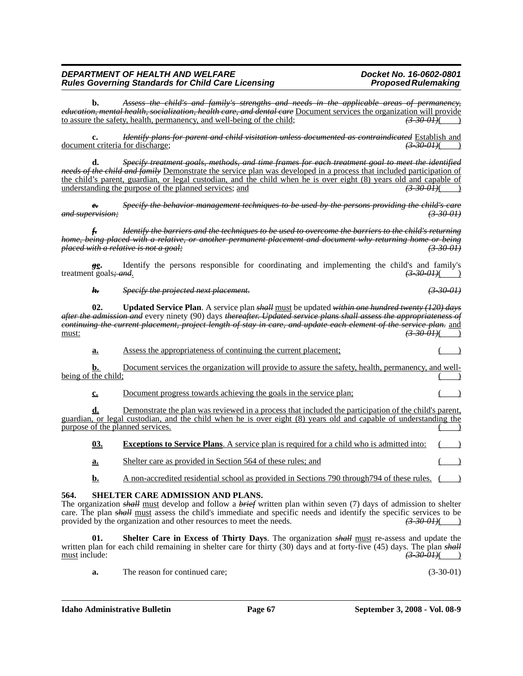**b.** *Assess the child's and family's strengths and needs in the applicable areas of permanency, education, mental health, socialization, health care, and dental care* Document services the organization will provide to assure the safety, health, permanency, and well-being of the child; *(3-30-01)*( )

**c.** *Identify plans for parent and child visitation unless documented as contraindicated* Establish and document criteria for discharge; *(3-30-01)*( )

**d.** *Specify treatment goals, methods, and time frames for each treatment goal to meet the identified needs of the child and family* Demonstrate the service plan was developed in a process that included participation of the child's parent, guardian, or legal custodian, and the child when he is over eight (8) years old and capable of understanding the purpose of the planned services; and  $\left(3.300J\right)$ understanding the purpose of the planned services; and *(3-30-01)*( )

*e. Specify the behavior management techniques to be used by the persons providing the child's care and supervision; (3-30-01)*

*f. Identify the barriers and the techniques to be used to overcome the barriers to the child's returning home, being placed with a relative, or another permanent placement and document why returning home or being placed with a relative is not a goal; (3-30-01)*

**g<sub>e</sub>**. Identify the persons responsible for coordinating and implementing the child's and family's t goals<del>: and</del>.  $\left(\frac{3-3\theta-0H}{2}\right)$ treatment goals; and.

*h. Specify the projected next placement. (3-30-01)*

**02. Updated Service Plan**. A service plan *shall* must be updated *within one hundred twenty (120) days after the admission and* every ninety (90) days *thereafter. Updated service plans shall assess the appropriateness of continuing the current placement, project length of stay in care, and update each element of the service plan.* and must: *(3-30-01)*( )

**a.** Assess the appropriateness of continuing the current placement;

**b.** Document services the organization will provide to assure the safety, health, permanency, and wellbeing of the child;

**c.** Document progress towards achieving the goals in the service plan;

**d.** Demonstrate the plan was reviewed in a process that included the participation of the child's parent, guardian, or legal custodian, and the child when he is over eight (8) years old and capable of understanding the purpose of the planned services.

**03. Exceptions to Service Plans**. A service plan is required for a child who is admitted into: **a.** Shelter care as provided in Section 564 of these rules; and

**b.** A non-accredited residential school as provided in Sections 790 through 794 of these rules.

#### **564. SHELTER CARE ADMISSION AND PLANS.**

The organization *shall* must develop and follow a *brief* written plan within seven (7) days of admission to shelter care. The plan *shall* must assess the child's immediate and specific needs and identify the specific services to be provided by the organization and other resources to meet the needs.  $\left(3.300H\right)$ provided by the organization and other resources to meet the needs.

**Shelter Care in Excess of Thirty Days**. The organization *shall* must re-assess and update the written plan for each child remaining in shelter care for thirty (30) days and at forty-five (45) days. The plan *shall* must include: *(3-30-01)*( )

**a.** The reason for continued care; (3-30-01)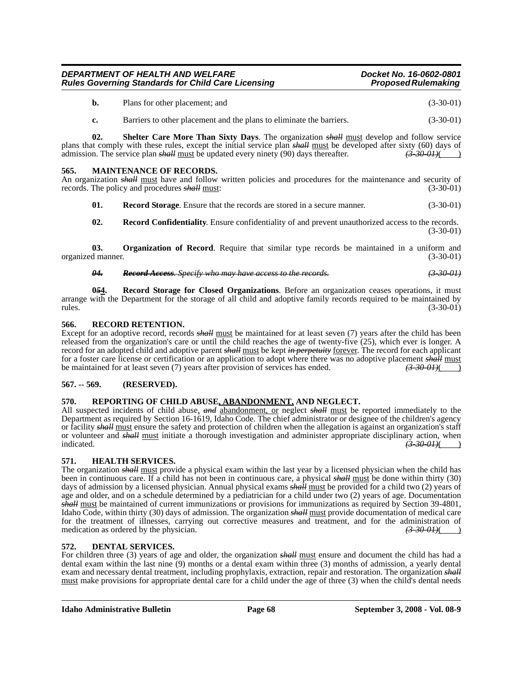| b. | Plans for other placement: and | $(3-30-01)$ |
|----|--------------------------------|-------------|
|----|--------------------------------|-------------|

**c.** Barriers to other placement and the plans to eliminate the barriers. (3-30-01)

**02. Shelter Care More Than Sixty Days**. The organization *shall* must develop and follow service plans that comply with these rules, except the initial service plan *shall* must be developed after sixty (60) days of admission. The service plan *shall* must be updated every ninety (90) days thereafter.  $\left(3-30-01\right)$ admission. The service plan *shall* must be updated every ninety (90) days thereafter.

#### **565. MAINTENANCE OF RECORDS.**

An organization *shall* must have and follow written policies and procedures for the maintenance and security of records. The policy and procedures *shall* must: (3-30-01) records. The policy and procedures *shall* must:

**01. Record Storage**. Ensure that the records are stored in a secure manner. (3-30-01)

**02. Record Confidentiality**. Ensure confidentiality of and prevent unauthorized access to the records. (3-30-01)

**03. Organization of Record**. Require that similar type records be maintained in a uniform and organized manner. (3-30-01)

*04. Record Access. Specify who may have access to the records. (3-30-01)*

**0***5***4. Record Storage for Closed Organizations**. Before an organization ceases operations, it must arrange with the Department for the storage of all child and adoptive family records required to be maintained by rules. (3-30-01)

#### **566. RECORD RETENTION.**

Except for an adoptive record, records *shall* must be maintained for at least seven (7) years after the child has been released from the organization's care or until the child reaches the age of twenty-five (25), which ever is longer. A record for an adopted child and adoptive parent *shall* must be kept *in perpetuity* forever. The record for each applicant for a foster care license or certification or an application to adopt where there was no adoptive placement *shall* must be maintained for at least seven (7) years after provision of services has ended. *(3-30-01)*( )

#### **567. -- 569. (RESERVED).**

#### **570. REPORTING OF CHILD ABUSE, ABANDONMENT, AND NEGLECT.**

All suspected incidents of child abuse, *and* abandonment, or neglect *shall* must be reported immediately to the Department as required by Section 16-1619, Idaho Code. The chief administrator or designee of the children's agency or facility *shall* must ensure the safety and protection of children when the allegation is against an organization's staff or volunteer and *shall* <u>must</u> initiate a thorough investigation and administer appropriate disciplinary action, when indicated. (3.30 0H)  $\left(3,30,01\right)$ ( )

#### **571. HEALTH SERVICES.**

The organization *shall* must provide a physical exam within the last year by a licensed physician when the child has been in continuous care. If a child has not been in continuous care, a physical *shall* must be done within thirty (30) days of admission by a licensed physician. Annual physical exams *shall* must be provided for a child two (2) years of age and older, and on a schedule determined by a pediatrician for a child under two (2) years of age. Documentation *shall* must be maintained of current immunizations or provisions for immunizations as required by Section 39-4801, Idaho Code, within thirty (30) days of admission. The organization *shall* must provide documentation of medical care for the treatment of illnesses, carrying out corrective measures and treatment, and for the administration of medication as ordered by the physician. medication as ordered by the physician.

#### **572. DENTAL SERVICES.**

For children three (3) years of age and older, the organization *shall* must ensure and document the child has had a dental exam within the last nine (9) months or a dental exam within three (3) months of admission, a yearly dental exam and necessary dental treatment, including prophylaxis, extraction, repair and restoration. The organization *shall* must make provisions for appropriate dental care for a child under the age of three (3) when the child's dental needs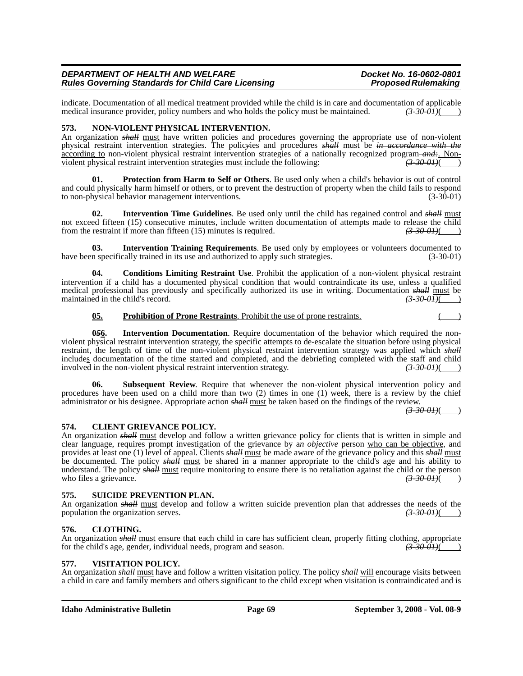indicate. Documentation of all medical treatment provided while the child is in care and documentation of applicable medical insurance provider, policy numbers and who holds the policy must be maintained.  $\left(3,30,01\right)$ medical insurance provider, policy numbers and who holds the policy must be maintained.

#### **573. NON-VIOLENT PHYSICAL INTERVENTION.**

An organization *shall* must have written policies and procedures governing the appropriate use of non-violent physical restraint intervention strategies. The polic*y*ies and procedures *shall* must be *in accordance with the* according to non-violent physical restraint intervention strategies of a nationally recognized program *and:*. Non-<br>violent physical restraint intervention strategies must include the following:<br>(3.30.01) violent physical restraint intervention strategies must include the following: *(3-30-01)*( )

**01. Protection from Harm to Self or Others**. Be used only when a child's behavior is out of control and could physically harm himself or others, or to prevent the destruction of property when the child fails to respond to non-physical behavior management interventions. (3-30-01)

**02. Intervention Time Guidelines**. Be used only until the child has regained control and *shall* must not exceed fifteen (15) consecutive minutes, include written documentation of attempts made to release the child<br>from the restraint if more than fifteen (15) minutes is required.<br>(3-30-01) from the restraint if more than fifteen (15) minutes is required.

**03. Intervention Training Requirements**. Be used only by employees or volunteers documented to have been specifically trained in its use and authorized to apply such strategies.  $(3-30-01)$ 

**04. Conditions Limiting Restraint Use**. Prohibit the application of a non-violent physical restraint intervention if a child has a documented physical condition that would contraindicate its use, unless a qualified medical professional has previously and specifically authorized its use in writing. Documentation *shall* must be maintained in the child's record. *(3-30-01)*( )

#### **05. Prohibition of Prone Restraints**. Prohibit the use of prone restraints.

**0***5***6. Intervention Documentation**. Require documentation of the behavior which required the nonviolent physical restraint intervention strategy, the specific attempts to de-escalate the situation before using physical restraint, the length of time of the non-violent physical restraint intervention strategy was applied which *shall* includes documentation of the time started and completed, and the debriefing completed with the staff and child<br>involved in the non-violent physical restraint intervention strategy.<br>( $\frac{3300H}{(}$ ) involved in the non-violent physical restraint intervention strategy.

**06.** Subsequent Review. Require that whenever the non-violent physical intervention policy and procedures have been used on a child more than two (2) times in one (1) week, there is a review by the chief administrator or his designee. Appropriate action *shall* must be taken based on the findings of the review.

 $(3-30-0)$ 

#### **574. CLIENT GRIEVANCE POLICY.**

An organization *shall* must develop and follow a written grievance policy for clients that is written in simple and clear language, requires prompt investigation of the grievance by a*n objective* person who can be objective, and provides at least one (1) level of appeal. Clients *shall* must be made aware of the grievance policy and this *shall* must be documented. The policy *shall* must be shared in a manner appropriate to the child's age and his ability to understand. The policy *shall* must require monitoring to ensure there is no retaliation against the child or the person who files a grievance.  $\frac{(3-30-01)}{2}$ 

#### **575. SUICIDE PREVENTION PLAN.**

An organization *shall* must develop and follow a written suicide prevention plan that addresses the needs of the population the organization serves. population the organization serves.

#### **576. CLOTHING.**

An organization *shall* must ensure that each child in care has sufficient clean, properly fitting clothing, appropriate for the child's age, gender, individual needs, program and season. for the child's age, gender, individual needs, program and season. *(3-30-01)*( )

#### **577. VISITATION POLICY.**

An organization *shall* must have and follow a written visitation policy. The policy *shall* will encourage visits between a child in care and family members and others significant to the child except when visitation is contraindicated and is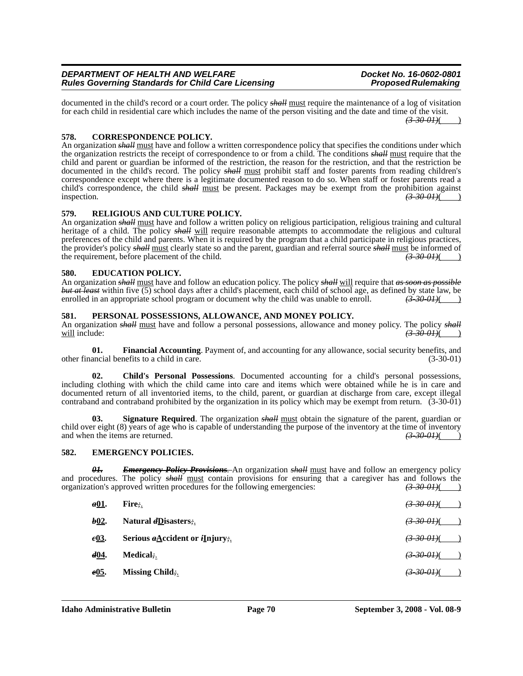documented in the child's record or a court order. The policy *shall* must require the maintenance of a log of visitation for each child in residential care which includes the name of the person visiting and the date and time of the visit. *(3-30-01)*( )

#### **578. CORRESPONDENCE POLICY.**

An organization *shall* must have and follow a written correspondence policy that specifies the conditions under which the organization restricts the receipt of correspondence to or from a child. The conditions *shall* must require that the child and parent or guardian be informed of the restriction, the reason for the restriction, and that the restriction be documented in the child's record. The policy *shall* must prohibit staff and foster parents from reading children's correspondence except where there is a legitimate documented reason to do so. When staff or foster parents read a child's correspondence, the child *shall* must be present. Packages may be exempt from the prohibition against inspection.  $\left(3-30-01\right)$  ( $\left(3-30-01\right)$ )

#### **579. RELIGIOUS AND CULTURE POLICY.**

An organization *shall* must have and follow a written policy on religious participation, religious training and cultural heritage of a child. The policy *shall* will require reasonable attempts to accommodate the religious and cultural preferences of the child and parents. When it is required by the program that a child participate in religious practices, the provider's policy *shall* must clearly state so and the parent, guardian and referral source *shall* must be informed of the requirement, before placement of the child.  $\left(3-30-01\right)$  (3-30-01)

#### **580. EDUCATION POLICY.**

An organization *shall* must have and follow an education policy. The policy *shall* will require that *as soon as possible but at least* within five (5) school days after a child's placement, each child of school age, as defined by state law, be enrolled in an appropriate school program or document why the child was unable to enroll.  $\left(3\text{-}30\text{-}01\right)(\text{ }$ 

#### **581. PERSONAL POSSESSIONS, ALLOWANCE, AND MONEY POLICY.**

An organization *shall* <u>must</u> have and follow a personal possessions, allowance and money policy. The policy *shall* will include: (3-30-01)( will include: *(3-30-01)*( )

**01.** Financial Accounting. Payment of, and accounting for any allowance, social security benefits, and ancial benefits to a child in care. (3-30-01) other financial benefits to a child in care.

**02. Child's Personal Possessions**. Documented accounting for a child's personal possessions, including clothing with which the child came into care and items which were obtained while he is in care and documented return of all inventoried items, to the child, parent, or guardian at discharge from care, except illegal contraband and contraband prohibited by the organization in its policy which may be exempt from return. (3-30-01)

**03. Signature Required**. The organization *shall* must obtain the signature of the parent, guardian or child over eight (8) years of age who is capable of understanding the purpose of the inventory at the time of inventory and when the items are returned.  $\left(3-30-01\right)$ and when the items are returned.

#### **582. EMERGENCY POLICIES.**

*01. Emergency Policy Provisions.* An organization *shall* must have and follow an emergency policy and procedures. The policy *shall* <u>must</u> contain provisions for ensuring that a caregiver has and follows the organization's approved written procedures for the following emergencies:  $\left(3-30-0.01\right)$ organization's approved written procedures for the following emergencies:

| a01.              | Fire:                                             | $(3-30-0)$             |
|-------------------|---------------------------------------------------|------------------------|
| b <sub>02</sub> . | Natural <i>d</i> Disasters;                       | $(3-30,0)$             |
| e03.              | Serious $a \triangle$ ccident or <i>i</i> Injury; | <del>(3-30-01)</del> ( |
| d04.              | Medical:                                          | <del>(3-30-01)</del> ( |
| e05.              | Missing Child;                                    | <del>(3 30 01)</del> ( |
|                   |                                                   |                        |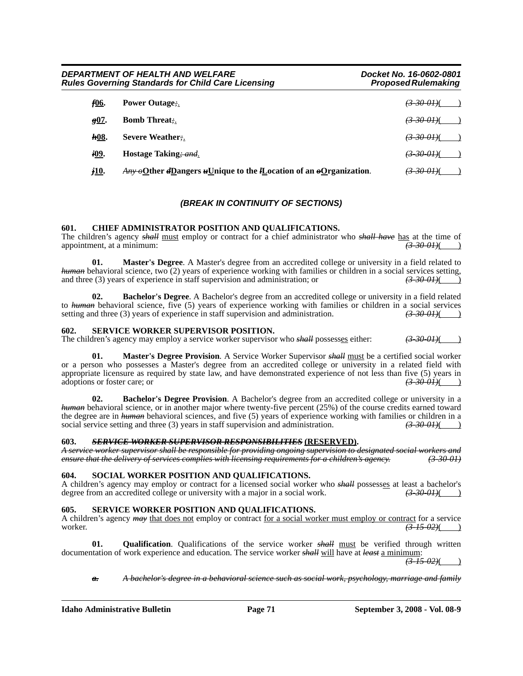| DEPARTMENT OF HEALTH AND WELFARE<br><b>Rules Governing Standards for Child Care Licensing</b> |                                                                                                 | Docket No. 16-0602-0801<br><b>Proposed Rulemaking</b> |
|-----------------------------------------------------------------------------------------------|-------------------------------------------------------------------------------------------------|-------------------------------------------------------|
| f06.                                                                                          | <b>Power Outage:.</b>                                                                           | <del>(3-30-01)</del> (                                |
| $g07$ .                                                                                       | <b>Bomb Threat:</b>                                                                             | <del>(3-30-01)</del> (                                |
| <b>h</b> 08.                                                                                  | Severe Weather.                                                                                 | <del>(3–30–01)</del> (                                |
| <i>i</i> 09.                                                                                  | Hostage Taking; and                                                                             | <del>(3-30-01)</del> (                                |
| <i>j</i> 10.                                                                                  | $\frac{A_{HY}}{A_{HY}}$ oQther dD angers uUnique to the <i>IL</i> ocation of an oQ rganization. | <del>(3-30-01)</del> (                                |

### *(BREAK IN CONTINUITY OF SECTIONS)*

#### **601. CHIEF ADMINISTRATOR POSITION AND QUALIFICATIONS.**

The children's agency *shall* must employ or contract for a chief administrator who *shall have* has at the time of appointment, at a minimum: *(3-30-01)*(*3-30-01)*(

**01. Master's Degree**. A Master's degree from an accredited college or university in a field related to *human* behavioral science, two (2) years of experience working with families or children in a social services setting, and three (3) years of experience in staff supervision and administration; or  $\left(3\text{-}30\text{-}01\right)$ 

**02. Bachelor's Degree**. A Bachelor's degree from an accredited college or university in a field related to *human* behavioral science, five (5) years of experience working with families or children in a social services setting and three (3) years of experience in staff supervision and administration.  $\left(3.300H\right)$ setting and three (3) years of experience in staff supervision and administration.

#### **602. SERVICE WORKER SUPERVISOR POSITION.**

The children's agency may employ a service worker supervisor who *shall* possesses either: *(3-30-01)*(

**01. Master's Degree Provision**. A Service Worker Supervisor *shall* must be a certified social worker or a person who possesses a Master's degree from an accredited college or university in a related field with appropriate licensure as required by state law, and have demonstrated experience of not less than five (5) years in adoptions or foster care; or adoptions or foster care; or

**02. Bachelor's Degree Provision**. A Bachelor's degree from an accredited college or university in a *human* behavioral science, or in another major where twenty-five percent (25%) of the course credits earned toward the degree are in *human* behavioral sciences, and five (5) years of experience working with families or children in a social service setting and three (3) years in staff supervision and administration.  $\left(3\text{-}30\text{-}01\right)(\text{ }$ 

#### **603.** *SERVICE WORKER SUPERVISOR RESPONSIBILITIES* **(RESERVED).**

*A service worker supervisor shall be responsible for providing ongoing supervision to designated social workers and ensure that the delivery of services complies with licensing requirements for a children's agency.* 

#### **604. SOCIAL WORKER POSITION AND QUALIFICATIONS.**

A children's agency may employ or contract for a licensed social worker who *shall* possesses at least a bachelor's degree from an accredited college or university with a major in a social work.  $\left(3.300H\right)$ degree from an accredited college or university with a major in a social work.

#### **605. SERVICE WORKER POSITION AND QUALIFICATIONS.**

A children's agency *may* that does not employ or contract for a social worker must employ or contract for a service worker. *(3-15-02)*( )

**01. Qualification**. Qualifications of the service worker *shall* must be verified through written documentation of work experience and education. The service worker *shall* will have at *least* a minimum:

*(3-15-02)*( )

*a. A bachelor's degree in a behavioral science such as social work, psychology, marriage and family*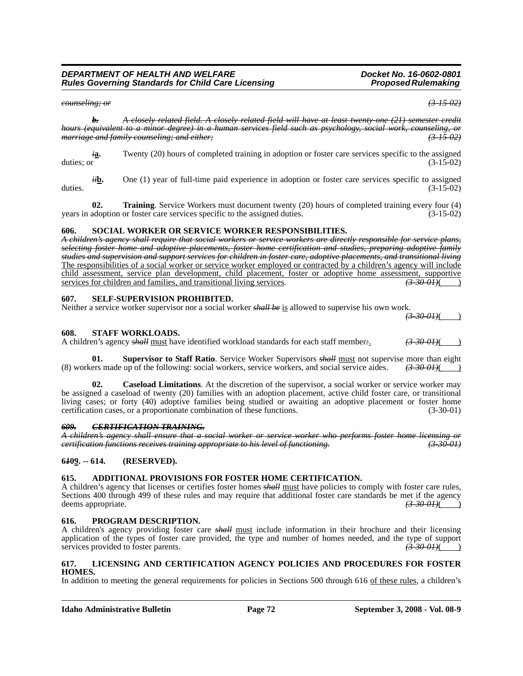*counseling; or (3-15-02)*

*b. A closely related field. A closely related field will have at least twenty-one (21) semester credit hours (equivalent to a minor degree) in a human services field such as psychology, social work, counseling, or marriage and family counseling; and either; (3-15-02)*

*i***a.** Twenty (20) hours of completed training in adoption or foster care services specific to the assigned duties: or (3-15-02) duties; or  $(3-15-02)$ 

*ii***b.** One (1) year of full-time paid experience in adoption or foster care services specific to assigned (3-15-02) duties.  $(3-15-02)$ 

**02. Training**. Service Workers must document twenty (20) hours of completed training every four (4) years in adoption or foster care services specific to the assigned duties. (3-15-02)

#### **606. SOCIAL WORKER OR SERVICE WORKER RESPONSIBILITIES.**

*A children's agency shall require that social workers or service workers are directly responsible for service plans, selecting foster home and adoptive placements, foster home certification and studies, preparing adoptive family studies and supervision and support services for children in foster care, adoptive placements, and transitional living* The responsibilities of a social worker or service worker employed or contracted by a children's agency will include child assessment, service plan development, child placement, foster or adoptive home assessment, supportive services for children and families, and transitional living services. services for children and families, and transitional living services.

#### **607. SELF-SUPERVISION PROHIBITED.**

Neither a service worker supervisor nor a social worker *shall be* is allowed to supervise his own work.

*(3-30-01)*( )

#### **608. STAFF WORKLOADS.**

A children's agency *shall* must have identified workload standards for each staff member*:*. *(3-30-01)*( )

**01. Supervisor to Staff Ratio**. Service Worker Supervisors *shall* must not supervise more than eight (8) workers made up of the following: social workers, service workers, and social service aides. *(3-30-01)*( )

**02.** Caseload Limitations. At the discretion of the supervisor, a social worker or service worker may be assigned a caseload of twenty (20) families with an adoption placement, active child foster care, or transitional living cases; or forty (40) adoptive families being studied or awaiting an adoptive placement or foster home certification cases, or a proportionate combination of these functions. (3-30-01)

#### *609. CERTIFICATION TRAINING.*

*A children's agency shall ensure that a social worker or service worker who performs foster home licensing or certification functions receives training appropriate to his level of functioning. (3-30-01)*

#### **6***1***09. -- 614. (RESERVED).**

#### **615. ADDITIONAL PROVISIONS FOR FOSTER HOME CERTIFICATION.**

A children's agency that licenses or certifies foster homes *shall* must have policies to comply with foster care rules, Sections 400 through 499 of these rules and may require that additional foster care standards be met if the agency deems appropriate. *(3-30-01)*( )

#### **616. PROGRAM DESCRIPTION.**

A children's agency providing foster care *shall* must include information in their brochure and their licensing application of the types of foster care provided, the type and number of homes needed, and the type of support services provided to foster parents. *(3-30-01)* (*3-30-01)* (*3-30-01)* 

#### **617. LICENSING AND CERTIFICATION AGENCY POLICIES AND PROCEDURES FOR FOSTER HOMES.**

In addition to meeting the general requirements for policies in Sections 500 through 616 of these rules, a children's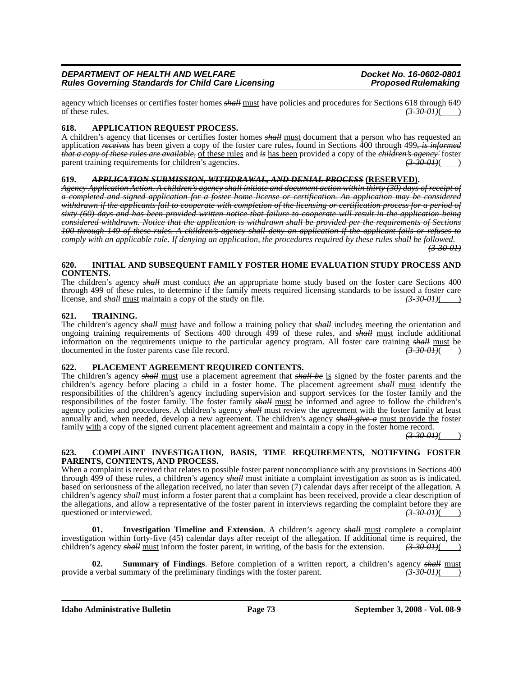agency which licenses or certifies foster homes *shall* must have policies and procedures for Sections 618 through 649<br>of these rules.  $(3-30.01)$ ( )

#### **618. APPLICATION REQUEST PROCESS.**

A children's agency that licenses or certifies foster homes *shall* must document that a person who has requested an application *receives* has been given a copy of the foster care rules*,* found in Sections 400 through 499*, is informed that a copy of these rules are available,* of these rules and *is* has been provided a copy of the *children's agency'* foster parent training requirements for children's agencies. (3.300) parent training requirements <u>for children's agencies</u>.

#### **619.** *APPLICATION SUBMISSION, WITHDRAWAL, AND DENIAL PROCESS* **(RESERVED).**

*Agency Application Action. A children's agency shall initiate and document action within thirty (30) days of receipt of a completed and signed application for a foster home license or certification. An application may be considered withdrawn if the applicants fail to cooperate with completion of the licensing or certification process for a period of sixty (60) days and has been provided written notice that failure to cooperate will result in the application being considered withdrawn. Notice that the application is withdrawn shall be provided per the requirements of Sections 100 through 149 of these rules. A children's agency shall deny an application if the applicant fails or refuses to comply with an applicable rule. If denying an application, the procedures required by these rules shall be followed.*

*(3-30-01)*

#### **620. INITIAL AND SUBSEQUENT FAMILY FOSTER HOME EVALUATION STUDY PROCESS AND CONTENTS.**

The children's agency *shall* must conduct *the* an appropriate home study based on the foster care Sections 400 through 499 of these rules, to determine if the family meets required licensing standards to be issued a foster care license, and *shall* must maintain a copy of the study on file. *(3-30-01)*( )

#### **621. TRAINING.**

The children's agency *shall* must have and follow a training policy that *shall* includes meeting the orientation and ongoing training requirements of Sections 400 through 499 of these rules, and *shall* must include additional information on the requirements unique to the particular agency program. All foster care training *shall* must be documented in the foster parents case file record. *(3-30-01)*( )

#### **622. PLACEMENT AGREEMENT REQUIRED CONTENTS.**

The children's agency *shall* must use a placement agreement that *shall be* is signed by the foster parents and the children's agency before placing a child in a foster home. The placement agreement *shall* must identify the responsibilities of the children's agency including supervision and support services for the foster family and the responsibilities of the foster family. The foster family *shall* must be informed and agree to follow the children's agency policies and procedures. A children's agency *shall* must review the agreement with the foster family at least annually and, when needed, develop a new agreement. The children's agency *shall give a* must provide the foster family with a copy of the signed current placement agreement and maintain a copy in the foster home record.

 $(3-30-01)$ 

#### **623. COMPLAINT INVESTIGATION, BASIS, TIME REQUIREMENTS, NOTIFYING FOSTER PARENTS, CONTENTS, AND PROCESS.**

When a complaint is received that relates to possible foster parent noncompliance with any provisions in Sections 400 through 499 of these rules, a children's agency *shall* must initiate a complaint investigation as soon as is indicated, based on seriousness of the allegation received, no later than seven (7) calendar days after receipt of the allegation. A children's agency *shall* must inform a foster parent that a complaint has been received, provide a clear description of the allegations, and allow a representative of the foster parent in interviews regarding the complaint before they are questioned or interviewed.  $\left(3-30-6H\right)(\right)$ questioned or interviewed.

**01. Investigation Timeline and Extension**. A children's agency *shall* must complete a complaint investigation within forty-five (45) calendar days after receipt of the allegation. If additional time is required, the children's agency *shall* must inform the foster parent, in writing, of the basis for the extension.  $(3-30.01)()$ 

**02. Summary of Findings**. Before completion of a written report, a children's agency *shall* must a verbal summary of the preliminary findings with the foster parent.  $\left(3.300H\right)(1.60)$ provide a verbal summary of the preliminary findings with the foster parent.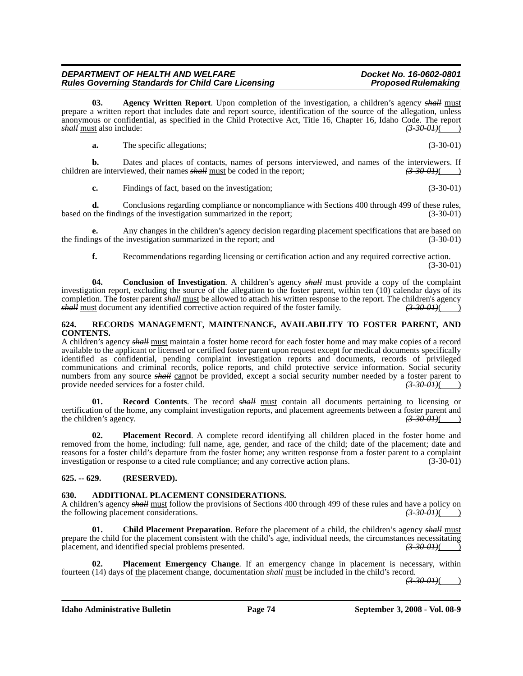**03. Agency Written Report**. Upon completion of the investigation, a children's agency *shall* must prepare a written report that includes date and report source, identification of the source of the allegation, unless anonymous or confidential, as specified in the Child Protective Act, Title 16, Chapter 16, Idaho Code. The report shall must also include:<br>  $\frac{330-01}{10}$ *shall* must also include:

**a.** The specific allegations; (3-30-01)

**b.** Dates and places of contacts, names of persons interviewed, and names of the interviewers. If children are interviewed, their names *shall* must be coded in the report;  $(3-30-01)$ 

**c.** Findings of fact, based on the investigation; (3-30-01)

**d.** Conclusions regarding compliance or noncompliance with Sections 400 through 499 of these rules, based on the findings of the investigation summarized in the report; (3-30-01)

Any changes in the children's agency decision regarding placement specifications that are based on einvestigation summarized in the report; and (3-30-01) the findings of the investigation summarized in the report; and (3-30-01)

**f.** Recommendations regarding licensing or certification action and any required corrective action. (3-30-01)

**04. Conclusion of Investigation**. A children's agency *shall* must provide a copy of the complaint investigation report, excluding the source of the allegation to the foster parent, within ten (10) calendar days of its completion. The foster parent *shall* must be allowed to attach his written response to the report. The children's agency shall must document any identified corrective action required of the foster family.  $\left(3-30-01\right)$ *shall* must document any identified corrective action required of the foster family.

#### **624. RECORDS MANAGEMENT, MAINTENANCE, AVAILABILITY TO FOSTER PARENT, AND CONTENTS.**

A children's agency *shall* must maintain a foster home record for each foster home and may make copies of a record available to the applicant or licensed or certified foster parent upon request except for medical documents specifically identified as confidential, pending complaint investigation reports and documents, records of privileged communications and criminal records, police reports, and child protective service information. Social security numbers from any source *shall* cannot be provided, except a social security number needed by a foster parent to provide needed services for a foster child.  $\left(3-30-01\right)$ provide needed services for a foster child.

**01. Record Contents**. The record *shall* must contain all documents pertaining to licensing or certification of the home, any complaint investigation reports, and placement agreements between a foster parent and the children's agency.<br>(3.30.01) the children's agency.  $\left(3.30-0.01\right)$  ( $\left(3.30-0.01\right)$ )

**02. Placement Record**. A complete record identifying all children placed in the foster home and removed from the home, including: full name, age, gender, and race of the child; date of the placement; date and reasons for a foster child's departure from the foster home; any written response from a foster parent to a complaint investigation or response to a cited rule compliance; and any corrective action plans. (3-30-01)

### **625. -- 629. (RESERVED).**

#### **630. ADDITIONAL PLACEMENT CONSIDERATIONS.**

A children's agency *shall* <u>must</u> follow the provisions of Sections 400 through 499 of these rules and have a policy on the following placement considerations.  $\left(3-30-01\right)$ the following placement considerations.

**01.** Child Placement Preparation. Before the placement of a child, the children's agency *shall* must prepare the child for the placement consistent with the child's age, individual needs, the circumstances necessitating placement, and identified special problems presented.  $\overrightarrow{(3,30,0)}$ placement, and identified special problems presented.

**02. Placement Emergency Change**. If an emergency change in placement is necessary, within fourteen (14) days of the placement change, documentation *shall* must be included in the child's record.

*(3-30-01)*( )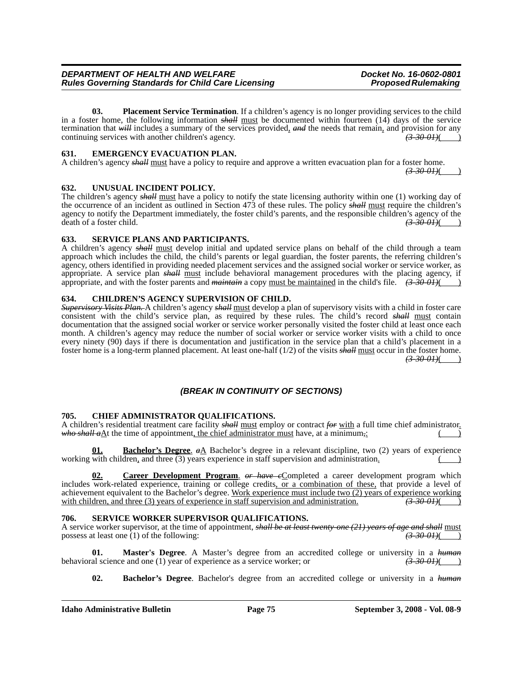**03.** Placement Service Termination. If a children's agency is no longer providing services to the child in a foster home, the following information *shall* must be documented within fourteen (14) days of the service termination that *will* includes a summary of the services provided, *and* the needs that remain, and provision for any continuing services with another children's agency.  $\left(\frac{3300I}{\frac{1}{2}\pi}\right)$ continuing services with another children's agency.

#### **631. EMERGENCY EVACUATION PLAN.**

A children's agency *shall* must have a policy to require and approve a written evacuation plan for a foster home.

### **632. UNUSUAL INCIDENT POLICY.**

The children's agency *shall* must have a policy to notify the state licensing authority within one (1) working day of the occurrence of an incident as outlined in Section 473 of these rules. The policy *shall* must require the children's agency to notify the Department immediately, the foster child's parents, and the responsible children's agency of the death of a foster child. *(3-30-01)*( )

### **633. SERVICE PLANS AND PARTICIPANTS.**

A children's agency *shall* must develop initial and updated service plans on behalf of the child through a team approach which includes the child, the child's parents or legal guardian, the foster parents, the referring children's agency, others identified in providing needed placement services and the assigned social worker or service worker, as appropriate. A service plan *shall* must include behavioral management procedures with the placing agency, if appropriate, and with the foster parents and *maintain* a copy <u>must be maintained</u> in the child's file.  $(3-30-01)()$ 

#### **634. CHILDREN'S AGENCY SUPERVISION OF CHILD.**

*Supervisory Visits Plan.* A children's agency *shall* must develop a plan of supervisory visits with a child in foster care consistent with the child's service plan, as required by these rules. The child's record *shall* must contain documentation that the assigned social worker or service worker personally visited the foster child at least once each month. A children's agency may reduce the number of social worker or service worker visits with a child to once every ninety (90) days if there is documentation and justification in the service plan that a child's placement in a foster home is a long-term planned placement. At least one-half (1/2) of the visits *shall* must occur in the foster home.  $(3-30-0)$ 

## *(BREAK IN CONTINUITY OF SECTIONS)*

### **705. CHIEF ADMINISTRATOR QUALIFICATIONS.**

A children's residential treatment care facility *shall* must employ or contract *for* with a full time chief administrator. *who shall a* $\underline{A}$ t the time of appointment<u>, the chief administrator must</u> have, at a minimum,:

**<u>Bachelor's Degree.</u>**  $\alpha A$  Bachelor's degree in a relevant discipline, two (2) years of experience working with children, and three  $(3)$  years experience in staff supervision and administration.

**Career Development Program.** *or have e*Completed a career development program which includes work-related experience, training or college credits, or a combination of these, that provide a level of achievement equivalent to the Bachelor's degree. Work experience must include two (2) years of experience working with children, and three (3) years of experience in staff supervision and administration.  $\left(3\right.30\cdot 0.01$ with children, and three (3) years of experience in staff supervision and administration.

#### **706. SERVICE WORKER SUPERVISOR QUALIFICATIONS.**

A service worker supervisor, at the time of appointment, *shall be at least twenty-one (21) years of age and shall* must possess at least one  $(1)$  of the following:

**01. Master's Degree**. A Master's degree from an accredited college or university in a *human* al science and one (1) year of experience as a service worker: or  $\left(3-30-0.01\right)$ behavioral science and one (1) year of experience as a service worker; or

**02. Bachelor's Degree**. Bachelor's degree from an accredited college or university in a *human*

*(3-30-01)*( )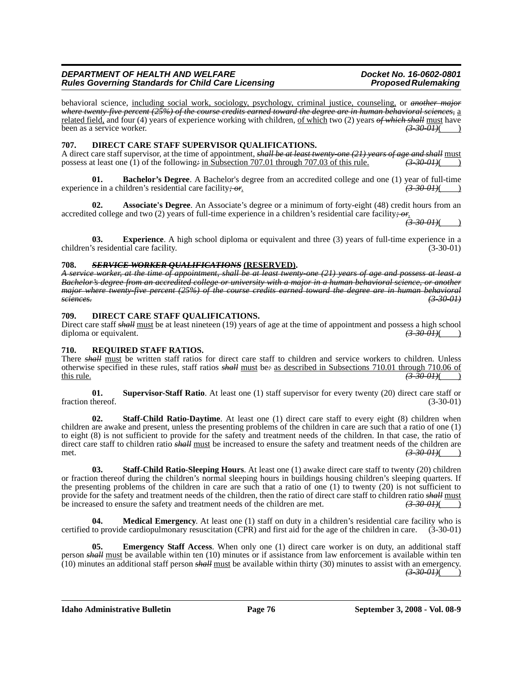behavioral science, including social work, sociology, psychology, criminal justice, counseling, or *another major where twenty-five percent (25%) of the course credits earned toward the degree are in human behavioral sciences,* a related field, and four (4) years of experience working with children, of which two (2) years *of which shall* must have been as a service worker.

### **707. DIRECT CARE STAFF SUPERVISOR QUALIFICATIONS.**

A direct care staff supervisor, at the time of appointment, *shall be at least twenty-one (21) years of age and shall* must<br>possess at least one (1) of the following÷ in Subsection 707.01 through 707.03 of this rule. (3.30 possess at least one (1) of the following- in Subsection 707.01 through 707.03 of this rule.

**Bachelor's Degree**. A Bachelor's degree from an accredited college and one (1) year of full-time iddren's residential care facility:  $\frac{\partial \mathbf{F}}{\partial t}$ . experience in a children's residential care facility; or.

**02. Associate's Degree**. An Associate's degree or a minimum of forty-eight (48) credit hours from an accredited college and two (2) years of full-time experience in a children's residential care facility*; or*.

*(3-30-01)*( )

**03. Experience**. A high school diploma or equivalent and three (3) years of full-time experience in a children's residential care facility. (3-30-01)

#### **708.** *SERVICE WORKER QUALIFICATIONS* **(RESERVED).**

*A service worker, at the time of appointment, shall be at least twenty-one (21) years of age and possess at least a Bachelor's degree from an accredited college or university with a major in a human behavioral science, or another major where twenty-five percent (25%) of the course credits earned toward the degree are in human behavioral sciences. (3-30-01)*

#### **709. DIRECT CARE STAFF QUALIFICATIONS.**

Direct care staff *shall* must be at least nineteen (19) years of age at the time of appointment and possess a high school diploma or equivalent. diploma or equivalent.

#### **710. REQUIRED STAFF RATIOS.**

There **shall** must be written staff ratios for direct care staff to children and service workers to children. Unless otherwise specified in these rules, staff ratios *shall* must be*:* as described in Subsections 710.01 through 710.06 of this rule. *(3-30-01)*( )

**01. Supervisor-Staff Ratio**. At least one (1) staff supervisor for every twenty (20) direct care staff or fraction thereof. (3-30-01)

**02. Staff-Child Ratio-Daytime**. At least one (1) direct care staff to every eight (8) children when children are awake and present, unless the presenting problems of the children in care are such that a ratio of one (1) to eight (8) is not sufficient to provide for the safety and treatment needs of the children. In that case, the ratio of direct care staff to children ratio *shall* must be increased to ensure the safety and treatment needs of the children are met. *(3-30-01)*( )

**03. Staff-Child Ratio-Sleeping Hours**. At least one (1) awake direct care staff to twenty (20) children or fraction thereof during the children's normal sleeping hours in buildings housing children's sleeping quarters. If the presenting problems of the children in care are such that a ratio of one (1) to twenty (20) is not sufficient to provide for the safety and treatment needs of the children, then the ratio of direct care staff to children ratio *shall* must be increased to ensure the safety and treatment needs of the children are met. *(3-30-01)*( )

**Medical Emergency**. At least one (1) staff on duty in a children's residential care facility who is certified to provide cardiopulmonary resuscitation (CPR) and first aid for the age of the children in care. (3-30-01)

**05. Emergency Staff Access**. When only one (1) direct care worker is on duty, an additional staff person *shall* must be available within ten (10) minutes or if assistance from law enforcement is available within ten (10) minutes an additional staff person *shall* must be available within thirty (30) minutes to assist with an emergency. *(3-30-01)*( )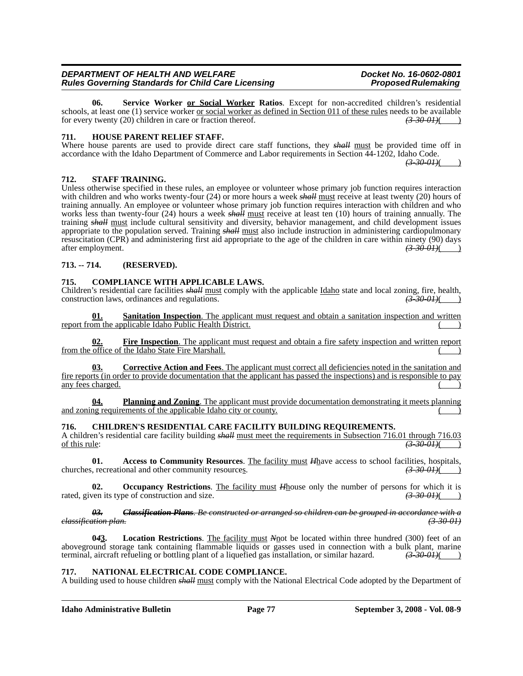**06. Service Worker or Social Worker Ratios**. Except for non-accredited children's residential schools, at least one  $(1)$  service worker  $or social worker as defined in Section 011 of these rules needs to be available$ </u> for every twenty (20) children in care or fraction thereof. *(3-30-01)*( )

#### **711. HOUSE PARENT RELIEF STAFF.**

Where house parents are used to provide direct care staff functions, they *shall* must be provided time off in accordance with the Idaho Department of Commerce and Labor requirements in Section 44-1202, Idaho Code. *(3-30-01)*( )

**712. STAFF TRAINING.**

Unless otherwise specified in these rules, an employee or volunteer whose primary job function requires interaction with children and who works twenty-four (24) or more hours a week *shall* must receive at least twenty (20) hours of training annually. An employee or volunteer whose primary job function requires interaction with children and who works less than twenty-four (24) hours a week *shall* must receive at least ten (10) hours of training annually. The training *shall* must include cultural sensitivity and diversity, behavior management, and child development issues appropriate to the population served. Training *shall* must also include instruction in administering cardiopulmonary resuscitation (CPR) and administering first aid appropriate to the age of the children in care within ninety (90) days after employment. after employment. *(3-30-01)*( )

#### **713. -- 714. (RESERVED).**

#### **715. COMPLIANCE WITH APPLICABLE LAWS.**

Children's residential care facilities *shall* must comply with the applicable Idaho state and local zoning, fire, health, construction laws, ordinances and regulations. *(3-30-01)*( )

**01. Sanitation Inspection**. The applicant must request and obtain a sanitation inspection and written report from the applicable Idaho Public Health District.

**02. Fire Inspection**. The applicant must request and obtain a fire safety inspection and written report from the office of the Idaho State Fire Marshall.

**03. Corrective Action and Fees**. The applicant must correct all deficiencies noted in the sanitation and fire reports (in order to provide documentation that the applicant has passed the inspections) and is responsible to pay any fees charged.

**04. Planning and Zoning**. The applicant must provide documentation demonstrating it meets planning and zoning requirements of the applicable Idaho city or county.

#### **716. CHILDREN'S RESIDENTIAL CARE FACILITY BUILDING REQUIREMENTS.**

A children's residential care facility building *shall* <u>must meet the requirements in Subsection 716.01 through 716.03</u> of this rule:<br>
(3.30 0 H) of this rule: *(3-30-01)*( )

**01.** Access to Community Resources. The facility must  $H_{\text{have}}$  access to school facilities, hospitals,  $\left(3.300H\right)(\frac{1}{2} \cdot 3.000)$ churches, recreational and other community resources.

**02.** Occupancy Restrictions. The facility must *H*house only the number of persons for which it is rated, given its type of construction and size.  $(3-30-0.01)($ 

*03. Classification Plans. Be constructed or arranged so children can be grouped in accordance with a classification plan. (3-30-01)*

Location Restrictions. The facility must *N*not be located within three hundred (300) feet of an aboveground storage tank containing flammable liquids or gasses used in connection with a bulk plant, marine terminal, aircraft refueling or bottling plant of a liquefied gas installation, or similar hazard.  $(3-30-01)$ terminal, aircraft refueling or bottling plant of a liquefied gas installation, or similar hazard.

#### **717. NATIONAL ELECTRICAL CODE COMPLIANCE.**

A building used to house children *shall* must comply with the National Electrical Code adopted by the Department of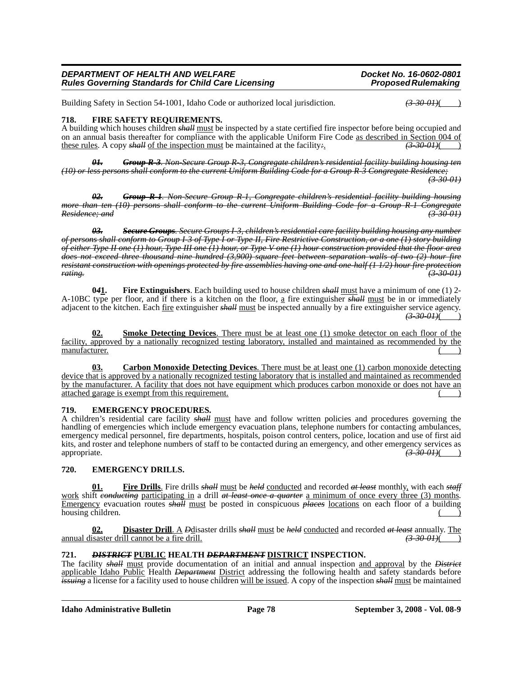Building Safety in Section 54-1001, Idaho Code or authorized local jurisdiction.  $\left(3\text{-}30\text{-}01\right)$ 

#### **718. FIRE SAFETY REQUIREMENTS.**

A building which houses children *shall* must be inspected by a state certified fire inspector before being occupied and on an annual basis thereafter for compliance with the applicable Uniform Fire Code as described in Section 004 of these rules. A copy *shall* of the inspection must be maintained at the facility*:*. *(3-30-01)*( )

*01. Group R-3. Non-Secure Group R-3, Congregate children's residential facility building housing ten (10) or less persons shall conform to the current Uniform Building Code for a Group R-3 Congregate Residence; (3-30-01)*

*02. Group R-1. Non-Secure Group R-1, Congregate children's residential facility building housing more than ten (10) persons shall conform to the current Uniform Building Code for a Group R-1 Congregate Residence; and (3-30-01)*

*03. Secure Groups. Secure Groups I-3, children's residential care facility building housing any number of persons shall conform to Group I-3 of Type I or Type II, Fire Restrictive Construction, or a one (1) story building of either Type II one (1) hour, Type III one (1) hour, or Type V one (1) hour construction provided that the floor area does not exceed three thousand nine hundred (3,900) square feet between separation walls of two (2) hour fire resistant construction with openings protected by fire assemblies having one and one-half (1 1/2) hour fire protection rating. (3-30-01)*

**0***4***1. Fire Extinguishers**. Each building used to house children *shall* must have a minimum of one (1) 2- A-10BC type per floor, and if there is a kitchen on the floor, a fire extinguisher *shall* must be in or immediately adjacent to the kitchen. Each fire extinguisher *shall* must be inspected annually by a fire extinguisher service agency. *(3-30-01)*( )

**02. Smoke Detecting Devices**. There must be at least one (1) smoke detector on each floor of the facility, approved by a nationally recognized testing laboratory, installed and maintained as recommended by the manufacturer.

**03. Carbon Monoxide Detecting Devices**. There must be at least one (1) carbon monoxide detecting device that is approved by a nationally recognized testing laboratory that is installed and maintained as recommended by the manufacturer. A facility that does not have equipment which produces carbon monoxide or does not have an attached garage is exempt from this requirement.

#### **719. EMERGENCY PROCEDURES.**

A children's residential care facility *shall* must have and follow written policies and procedures governing the handling of emergencies which include emergency evacuation plans, telephone numbers for contacting ambulances, emergency medical personnel, fire departments, hospitals, poison control centers, police, location and use of first aid kits, and roster and telephone numbers of staff to be contacted during an emergency, and other emergency services as appropriate. *(3-30-01)*( )

### **720. EMERGENCY DRILLS.**

**01. Fire Drills**. Fire drills *shall* must be *held* conducted and recorded *at least* monthly, with each *staff* work shift *conducting* participating in a drill *at least once a quarter* a minimum of once every three (3) months. Emergency evacuation routes *shall* must be posted in conspicuous *places* locations on each floor of a building housing children.

**02. Disaster Drill**. A *D*disaster drills *shall* must be *held* conducted and recorded *at least* annually. The annual disaster drill cannot be a fire drill. *(3-30-01)***( )**  $(3-30-01)$ 

#### **721.** *DISTRICT* **PUBLIC HEALTH** *DEPARTMENT* **DISTRICT INSPECTION.**

The facility *shall* must provide documentation of an initial and annual inspection and approval by the *District* applicable Idaho Public Health *Department* District addressing the following health and safety standards before *issuing* a license for a facility used to house children will be issued. A copy of the inspection *shall* must be maintained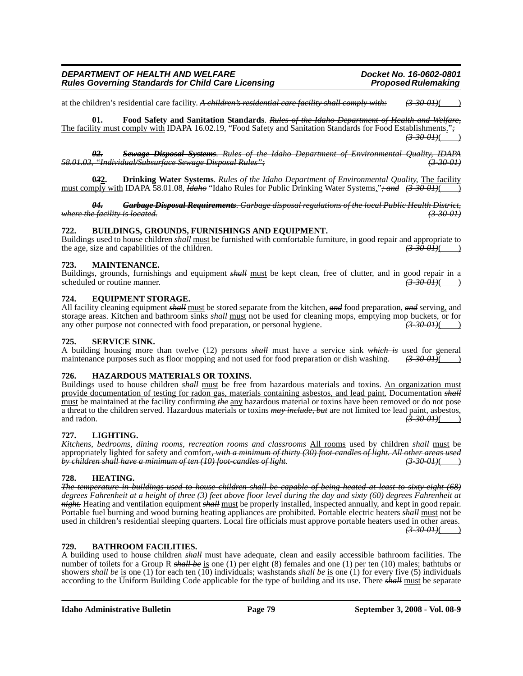at the children's residential care facility. *A children's residential care facility shall comply with: (3-30-01)*( )

**01. Food Safety and Sanitation Standards**. *Rules of the Idaho Department of Health and Welfare,* The facility must comply with IDAPA 16.02.19, "Food Safety and Sanitation Standards for Food Establishments."*; (3-30-01)*( )

*02. Sewage Disposal Systems. Rules of the Idaho Department of Environmental Quality, IDAPA 58.01.03, "Individual/Subsurface Sewage Disposal Rules"; (3-30-01)*

**0***3***2. Drinking Water Systems**. *Rules of the Idaho Department of Environmental Quality,* The facility must comply with IDAPA 58.01.08, *Idaho* "Idaho Rules for Public Drinking Water Systems."*; and (3-30-01)*( )

*04. Garbage Disposal Requirements. Garbage disposal regulations of the local Public Health District, where the facility is located. (3-30-01)*

#### **722. BUILDINGS, GROUNDS, FURNISHINGS AND EQUIPMENT.**

Buildings used to house children *shall* must be furnished with comfortable furniture, in good repair and appropriate to the age, size and capabilities of the children. the age, size and capabilities of the children.

#### **723. MAINTENANCE.**

Buildings, grounds, furnishings and equipment *shall* <u>must</u> be kept clean, free of clutter, and in good repair in a scheduled or routine manner. scheduled or routine manner.

#### **724. EQUIPMENT STORAGE.**

All facility cleaning equipment *shall* must be stored separate from the kitchen, *and* food preparation, *and* serving, and storage areas. Kitchen and bathroom sinks *shall* must not be used for cleaning mops, emptying mop buckets, or for any other purpose not connected with food preparation, or personal hygiene.  $\left(3-30-01\right)$ any other purpose not connected with food preparation, or personal hygiene.

#### **725. SERVICE SINK.**

A building housing more than twelve (12) persons *shall* must have a service sink *which is* used for general maintenance purposes such as floor mopping and not used for food preparation or dish washing.  $\left(3\text{-}30\text{-}01\right)(\text{ }$ 

#### **726. HAZARDOUS MATERIALS OR TOXINS.**

Buildings used to house children *shall* must be free from hazardous materials and toxins. An organization must provide documentation of testing for radon gas, materials containing asbestos, and lead paint. Documentation *shall* must be maintained at the facility confirming *the* any hazardous material or toxins have been removed or do not pose a threat to the children served. Hazardous materials or toxins *may include, but* are not limited to*:* lead paint, asbestos, and radon.  $\left(3.30-0.01\right)$  ( $\left(3.30-0.01\right)$ )

#### **727. LIGHTING.**

*Kitchens, bedrooms, dining rooms, recreation rooms and classrooms* All rooms used by children *shall* must be appropriately lighted for safety and comfort<del>, with a minimum of thirty (30) foot-candles of light. All other areas used<br>by children shall have a minimum of ten (10) foot-candles of light.</del> *by children shall have a minimum of ten (10) foot-candles of light*. *(3-30-01)*( )

#### **728. HEATING.**

*The temperature in buildings used to house children shall be capable of being heated at least to sixty-eight (68) degrees Fahrenheit at a height of three (3) feet above floor level during the day and sixty (60) degrees Fahrenheit at night.* Heating and ventilation equipment *shall* must be properly installed, inspected annually, and kept in good repair. Portable fuel burning and wood burning heating appliances are prohibited. Portable electric heaters *shall* must not be used in children's residential sleeping quarters. Local fire officials must approve portable heaters used in other areas.  $(3-30-01)$ ( )

#### **729. BATHROOM FACILITIES.**

A building used to house children *shall* must have adequate, clean and easily accessible bathroom facilities. The number of toilets for a Group R *shall be* is one (1) per eight (8) females and one (1) per ten (10) males; bathtubs or showers *shall be* is one (1) for each ten (10) individuals; washstands *shall be* is one (1) for every five (5) individuals according to the Uniform Building Code applicable for the type of building and its use. There *shall* must be separate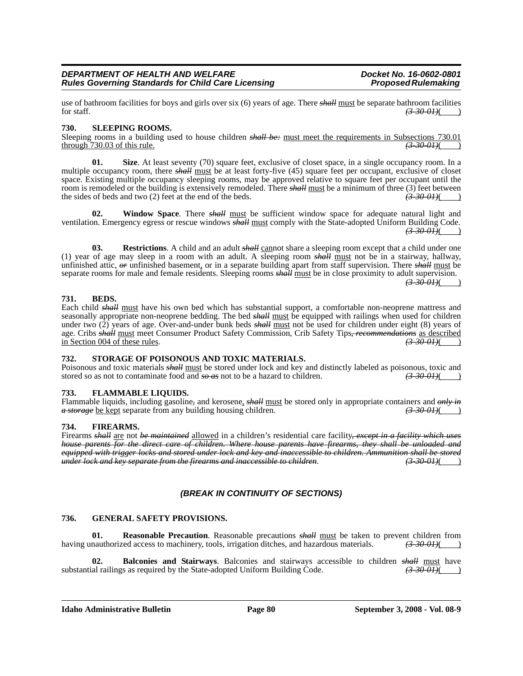use of bathroom facilities for boys and girls over six (6) years of age. There *shall* <u>must</u> be separate bathroom facilities for staff.  $(3-30-01)$ ( )

#### **730. SLEEPING ROOMS.**

Sleeping rooms in a building used to house children *shall be*: <u>must meet the requirements in Subsections 730.01</u> through 730.03 of this rule. through 730.03 of this rule. *(3-30-01)*( )

**01.** Size. At least seventy (70) square feet, exclusive of closet space, in a single occupancy room. In a multiple occupancy room, there *shall* must be at least forty-five (45) square feet per occupant, exclusive of closet space. Existing multiple occupancy sleeping rooms, may be approved relative to square feet per occupant until the room is remodeled or the building is extensively remodeled. There *shall* must be a minimum of three (3) feet between the sides of beds and two (2) feet at the end of the beds. the sides of beds and two (2) feet at the end of the beds.

Window Space. There **shall** must be sufficient window space for adequate natural light and ventilation. Emergency egress or rescue windows *shall* must comply with the State-adopted Uniform Building Code.  $(3-30-01)$ ( )

**03.** Restrictions. A child and an adult *shall* cannot share a sleeping room except that a child under one (1) year of age may sleep in a room with an adult. A sleeping room *shall* must not be in a stairway, hallway, unfinished attic, *or* unfinished basement, or in a separate building apart from staff supervision. There *shall* must be separate rooms for male and female residents. Sleeping rooms *shall* must be in close proximity to adult supervision.  $(3-30-01)$ ( )

#### **731. BEDS.**

Each child *shall* must have his own bed which has substantial support, a comfortable non-neoprene mattress and seasonally appropriate non-neoprene bedding. The bed *shall* must be equipped with railings when used for children under two (2) years of age. Over-and-under bunk beds *shall* must not be used for children under eight (8) years of age. Cribs *shall* must meet Consumer Product Safety Commission, Crib Safety Tips, *recommendations* as described<br>in Section 004 of these rules. (3.30 01) in Section 004 of these rules. *(3-30-01)*( )

#### **732. STORAGE OF POISONOUS AND TOXIC MATERIALS.**

Poisonous and toxic materials *shall* must be stored under lock and key and distinctly labeled as poisonous, toxic and stored so as not to contaminate food and  $\frac{1}{300}$  so as hazard to children.  $\left(\frac{3-30-01}{2}\right)$ 

#### **733. FLAMMABLE LIQUIDS.**

Flammable liquids, including gasoline, and kerosene, *shall* <u>must</u> be stored only in appropriate containers and *only in*  $a$  storage be kept separate from any building housing children.  $\left(3-30-01\right)$ *a storage* be kept separate from any building housing children. *(3-30-01)*( )

#### **734. FIREARMS.**

Firearms *shall* are not *be maintained* allowed in a children's residential care facility, except in a facility which uses *house parents for the direct care of children. Where house parents have firearms, they shall be unloaded and equipped with trigger locks and stored under lock and key and inaccessible to children. Ammunition shall be stored under lock and key separate from the firearms and inaccessible to children*. *(3-30-01)*( )

#### *(BREAK IN CONTINUITY OF SECTIONS)*

#### **736. GENERAL SAFETY PROVISIONS.**

**01. Reasonable Precaution**. Reasonable precautions  $\frac{\partial H}{\partial x}$  must be taken to prevent children from nauthorized access to machinery, tools, irrigation ditches, and hazardous materials.  $\left(\frac{3.30 \text{ }\Omega}{2}\right)$ having unauthorized access to machinery, tools, irrigation ditches, and hazardous materials.

**02. Balconies and Stairways**. Balconies and stairways accessible to children *shall* must have all railings as required by the State-adopted Uniform Building Code.  $\overrightarrow{3300H}$ substantial railings as required by the State-adopted Uniform Building Code.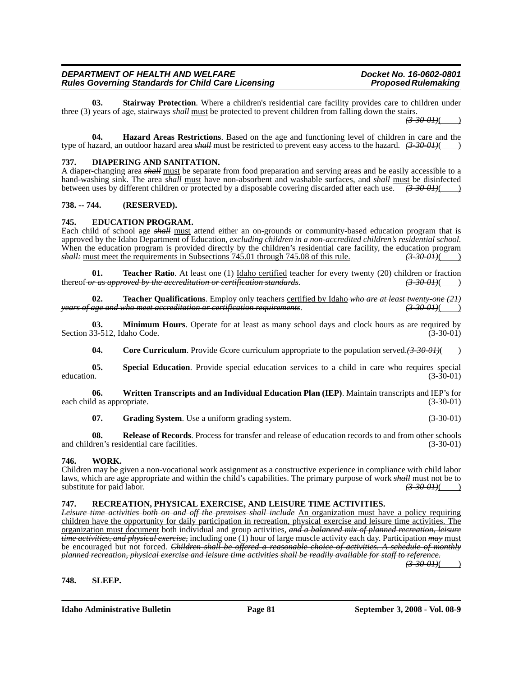**03. Stairway Protection**. Where a children's residential care facility provides care to children under three (3) years of age, stairways *shall* must be protected to prevent children from falling down the stairs.

*(3-30-01)*( )

**04. Hazard Areas Restrictions**. Based on the age and functioning level of children in care and the type of hazard, an outdoor hazard area *shall* must be restricted to prevent easy access to the hazard.  $(3-30-01)()$ 

#### **737. DIAPERING AND SANITATION.**

A diaper-changing area *shall* must be separate from food preparation and serving areas and be easily accessible to a hand-washing sink. The area *shall* must have non-absorbent and washable surfaces, and *shall* must be disinfected between uses by different children or protected by a disposable covering discarded after each use. *(3-30-01)*( )

#### **738. -- 744. (RESERVED).**

#### **745. EDUCATION PROGRAM.**

Each child of school age *shall* must attend either an on-grounds or community-based education program that is approved by the Idaho Department of Education*, excluding children in a non-accredited children's residential school*. When the education program is provided directly by the children's residential care facility, the education program *shall:* must meet the requirements in Subsections 745.01 through 745.08 of this rule. *(3-30-01)*( )

**01. Teacher Ratio**. At least one (1) <u>Idaho certified</u> teacher for every twenty (20) children or fraction  $r$  as approved by the accreditation or certification standards.  $(3-30-64)$  (3.430) thereof *or as approved by the accreditation or certification standards.* 

**02. Teacher Qualifications**. Employ only teachers <u>certified by Idaho *who are at least twenty-one* (21) *are and who meet accreditation or certification requirements*. (3-30-01) *(3-30-01)*</u> *age and who meet accreditation or certification requirements.* 

**03. Minimum Hours**. Operate for at least as many school days and clock hours as are required by Section 33-512, Idaho Code. (3-30-01)

**04.** Core Curriculum. Provide *C*<sub>C</sub>ore curriculum appropriate to the population served. (3-30-01)( )

**05. Special Education**. Provide special education services to a child in care who requires special  $\frac{1}{3-30-01}$  (3-30-01)

**06. Written Transcripts and an Individual Education Plan (IEP)**. Maintain transcripts and IEP's for each child as appropriate. (3-30-01) (3-30-01)

**07.** Grading System. Use a uniform grading system. (3-30-01)

**08. Release of Records**. Process for transfer and release of education records to and from other schools and children's residential care facilities. (3-30-01)

#### **746. WORK.**

Children may be given a non-vocational work assignment as a constructive experience in compliance with child labor laws, which are age appropriate and within the child's capabilities. The primary purpose of work *shall* must not be to substitute for paid labor. substitute for paid labor.

#### **747. RECREATION, PHYSICAL EXERCISE, AND LEISURE TIME ACTIVITIES.**

*Leisure time activities both on and off the premises shall include* An organization must have a policy requiring children have the opportunity for daily participation in recreation, physical exercise and leisure time activities. The organization must document both individual and group activities, *and a balanced mix of planned recreation, leisure time activities, and physical exercise,* including one (1) hour of large muscle activity each day. Participation *may* must be encouraged but not forced. *Children shall be offered a reasonable choice of activities. A schedule of monthly planned recreation, physical exercise and leisure time activities shall be readily available for staff to reference.*

 $(3 - 30 - 0)$ 

#### **748. SLEEP.**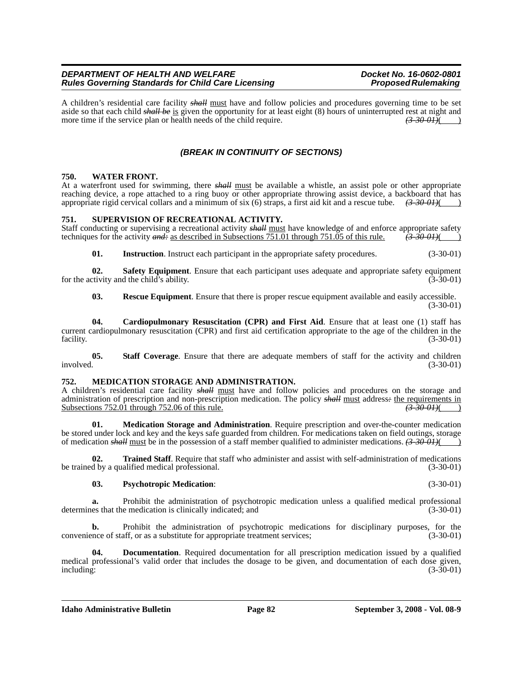A children's residential care facility *shall* must have and follow policies and procedures governing time to be set aside so that each child *shall be* is given the opportunity for at least eight (8) hours of uninterrupted rest at night and more time if the service plan or health needs of the child require.  $(3-30-01)()$ 

### *(BREAK IN CONTINUITY OF SECTIONS)*

#### **750. WATER FRONT.**

At a waterfront used for swimming, there *shall* must be available a whistle, an assist pole or other appropriate reaching device, a rope attached to a ring buoy or other appropriate throwing assist device, a backboard that has appropriate rigid cervical collars and a minimum of six (6) straps, a first aid kit and a rescue tube.  $\left($ appropriate rigid cervical collars and a minimum of six (6) straps, a first aid kit and a rescue tube.

#### **751. SUPERVISION OF RECREATIONAL ACTIVITY.**

Staff conducting or supervising a recreational activity *shall* must have knowledge of and enforce appropriate safety techniques for the activity *and*: as described in Subsections 751.01 through 751.05 of this rule. (3.30 techniques for the activity *and*: as described in Subsections 751.01 through 751.05 of this rule.

**01.** Instruction. Instruct each participant in the appropriate safety procedures. (3-30-01)

**02. Safety Equipment**. Ensure that each participant uses adequate and appropriate safety equipment ctivity and the child's ability. (3-30-01) for the activity and the child's ability.

**03. Rescue Equipment**. Ensure that there is proper rescue equipment available and easily accessible. (3-30-01)

**04. Cardiopulmonary Resuscitation (CPR) and First Aid**. Ensure that at least one (1) staff has current cardiopulmonary resuscitation (CPR) and first aid certification appropriate to the age of the children in the facility. (3-30-01) facility. (3-30-01)

**05.** Staff Coverage. Ensure that there are adequate members of staff for the activity and children involved.  $(3-30-01)$  $involved.$  (3-30-01)

#### **752. MEDICATION STORAGE AND ADMINISTRATION.**

A children's residential care facility *shall* must have and follow policies and procedures on the storage and administration of prescription and non-prescription medication. The policy  $s$ *hall* must address<sup>2</sup> the requirements in Subsections 752.01 through 752.06 of this rule. Subsections 752.01 through 752.06 of this rule.

**01. Medication Storage and Administration**. Require prescription and over-the-counter medication be stored under lock and key and the keys safe guarded from children. For medications taken on field outings, storage of medication *shall* must be in the possession of a staff member qualified to administer medications. *(3-30-01)*( )

**02. Trained Staff**. Require that staff who administer and assist with self-administration of medications be trained by a qualified medical professional. (3-30-01)

#### **03. Psychotropic Medication**: (3-30-01)

**a.** Prohibit the administration of psychotropic medication unless a qualified medical professional determines that the medication is clinically indicated; and (3-30-01)

**b.** Prohibit the administration of psychotropic medications for disciplinary purposes, for the nece of staff, or as a substitute for appropriate treatment services; (3-30-01) convenience of staff, or as a substitute for appropriate treatment services;

**04. Documentation**. Required documentation for all prescription medication issued by a qualified medical professional's valid order that includes the dosage to be given, and documentation of each dose given, including: (3-30-01)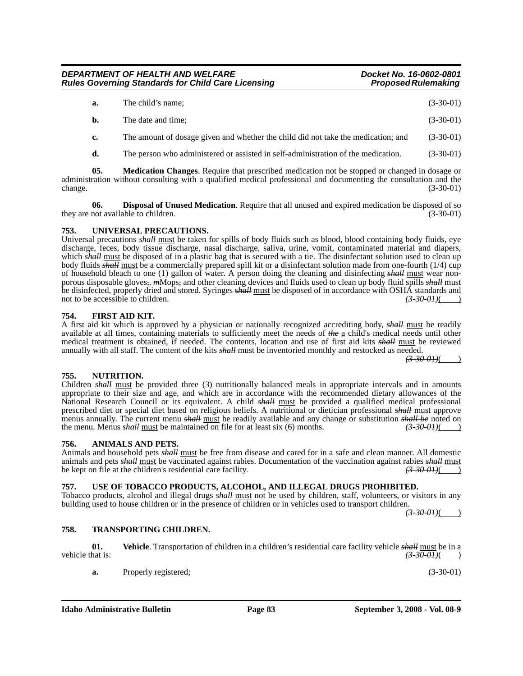| a. | The child's name; | $(3-30-01)$ |  |
|----|-------------------|-------------|--|
|----|-------------------|-------------|--|

**b.** The date and time; (3-30-01)

**c.** The amount of dosage given and whether the child did not take the medication; and (3-30-01)

**d.** The person who administered or assisted in self-administration of the medication. (3-30-01)

**05. Medication Changes**. Require that prescribed medication not be stopped or changed in dosage or administration without consulting with a qualified medical professional and documenting the consultation and the change. (3-30-01) change. (3-30-01) (3-30-01)

**06. Disposal of Unused Medication**. Require that all unused and expired medication be disposed of so they are not available to children. (3-30-01) (3-30-01)

#### **753. UNIVERSAL PRECAUTIONS.**

Universal precautions *shall* must be taken for spills of body fluids such as blood, blood containing body fluids, eye discharge, feces, body tissue discharge, nasal discharge, saliva, urine, vomit, contaminated material and diapers, which *shall* must be disposed of in a plastic bag that is secured with a tie. The disinfectant solution used to clean up body fluids *shall* must be a commercially prepared spill kit or a disinfectant solution made from one-fourth (1/4) cup of household bleach to one (1) gallon of water. A person doing the cleaning and disinfecting *shall* must wear nonporous disposable gloves*,*. *m*Mops*,* and other cleaning devices and fluids used to clean up body fluid spills *shall* must be disinfected, properly dried and stored. Syringes *shall* must be disposed of in accordance with OSHA standards and not to be accessible to children. *(3-30-01)* (*3-30-01)* 

#### **754. FIRST AID KIT.**

A first aid kit which is approved by a physician or nationally recognized accrediting body, *shall* must be readily available at all times, containing materials to sufficiently meet the needs of *the* a child's medical needs until other medical treatment is obtained, if needed. The contents, location and use of first aid kits *shall* must be reviewed annually with all staff. The content of the kits *shall* must be inventoried monthly and restocked as needed.

 $(3-30-0)$ 

### **755. NUTRITION.**

#### Children *shall* must be provided three (3) nutritionally balanced meals in appropriate intervals and in amounts appropriate to their size and age, and which are in accordance with the recommended dietary allowances of the National Research Council or its equivalent. A child *shall* must be provided a qualified medical professional prescribed diet or special diet based on religious beliefs. A nutritional or dietician professional *shall* must approve menus annually. The current menu *shall* must be readily available and any change or substitution *shall be* noted on the menu. Menus *shall* must be maintained on file for at least six (6) months.  $\left(3-30-01\right)$ the menu. Menus *shall* must be maintained on file for at least six (6) months.

### **756. ANIMALS AND PETS.**

Animals and household pets *shall* must be free from disease and cared for in a safe and clean manner. All domestic animals and pets *shall* must be vaccinated against rabies. Documentation of the vaccination against rabies *shall* must<br>be kept on file at the children's residential care facility.  $\left(3-30-01\right)$ be kept on file at the children's residential care facility.  $\frac{(3-30-01)(}{ }$ 

### **757. USE OF TOBACCO PRODUCTS, ALCOHOL, AND ILLEGAL DRUGS PROHIBITED.**

Tobacco products, alcohol and illegal drugs *shall* must not be used by children, staff, volunteers, or visitors in any building used to house children or in the presence of children or in vehicles used to transport children.

 $(3-30-0)$ 

#### **758. TRANSPORTING CHILDREN.**

**01. Vehicle**. Transportation of children in a children's residential care facility vehicle *shall* must be in a vehicle that is:  $\left(3-30-01\right)$  ( $\left(3-30-01\right)$ )

**a.** Properly registered; (3-30-01)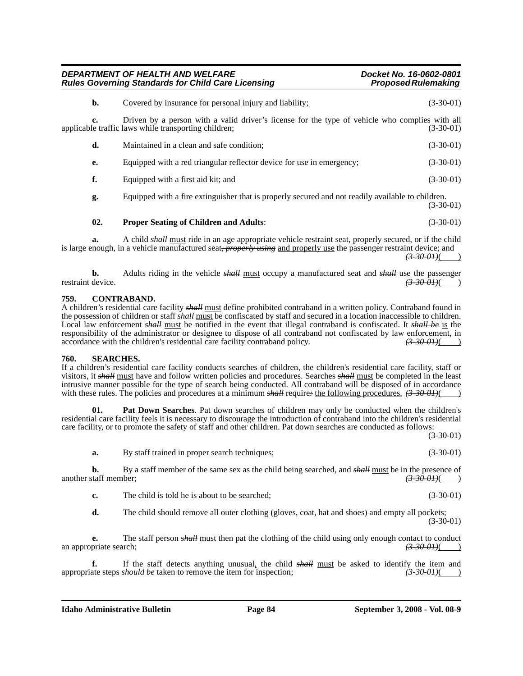| DEPARTMENT OF HEALTH AND WELFARE                          | Docket No. 16-0602-0801    |
|-----------------------------------------------------------|----------------------------|
| <b>Rules Governing Standards for Child Care Licensing</b> | <b>Proposed Rulemaking</b> |

| b.  | Covered by insurance for personal injury and liability;                                                                                                | $(3-30-01)$ |
|-----|--------------------------------------------------------------------------------------------------------------------------------------------------------|-------------|
| c.  | Driven by a person with a valid driver's license for the type of vehicle who complies with all<br>applicable traffic laws while transporting children; | $(3-30-01)$ |
| d.  | Maintained in a clean and safe condition;                                                                                                              | $(3-30-01)$ |
| e.  | Equipped with a red triangular reflector device for use in emergency;                                                                                  | $(3-30-01)$ |
| f.  | Equipped with a first aid kit; and                                                                                                                     | $(3-30-01)$ |
| g.  | Equipped with a fire extinguisher that is properly secured and not readily available to children.                                                      | $(3-30-01)$ |
| 02. | <b>Proper Seating of Children and Adults:</b>                                                                                                          | $(3-30-01)$ |
|     |                                                                                                                                                        |             |

**a.** A child *shall* must ride in an age appropriate vehicle restraint seat, properly secured, or if the child is large enough, in a vehicle manufactured seat*, properly using* and properly use the passenger restraint device; and  $(3-30-01)$ ( )

**b.** Adults riding in the vehicle *shall* must occupy a manufactured seat and *shall* use the passenger restraint device.  $\left(3-30-01\right)$  $\left( \frac{3-30-01}{ } \right)$ 

#### **759. CONTRABAND.**

A children's residential care facility *shall* must define prohibited contraband in a written policy. Contraband found in the possession of children or staff *shall* must be confiscated by staff and secured in a location inaccessible to children. Local law enforcement *shall* must be notified in the event that illegal contraband is confiscated. It *shall be* is the responsibility of the administrator or designee to dispose of all contraband not confiscated by law enforcement, in accordance with the children's residential care facility contraband policy.  $\left(3.30-0.01\right)$ accordance with the children's residential care facility contraband policy. (3-30-01)( )

#### **760. SEARCHES.**

If a children's residential care facility conducts searches of children, the children's residential care facility, staff or visitors, it *shall* must have and follow written policies and procedures. Searches *shall* must be completed in the least intrusive manner possible for the type of search being conducted. All contraband will be disposed of in accordance with these rules. The policies and procedures at a minimum *shall* require: the following procedures. (3-30-01)( )

**01. Pat Down Searches**. Pat down searches of children may only be conducted when the children's residential care facility feels it is necessary to discourage the introduction of contraband into the children's residential care facility, or to promote the safety of staff and other children. Pat down searches are conducted as follows:

(3-30-01)

**a.** By staff trained in proper search techniques; (3-30-01)

**b.** By a staff member of the same sex as the child being searched, and  $\frac{\text{shell must}}{\text{must}}$  be in the presence of taff member; another staff member; *(3-30-01)*( )

**c.** The child is told he is about to be searched; (3-30-01)

**d.** The child should remove all outer clothing (gloves, coat, hat and shoes) and empty all pockets; (3-30-01)

**e.** The staff person *shall* <u>must</u> then pat the clothing of the child using only enough contact to conduct priate search;  $\left(3,30,01\right)$ an appropriate search; *(3-30-01)*( )

**f.** If the staff detects anything unusual, the child *shall* must be asked to identify the item and appropriate steps *should be* taken to remove the item for inspection; *(3-30-01)*( )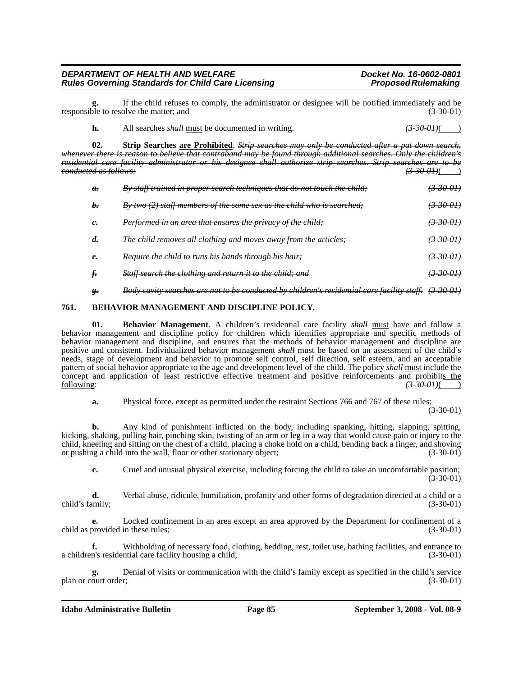If the child refuses to comply, the administrator or designee will be notified immediately and be olve the matter: and  $(3-30-01)$ responsible to resolve the matter; and

**02. Strip Searches are Prohibited**. *Strip searches may only be conducted after a pat down search, whenever there is reason to believe that contraband may be found through additional searches. Only the children's residential care facility administrator or his designee shall authorize strip searches. Strip searches are to be conducted as follows: (3-30-01)*( )

| $\boldsymbol{a}$ . | By staff trained in proper search techniques that do not touch the child; | (3300)                     |
|--------------------|---------------------------------------------------------------------------|----------------------------|
| h.                 | By two $(2)$ staff members of the same sex as the child who is searched;  | <del>(3-30-01)</del>       |
| e                  | Performed in an area that ensures the privacy of the child;               | $\left(3 - 30 - 01\right)$ |
| d.                 | The child removes all clothing and moves away from the articles;          | <del>(3 30 OH)</del>       |
| e                  | <i>Require the child to runs his hands through his hair</i> :             | <del>(3-30-01)</del>       |
|                    | <b>Staff search the clothing and return it to the child; and</b>          | <del>(3-30-01)</del>       |
|                    |                                                                           |                            |

#### *g. Body cavity searches are not to be conducted by children's residential care facility staff. (3-30-01)*

#### **761. BEHAVIOR MANAGEMENT AND DISCIPLINE POLICY.**

**01. Behavior Management**. A children's residential care facility *shall* must have and follow a behavior management and discipline policy for children which identifies appropriate and specific methods of behavior management and discipline, and ensures that the methods of behavior management and discipline are positive and consistent. Individualized behavior management *shall* must be based on an assessment of the child's needs, stage of development and behavior to promote self control, self direction, self esteem, and an acceptable pattern of social behavior appropriate to the age and development level of the child. The policy *shall* must include the concept and application of least restrictive effective treatment and positive reinforcements and prohibits the following:  $\left(3-30-0.01\right)$ following: *(3-30-01)*( )

**a.** Physical force, except as permitted under the restraint Sections 766 and 767 of these rules;

(3-30-01)

**b.** Any kind of punishment inflicted on the body, including spanking, hitting, slapping, spitting, kicking, shaking, pulling hair, pinching skin, twisting of an arm or leg in a way that would cause pain or injury to the child, kneeling and sitting on the chest of a child, placing a choke hold on a child, bending back a finger, and shoving or pushing a child into the wall, floor or other stationary object; (3-30-01)

**c.** Cruel and unusual physical exercise, including forcing the child to take an uncomfortable position; (3-30-01)

**d.** Verbal abuse, ridicule, humiliation, profanity and other forms of degradation directed at a child or a child's family; (3-30-01)

**e.** Locked confinement in an area except an area approved by the Department for confinement of a child as provided in these rules; (3-30-01)

**f.** Withholding of necessary food, clothing, bedding, rest, toilet use, bathing facilities, and entrance to a children's residential care facility housing a child; (3-30-01)

**g.** Denial of visits or communication with the child's family except as specified in the child's service plan or court order; (3-30-01)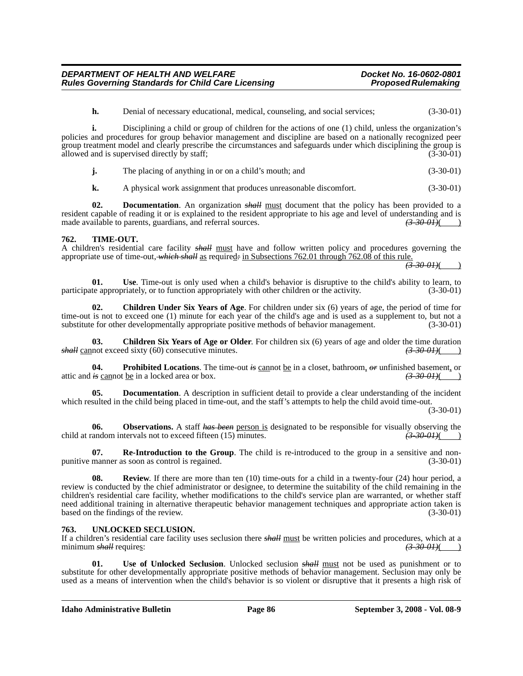**h.** Denial of necessary educational, medical, counseling, and social services; (3-30-01)

**i.** Disciplining a child or group of children for the actions of one (1) child, unless the organization's policies and procedures for group behavior management and discipline are based on a nationally recognized peer group treatment model and clearly prescribe the circumstances and safeguards under which disciplining the group is allowed and is supervised directly by staff; allowed and is supervised directly by staff;

**j.** The placing of anything in or on a child's mouth; and (3-30-01)

**k.** A physical work assignment that produces unreasonable discomfort. (3-30-01)

**02. Documentation**. An organization *shall* must document that the policy has been provided to a resident capable of reading it or is explained to the resident appropriate to his age and level of understanding and is made available to parents, guardians, and referral sources. *(3-30-01)*( )

#### **762. TIME-OUT.**

A children's residential care facility *shall* must have and follow written policy and procedures governing the appropriate use of time-out, *which shall* as required*:* in Subsections 762.01 through 762.08 of this rule.

*(3-30-01)*( )

**01.** Use. Time-out is only used when a child's behavior is disruptive to the child's ability to learn, to the appropriately, or to function appropriately with other children or the activity. (3-30-01) participate appropriately, or to function appropriately with other children or the activity.

**02. Children Under Six Years of Age**. For children under six (6) years of age, the period of time for time-out is not to exceed one (1) minute for each year of the child's age and is used as a supplement to, but not a substitute for other developmentally appropriate positive methods of behavior management. (3-30-01)

**03.** Children Six Years of Age or Older. For children six (6) years of age and older the time duration not exceed sixty (60) consecutive minutes.  $\left(3\text{-}30\text{-}01\right)$ *shall* cannot exceed sixty (60) consecutive minutes.

**04. Prohibited Locations**. The time-out *is* cannot be in a closet, bathroom, *or* unfinished basement, or attic and *is* cannot be in a locked area or box. *(3-30-01)*( )

**05. Documentation**. A description in sufficient detail to provide a clear understanding of the incident which resulted in the child being placed in time-out, and the staff's attempts to help the child avoid time-out.

(3-30-01)

**06. Observations.** A staff *has been* person is designated to be responsible for visually observing the candom intervals not to exceed fifteen (15) minutes.  $\left(3\text{-}30\text{-}01\right)$ child at random intervals not to exceed fifteen (15) minutes.

**07. Re-Introduction to the Group**. The child is re-introduced to the group in a sensitive and nonpunitive manner as soon as control is regained. (3-30-01)

**08.** Review. If there are more than ten (10) time-outs for a child in a twenty-four (24) hour period, a review is conducted by the chief administrator or designee, to determine the suitability of the child remaining in the children's residential care facility, whether modifications to the child's service plan are warranted, or whether staff need additional training in alternative therapeutic behavior management techniques and appropriate action taken is based on the findings of the review. (3-30-01)

#### **763. UNLOCKED SECLUSION.**

If a children's residential care facility uses seclusion there *shall* must be written policies and procedures, which at a minimum *shall* requires:  $(3-30-01)$  (3.30-01)

**01. Use of Unlocked Seclusion**. Unlocked seclusion *shall* must not be used as punishment or to substitute for other developmentally appropriate positive methods of behavior management. Seclusion may only be used as a means of intervention when the child's behavior is so violent or disruptive that it presents a high risk of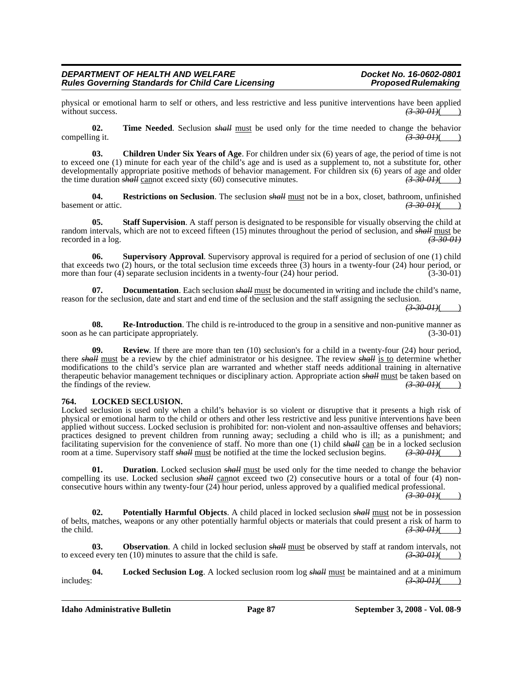physical or emotional harm to self or others, and less restrictive and less punitive interventions have been applied without success.  $\left(3,30,01\right)$  $\overline{\overline{\text{without success.}}}$ 

**02. Time Needed**. Seclusion *shall* must be used only for the time needed to change the behavior compelling it.  $\sqrt{3-30-01}$ 

**03. Children Under Six Years of Age**. For children under six (6) years of age, the period of time is not to exceed one (1) minute for each year of the child's age and is used as a supplement to, not a substitute for, other developmentally appropriate positive methods of behavior management. For children six (6) years of age and older<br>the time duration  $\frac{\partial H}{\partial t}$  cannot exceed sixty (60) consecutive minutes. (3-30-01) the time duration *shall* cannot exceed sixty (60) consecutive minutes.

**04. Restrictions on Seclusion**. The seclusion *shall* <u>must</u> not be in a box, closet, bathroom, unfinished t or attic.  $\left(3-30-01\right)$ basement or attic.

**05. Staff Supervision**. A staff person is designated to be responsible for visually observing the child at random intervals, which are not to exceed fifteen (15) minutes throughout the period of seclusion, and *shall* must be recorded in a log. recorded in a log.

**06. Supervisory Approval**. Supervisory approval is required for a period of seclusion of one (1) child that exceeds two (2) hours, or the total seclusion time exceeds three (3) hours in a twenty-four (24) hour period, or more than four (4) separate seclusion incidents in a twenty-four (24) hour period. (3-30-01)

**07. Documentation**. Each seclusion *shall* must be documented in writing and include the child's name, reason for the seclusion, date and start and end time of the seclusion and the staff assigning the seclusion.

 $(3-30-0)$ 

**08.** Re-Introduction. The child is re-introduced to the group in a sensitive and non-punitive manner as ne can participate appropriately.  $(3-30-01)$ soon as he can participate appropriately.

**09.** Review. If there are more than ten (10) seclusion's for a child in a twenty-four (24) hour period, there *shall* must be a review by the chief administrator or his designee. The review *shall* is to determine whether modifications to the child's service plan are warranted and whether staff needs additional training in alternative therapeutic behavior management techniques or disciplinary action. Appropriate action *shall* must be taken based on the findings of the review. the findings of the review.

#### **764. LOCKED SECLUSION.**

Locked seclusion is used only when a child's behavior is so violent or disruptive that it presents a high risk of physical or emotional harm to the child or others and other less restrictive and less punitive interventions have been applied without success. Locked seclusion is prohibited for: non-violent and non-assaultive offenses and behaviors; practices designed to prevent children from running away; secluding a child who is ill; as a punishment; and facilitating supervision for the convenience of staff. No more than one (1) child *shall* can be in a locked seclusion room at a time. Supervisory staff *shall* must be notified at the time the locked seclusion begins. *(3-30-01)*( )

**01. Duration**. Locked seclusion *shall* must be used only for the time needed to change the behavior compelling its use. Locked seclusion *shall* cannot exceed two (2) consecutive hours or a total of four (4) nonconsecutive hours within any twenty-four (24) hour period, unless approved by a qualified medical professional.

*(3-30-01)*( )

**02. Potentially Harmful Objects**. A child placed in locked seclusion *shall* must not be in possession of belts, matches, weapons or any other potentially harmful objects or materials that could present a risk of harm to the child.  $\left(3-30-0.01\right)$ the child. **(3-30-01)**( )

**03. Observation**. A child in locked seclusion *shall* must be observed by staff at random intervals, not to exceed every ten (10) minutes to assure that the child is safe.  $(3-30-01)$   $(3-30-01)$ 

**04. Locked Seclusion Log**. A locked seclusion room log *shall* must be maintained and at a minimum includes: *(3-30-01)*( )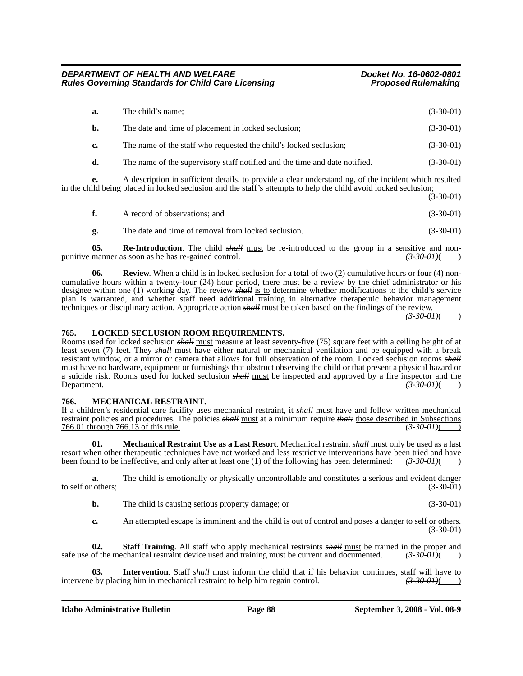| a. | The child's name;                                                                                        | $(3-30-01)$ |
|----|----------------------------------------------------------------------------------------------------------|-------------|
| b. | The date and time of placement in locked seclusion;                                                      | $(3-30-01)$ |
| c. | The name of the staff who requested the child's locked seclusion;                                        | $(3-30-01)$ |
| d. | The name of the supervisory staff notified and the time and date notified.                               | $(3-30-01)$ |
|    | A - Johannia in 1995, iang Johannia ng manalita ng Isang Isaang Jino - af tha ing Johann India na maling |             |

**e.** A description in sufficient details, to provide a clear understanding, of the incident which resulted in the child being placed in locked seclusion and the staff's attempts to help the child avoid locked seclusion; (3-30-01)

|    | A record of observations; and                       | $(3-30-01)$ |
|----|-----------------------------------------------------|-------------|
| g. | The date and time of removal from locked seclusion. | $(3-30-01)$ |

**05. Re-Introduction**. The child *shall* <u>must</u> be re-introduced to the group in a sensitive and non-<br>manner as soon as he has re-gained control.  $\frac{(3-30-01)(}{2-20-01}$ punitive manner as soon as he has re-gained control.

**06.** Review. When a child is in locked seclusion for a total of two (2) cumulative hours or four (4) noncumulative hours within a twenty-four (24) hour period, there must be a review by the chief administrator or his designee within one (1) working day. The review *shall* is to determine whether modifications to the child's service plan is warranted, and whether staff need additional training in alternative therapeutic behavior management techniques or disciplinary action. Appropriate action *shall* must be taken based on the findings of the review.

*(3-30-01)*( )

#### **765. LOCKED SECLUSION ROOM REQUIREMENTS.**

Rooms used for locked seclusion *shall* must measure at least seventy-five (75) square feet with a ceiling height of at least seven (7) feet. They *shall* must have either natural or mechanical ventilation and be equipped with a break resistant window, or a mirror or camera that allows for full observation of the room. Locked seclusion rooms *shall* must have no hardware, equipment or furnishings that obstruct observing the child or that present a physical hazard or a suicide risk. Rooms used for locked seclusion *shall* must be inspected and approved by a fire inspector and the  $\left( \frac{3-30-01}{2} \right)$ 

#### **766. MECHANICAL RESTRAINT.**

If a children's residential care facility uses mechanical restraint, it *shall* must have and follow written mechanical restraint policies and procedures. The policies *shall* <u>must</u> at a minimum require *that:* those described in Subsections 766.01 through 766.13 of this rule. (3-30-01) 766.01 through 766.13 of this rule. *(3-30-01)*( )

**01. Mechanical Restraint Use as a Last Resort**. Mechanical restraint *shall* must only be used as a last resort when other therapeutic techniques have not worked and less restrictive interventions have been tried and have been found to be ineffective, and only after at least one (1) of the following has been determined: *(3-30-01)*( )

**a.** The child is emotionally or physically uncontrollable and constitutes a serious and evident danger others;<br>(3-30-01) to self or others:

**b.** The child is causing serious property damage; or (3-30-01)

**c.** An attempted escape is imminent and the child is out of control and poses a danger to self or others. (3-30-01)

**02. Staff Training**. All staff who apply mechanical restraints *shall* must be trained in the proper and safe use of the mechanical restraint device used and training must be current and documented.  $(3-30-01)()$ 

**03. Intervention**. Staff *shall* must inform the child that if his behavior continues, staff will have to intervene by placing him in mechanical restraint to help him regain control.  $\left(3\text{-}30\text{-}01\right)(\text{ }$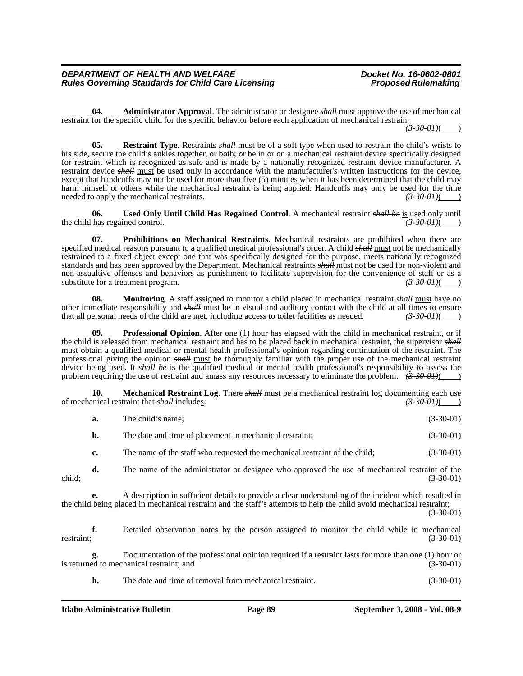**04. Administrator Approval**. The administrator or designee *shall* must approve the use of mechanical restraint for the specific child for the specific behavior before each application of mechanical restrain.

 $(3-30-01)$ 

**05.** Restraint Type. Restraints *shall* must be of a soft type when used to restrain the child's wrists to his side, secure the child's ankles together, or both; or be in or on a mechanical restraint device specifically designed for restraint which is recognized as safe and is made by a nationally recognized restraint device manufacturer. A restraint device *shall* must be used only in accordance with the manufacturer's written instructions for the device, except that handcuffs may not be used for more than five (5) minutes when it has been determined that the child may harm himself or others while the mechanical restraint is being applied. Handcuffs may only be used for the time needed to apply the mechanical restraints. needed to apply the mechanical restraints.

**06. Used Only Until Child Has Regained Control**. A mechanical restraint *shall be* is used only until the child has regained control.  $\left(3-30-01\right)$  ( $\left(3-30-01\right)$ )

**07. Prohibitions on Mechanical Restraints**. Mechanical restraints are prohibited when there are specified medical reasons pursuant to a qualified medical professional's order. A child *shall* must not be mechanically restrained to a fixed object except one that was specifically designed for the purpose, meets nationally recognized standards and has been approved by the Department. Mechanical restraints *shall* must not be used for non-violent and non-assaultive offenses and behaviors as punishment to facilitate supervision for the convenience of staff or as a substitute for a treatment program.  $\left(3-30-0.01\right)$ substitute for a treatment program.

**08. Monitoring**. A staff assigned to monitor a child placed in mechanical restraint *shall* must have no other immediate responsibility and *shall* <u>must</u> be in visual and auditory contact with the child at all times to ensure that all personal needs of the child are met, including access to toilet facilities as needed.  $\left(3$ that all personal needs of the child are met, including access to toilet facilities as needed. *(3-30-01)*( )

**09. Professional Opinion**. After one (1) hour has elapsed with the child in mechanical restraint, or if the child is released from mechanical restraint and has to be placed back in mechanical restraint, the supervisor *shall* must obtain a qualified medical or mental health professional's opinion regarding continuation of the restraint. The professional giving the opinion *shall* must be thoroughly familiar with the proper use of the mechanical restraint device being used. It *shall be* is the qualified medical or mental health professional's responsibility to assess the problem requiring the use of restraint and amass any resources necessary to eliminate the problem.  $(3-30-01)$ 

**10.** Mechanical Restraint Log. There *shall* must be a mechanical restraint log documenting each use of mechanical restraint that *shall* includes: *(3-30-01)*( )

| а.        | The child's name;                                                          | $(3-30-01)$ |
|-----------|----------------------------------------------------------------------------|-------------|
| b.        | The date and time of placement in mechanical restraint;                    | $(3-30-01)$ |
| $c_{\rm}$ | The name of the staff who requested the mechanical restraint of the child; | $(3-30-01)$ |

**d.** The name of the administrator or designee who approved the use of mechanical restraint of the child; (3-30-01)

**e.** A description in sufficient details to provide a clear understanding of the incident which resulted in the child being placed in mechanical restraint and the staff's attempts to help the child avoid mechanical restraint;

(3-30-01)

**f.** Detailed observation notes by the person assigned to monitor the child while in mechanical restraint; (3-30-01)

**g.** Documentation of the professional opinion required if a restraint lasts for more than one (1) hour or ed to mechanical restraint; and (3-30-01) is returned to mechanical restraint; and

**h.** The date and time of removal from mechanical restraint. (3-30-01)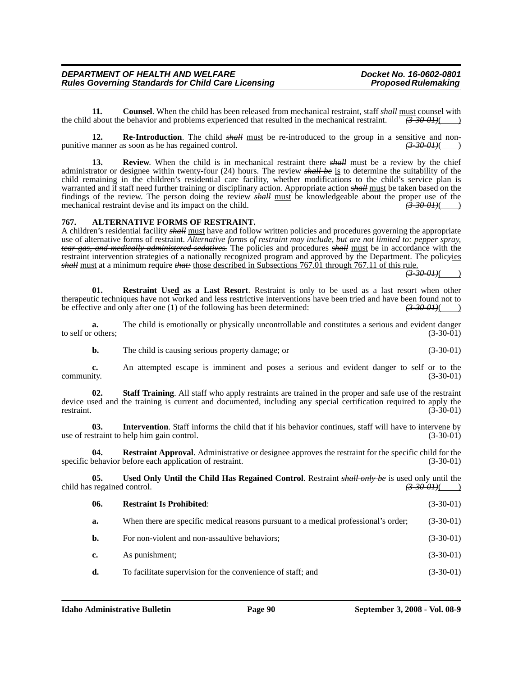**11.** Counsel. When the child has been released from mechanical restraint, staff *shall* must counsel with the child about the behavior and problems experienced that resulted in the mechanical restraint.  $(3-30-01)()$ 

**12. Re-Introduction**. The child *shall* must be re-introduced to the group in a sensitive and nonpunitive manner as soon as he has regained control. *(3-30-01)*( )

**13.** Review. When the child is in mechanical restraint there *shall* must be a review by the chief administrator or designee within twenty-four (24) hours. The review *shall be* is to determine the suitability of the child remaining in the children's residential care facility, whether modifications to the child's service plan is warranted and if staff need further training or disciplinary action. Appropriate action *shall* must be taken based on the findings of the review. The person doing the review *shall* must be knowledgeable about the proper use of the mechanical restraint devise and its impact on the child. mechanical restraint devise and its impact on the child.

#### **767. ALTERNATIVE FORMS OF RESTRAINT.**

A children's residential facility *shall* must have and follow written policies and procedures governing the appropriate use of alternative forms of restraint. *Alternative forms of restraint may include, but are not limited to: pepper spray, tear gas, and medically administered sedatives.* The policies and procedures *shall* must be in accordance with the restraint intervention strategies of a nationally recognized program and approved by the Department. The polic*y*ies *shall* must at a minimum require *that:* those described in Subsections 767.01 through 767.11 of this rule.

 $\sqrt{(3-30-01)}$ 

**01. Restraint Used as a Last Resort**. Restraint is only to be used as a last resort when other therapeutic techniques have not worked and less restrictive interventions have been tried and have been found not to be effective and only after one (1) of the following has been determined:  $\left(3\text{-}30\text{-}01\right)\left(2\text{-}30\text{-}01\right)$ 

**a.** The child is emotionally or physically uncontrollable and constitutes a serious and evident danger others;<br>(3-30-01) to self or others;

**b.** The child is causing serious property damage; or (3-30-01)

**c.** An attempted escape is imminent and poses a serious and evident danger to self or to the community. (3-30-01)

**02. Staff Training**. All staff who apply restraints are trained in the proper and safe use of the restraint device used and the training is current and documented, including any special certification required to apply the restraint. (3-30-01) restraint.  $(3-30-01)$ 

**03.** Intervention. Staff informs the child that if his behavior continues, staff will have to intervene by straint to help him gain control. (3-30-01) use of restraint to help him gain control.

**04. Restraint Approval**. Administrative or designee approves the restraint for the specific child for the specific behavior before each application of restraint. (3-30-01)

**05.** Used Only Until the Child Has Regained Control. Restraint *shall only be* is used only until the regained control. (3-30-01) child has regained control.

| 06. | <b>Restraint Is Prohibited:</b>                                                     | $(3-30-01)$ |
|-----|-------------------------------------------------------------------------------------|-------------|
| a.  | When there are specific medical reasons pursuant to a medical professional's order; | $(3-30-01)$ |
| b.  | For non-violent and non-assaultive behaviors;                                       | $(3-30-01)$ |
| c.  | As punishment;                                                                      | $(3-30-01)$ |
| d.  | To facilitate supervision for the convenience of staff; and                         | $(3-30-01)$ |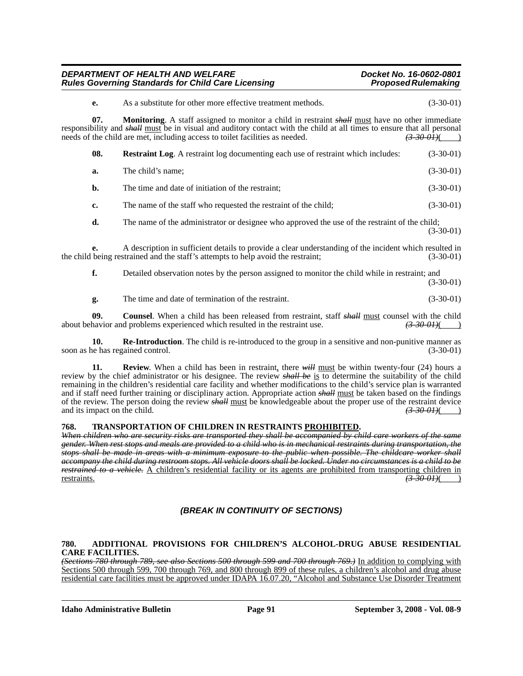| DEPARTMENT OF HEALTH AND WELFARE                          | Docket No. 16-0602-0801    |
|-----------------------------------------------------------|----------------------------|
| <b>Rules Governing Standards for Child Care Licensing</b> | <b>Proposed Rulemaking</b> |

| e.  | As a substitute for other more effective treatment methods.                                                                                                                                                                                                                                                                                        | $(3-30-01)$ |
|-----|----------------------------------------------------------------------------------------------------------------------------------------------------------------------------------------------------------------------------------------------------------------------------------------------------------------------------------------------------|-------------|
| 07. | <b>Monitoring.</b> A staff assigned to monitor a child in restraint <i>shall</i> must have no other immediate<br>responsibility and shall must be in visual and auditory contact with the child at all times to ensure that all personal<br>needs of the child are met, including access to toilet facilities as needed.<br><del>(3–30–01)</del> ( |             |
| 08. | <b>Restraint Log.</b> A restraint log documenting each use of restraint which includes:                                                                                                                                                                                                                                                            | $(3-30-01)$ |
| a.  | The child's name;                                                                                                                                                                                                                                                                                                                                  | $(3-30-01)$ |
| b.  | The time and date of initiation of the restraint;                                                                                                                                                                                                                                                                                                  | $(3-30-01)$ |
| c.  | The name of the staff who requested the restraint of the child;                                                                                                                                                                                                                                                                                    | $(3-30-01)$ |
| d.  | The name of the administrator or designee who approved the use of the restraint of the child;                                                                                                                                                                                                                                                      | $(3-30-01)$ |
| e.  | A description in sufficient details to provide a clear understanding of the incident which resulted in<br>the child being restrained and the staff's attempts to help avoid the restraint;                                                                                                                                                         | $(3-30-01)$ |
| f.  | Detailed observation notes by the person assigned to monitor the child while in restraint; and                                                                                                                                                                                                                                                     | $(3-30-01)$ |
| g.  | The time and date of termination of the restraint.                                                                                                                                                                                                                                                                                                 | $(3-30-01)$ |

**09. Counsel**. When a child has been released from restraint, staff *shall* must counsel with the child about behavior and problems experienced which resulted in the restraint use. *(3-30-01)*( )

**10. Re-Introduction**. The child is re-introduced to the group in a sensitive and non-punitive manner as soon as he has regained control. (3-30-01) (3-30-01)

**11. Review**. When a child has been in restraint, there *will* must be within twenty-four (24) hours a review by the chief administrator or his designee. The review *shall be* is to determine the suitability of the child remaining in the children's residential care facility and whether modifications to the child's service plan is warranted and if staff need further training or disciplinary action. Appropriate action *shall* must be taken based on the findings of the review. The person doing the review *shall* must be knowledgeable about the proper use of the restraint device and its impact on the child.  $\left(3-30-0.01\right)$ and its impact on the child.

#### **768. TRANSPORTATION OF CHILDREN IN RESTRAINTS PROHIBITED.**

*When children who are security risks are transported they shall be accompanied by child care workers of the same gender. When rest stops and meals are provided to a child who is in mechanical restraints during transportation, the stops shall be made in areas with a minimum exposure to the public when possible. The childcare worker shall accompany the child during restroom stops. All vehicle doors shall be locked. Under no circumstances is a child to be restrained to a vehicle.* A children's residential facility or its agents are prohibited from transporting children in restraints.  $\left(3-30-01\right)$ (

### *(BREAK IN CONTINUITY OF SECTIONS)*

#### **780. ADDITIONAL PROVISIONS FOR CHILDREN'S ALCOHOL-DRUG ABUSE RESIDENTIAL CARE FACILITIES.**

*(Sections 780 through 789, see also Sections 500 through 599 and 700 through 769.)* In addition to complying with Sections 500 through 599, 700 through 769, and 800 through 899 of these rules, a children's alcohol and drug abuse residential care facilities must be approved under IDAPA 16.07.20, "Alcohol and Substance Use Disorder Treatment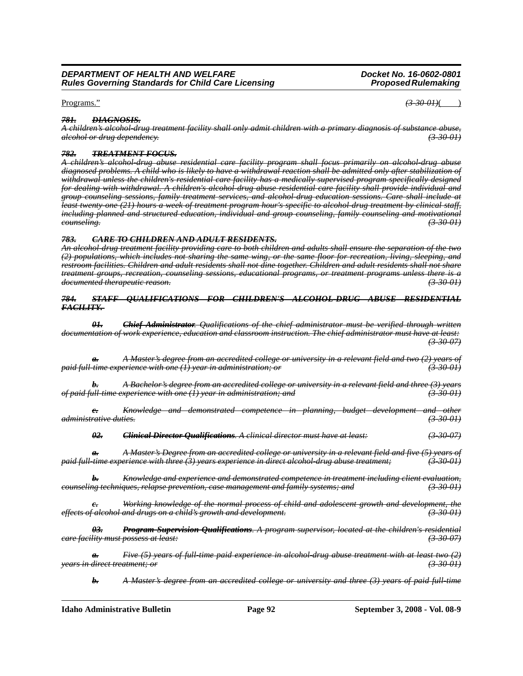#### Programs." *(3-30-01)*( )

#### *781. DIAGNOSIS.*

*A children's alcohol-drug treatment facility shall only admit children with a primary diagnosis of substance abuse, alcohol or drug dependency. (3-30-01)*

#### *782. TREATMENT FOCUS.*

*A children's alcohol-drug abuse residential care facility program shall focus primarily on alcohol-drug abuse diagnosed problems. A child who is likely to have a withdrawal reaction shall be admitted only after stabilization of withdrawal unless the children's residential care facility has a medically supervised program specifically designed for dealing with withdrawal. A children's alcohol-drug abuse residential care facility shall provide individual and group counseling sessions, family treatment services, and alcohol-drug education sessions. Care shall include at least twenty-one (21) hours a week of treatment program hour's specific to alcohol-drug treatment by clinical staff, including planned and structured education, individual and group counseling, family counseling and motivational counseling. (3-30-01)*

#### *783. CARE TO CHILDREN AND ADULT RESIDENTS.*

*An alcohol-drug treatment facility providing care to both children and adults shall ensure the separation of the two (2) populations, which includes not sharing the same wing, or the same floor for recreation, living, sleeping, and restroom facilities. Children and adult residents shall not dine together. Children and adult residents shall not share treatment groups, recreation, counseling sessions, educational programs, or treatment programs unless there is a documented therapeutic reason. (3-30-01)*

#### *784. STAFF QUALIFICATIONS FOR CHILDREN'S ALCOHOL-DRUG ABUSE RESIDENTIAL FACILITY.*

*01. Chief Administrator. Qualifications of the chief administrator must be verified through written documentation of work experience, education and classroom instruction. The chief administrator must have at least: (3-30-07)*

*a. A Master's degree from an accredited college or university in a relevant field and two (2) years of paid full-time experience with one (1) year in administration; or (3-30-01)*

*b. A Bachelor's degree from an accredited college or university in a relevant field and three (3) years of paid full-time experience with one (1) year in administration; and (3-30-01)*

*c. Knowledge and demonstrated competence in planning, budget development and other administrative duties. (3-30-01)*

*02. Clinical Director Qualifications. A clinical director must have at least: (3-30-07)*

*a. A Master's Degree from an accredited college or university in a relevant field and five (5) years of paid full-time experience with three (3) years experience in direct alcohol-drug abuse treatment; (3-30-01)*

*b. Knowledge and experience and demonstrated competence in treatment including client evaluation, counseling techniques, relapse prevention, case management and family systems; and (3-30-01)*

*c. Working knowledge of the normal process of child and adolescent growth and development, the effects of alcohol and drugs on a child's growth and development. (3-30-01)*

*03. Program Supervision Qualifications. A program supervisor, located at the children's residential care facility must possess at least: (3-30-07)*

*a. Five (5) years of full-time paid experience in alcohol-drug abuse treatment with at least two (2) years in direct treatment; or (3-30-01)*

*b. A Master's degree from an accredited college or university and three (3) years of paid full-time*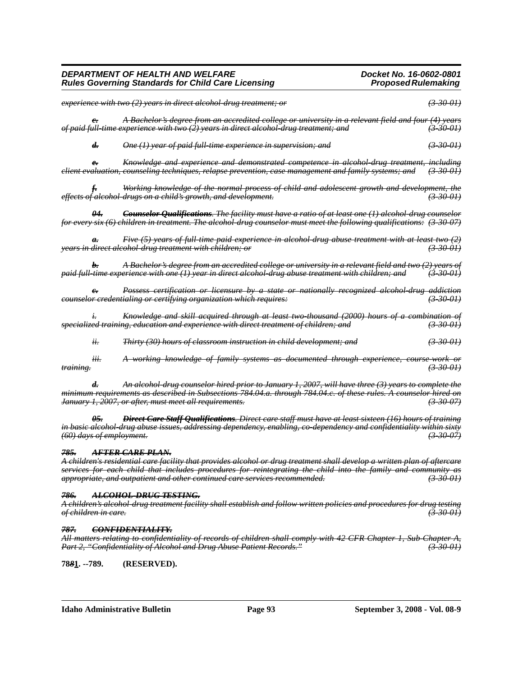| experience with two (2) years in direct alcohol-drug treatment; or                                                                                                                                                                  | <del>(3-30-01)</del>       |
|-------------------------------------------------------------------------------------------------------------------------------------------------------------------------------------------------------------------------------------|----------------------------|
| A Bachelor's degree from an accredited college or university in a relevant field and four (4) years<br>$e_{\tau}$<br>of paid full-time experience with two (2) years in direct alcohol-drug treatment; and                          | $(3-30-01)$                |
| d.<br>One (1) year of paid full-time experience in supervision; and                                                                                                                                                                 | $(3-30-0)$                 |
| Knowledge and experience and demonstrated competence in alcohol drug treatment, including<br>$e_{\tau}$<br>client evaluation, counseling techniques, relapse prevention, case management and family systems; and                    | <del>(3-30-01)</del>       |
| <b>f</b> . Working knowledge of the normal process of child and adolescent growth and development, the effects of alcohol-drugs on a child's growth, and development.                                                               |                            |
| <b>Counselor Qualifications.</b> The facility must have a ratio of at least one (1) alcohol drug counselor<br>for every six (6) children in treatment. The alcohol-drug counselor must meet the following qualifications: (3-30-07) |                            |
| Five (5) years of full time paid experience in alcohol drug abuse treatment with at least two (2)<br>$a_{\overline{r}}$<br><del>years in direct alcohol-drug treatment with children; or</del>                                      | $\left(3 - 30 - 01\right)$ |
| A Bachelor's degree from an accredited college or university in a relevant field and two (2) years of<br>b.<br>paid full-time experience with one (1) year in direct alcohol-drug abuse treatment with children; and                | $(3-30-0)$                 |
| Possess certification or licensure by a state or nationally recognized alcohol drug addiction<br>$e_{\tau}$<br>counselor credentialing or certifying organization which requires:                                                   | $(3-30-0)$                 |
| Knowledge and skill acquired through at least two thousand (2000) hours of a combination of<br><del>specialized training, education and experience with direct treatment of children; and</del>                                     | $(3-30-01)$                |
| ii.<br>Thirty (30) hours of classroom instruction in child development; and                                                                                                                                                         | (33001)                    |

*iii. A working knowledge of family systems as documented through experience, course-work or training. (3-30-01)*

*d. An alcohol-drug counselor hired prior to January 1, 2007, will have three (3) years to complete the minimum requirements as described in Subsections 784.04.a. through 784.04.c. of these rules. A counselor hired on January 1, 2007, or after, must meet all requirements. (3-30-07)*

*05. Direct Care Staff Qualifications. Direct care staff must have at least sixteen (16) hours of training in basic alcohol-drug abuse issues, addressing dependency, enabling, co-dependency and confidentiality within sixty (60) days of employment. (3-30-07)*

#### *785. AFTER CARE PLAN.*

*A children's residential care facility that provides alcohol or drug treatment shall develop a written plan of aftercare services for each child that includes procedures for reintegrating the child into the family and community as appropriate, and outpatient and other continued care services recommended. (3-30-01)*

#### *786. ALCOHOL-DRUG TESTING.*

*A children's alcohol-drug treatment facility shall establish and follow written policies and procedures for drug testing of children in care. (3-30-01)*

#### *787. CONFIDENTIALITY.*

*All matters relating to confidentiality of records of children shall comply with 42 CFR Chapter 1, Sub-Chapter A, Part 2, "Confidentiality of Alcohol and Drug Abuse Patient Records." (3-30-01)*

**78***8***1. --789. (RESERVED).**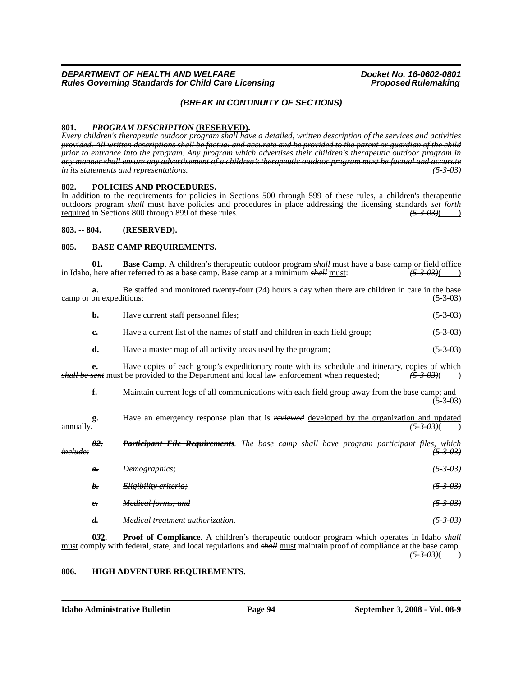#### *(BREAK IN CONTINUITY OF SECTIONS)*

**801.** *PROGRAM DESCRIPTION* **(RESERVED).** *Every children's therapeutic outdoor program shall have a detailed, written description of the services and activities provided. All written descriptions shall be factual and accurate and be provided to the parent or guardian of the child prior to entrance into the program. Any program which advertises their children's therapeutic outdoor program in any manner shall ensure any advertisement of a children's therapeutic outdoor program must be factual and accurate in its statements and representations.* 

#### **802. POLICIES AND PROCEDURES.**

In addition to the requirements for policies in Sections 500 through 599 of these rules, a children's therapeutic outdoors program *shall* must have policies and procedures in place addressing the licensing standards *set forth* required in Sections 800 through 899 of these rules.

#### **803. -- 804. (RESERVED).**

#### **805. BASE CAMP REQUIREMENTS.**

**01. Base Camp**. A children's therapeutic outdoor program *shall* must have a base camp or field office here after referred to as a base camp. Base camp at a minimum *shall* must:  $(53.03)()$ in Idaho, here after referred to as a base camp. Base camp at a minimum *shall* must:

|           | Be staffed and monitored twenty-four (24) hours a day when there are children in care in the base<br>a.<br>camp or on expeditions;<br>$(5-3-03)$ |                                                                                                                                                                                                       |                     |
|-----------|--------------------------------------------------------------------------------------------------------------------------------------------------|-------------------------------------------------------------------------------------------------------------------------------------------------------------------------------------------------------|---------------------|
|           | b.                                                                                                                                               | Have current staff personnel files;                                                                                                                                                                   | $(5-3-03)$          |
|           | c.                                                                                                                                               | Have a current list of the names of staff and children in each field group;                                                                                                                           | $(5-3-03)$          |
|           | d.                                                                                                                                               | Have a master map of all activity areas used by the program;                                                                                                                                          | $(5-3-03)$          |
|           | e.                                                                                                                                               | Have copies of each group's expeditionary route with its schedule and itinerary, copies of which<br><i>shall be sent</i> must be provided to the Department and local law enforcement when requested; | (5303)              |
|           | f.                                                                                                                                               | Maintain current logs of all communications with each field group away from the base camp; and                                                                                                        | $(5-3-03)$          |
| annually. | g.                                                                                                                                               | Have an emergency response plan that is reviewed developed by the organization and updated                                                                                                            |                     |
| include:  | $\theta$ 2.                                                                                                                                      | Requirements.<br>The base camp shall have program participant files, which                                                                                                                            | <del>(5-3-03)</del> |
|           | $\theta$ .                                                                                                                                       | Demographics;                                                                                                                                                                                         | <del>(5-3-03)</del> |
|           | b.                                                                                                                                               | Eligibility criteria;                                                                                                                                                                                 | <del>(5-3-03)</del> |
|           | $e_{\overline{z}}$                                                                                                                               | Medical forms; and                                                                                                                                                                                    | $(5-3-03)$          |
|           | $d_{\tau}$                                                                                                                                       | <i>Medical treatment authorization.</i>                                                                                                                                                               |                     |

**0***3***2. Proof of Compliance**. A children's therapeutic outdoor program which operates in Idaho *shall* must comply with federal, state, and local regulations and *shall* must maintain proof of compliance at the base camp. *(5-3-03)*( )

#### **806. HIGH ADVENTURE REQUIREMENTS.**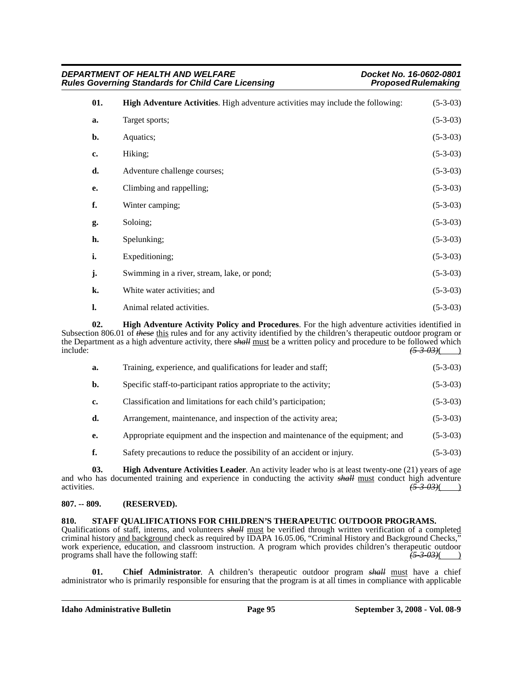| DEPARTMENT OF HEALTH AND WELFARE<br>Docket No. 16-0602-0801<br><b>Rules Governing Standards for Child Care Licensing</b><br><b>Proposed Rulemaking</b> |                                                                                 |            |
|--------------------------------------------------------------------------------------------------------------------------------------------------------|---------------------------------------------------------------------------------|------------|
| 01.                                                                                                                                                    | High Adventure Activities. High adventure activities may include the following: | $(5-3-03)$ |
| a.                                                                                                                                                     | Target sports;                                                                  | $(5-3-03)$ |
| b.                                                                                                                                                     | Aquatics;                                                                       | $(5-3-03)$ |
| c.                                                                                                                                                     | Hiking;                                                                         | $(5-3-03)$ |
| d.                                                                                                                                                     | Adventure challenge courses;                                                    | $(5-3-03)$ |
| е.                                                                                                                                                     | Climbing and rappelling;                                                        | $(5-3-03)$ |
| f.                                                                                                                                                     | Winter camping;                                                                 | $(5-3-03)$ |
| g.                                                                                                                                                     | Soloing;                                                                        | $(5-3-03)$ |
| h.                                                                                                                                                     | Spelunking;                                                                     | $(5-3-03)$ |
| i.                                                                                                                                                     | Expeditioning;                                                                  | $(5-3-03)$ |
| j.                                                                                                                                                     | Swimming in a river, stream, lake, or pond;                                     | $(5-3-03)$ |
| k.                                                                                                                                                     | White water activities; and                                                     | $(5-3-03)$ |
| l.                                                                                                                                                     | Animal related activities.                                                      | $(5-3-03)$ |

**02. High Adventure Activity Policy and Procedures**. For the high adventure activities identified in Subsection 806.01 of *these* this rules and for any activity identified by the children's therapeutic outdoor program or the Department as a high adventure activity, there *shall* must be a written policy and procedure to be followed which include: *(5-3-03)*( )

| Training, experience, and qualifications for leader and staff;                 | $(5-3-03)$ |
|--------------------------------------------------------------------------------|------------|
| Specific staff-to-participant ratios appropriate to the activity;              | $(5-3-03)$ |
| Classification and limitations for each child's participation;                 | $(5-3-03)$ |
| Arrangement, maintenance, and inspection of the activity area;                 | $(5-3-03)$ |
| Appropriate equipment and the inspection and maintenance of the equipment; and | $(5-3-03)$ |
| Safety precautions to reduce the possibility of an accident or injury.         | $(5-3-03)$ |
|                                                                                |            |

**03. High Adventure Activities Leader**. An activity leader who is at least twenty-one (21) years of age and who has documented training and experience in conducting the activity  $s$ *hall* must conduct high adventure activities.  $\overline{5} - 3 - 03$ )

#### **807. -- 809. (RESERVED).**

# **810. STAFF QUALIFICATIONS FOR CHILDREN'S THERAPEUTIC OUTDOOR PROGRAMS.**

Qualifications of staff, interns, and volunteers **shall** must be verified through written verification of a completed criminal history and background check as required by IDAPA 16.05.06, "Criminal History and Background Checks," work experience, education, and classroom instruction. A program which provides children's therapeutic outdoor programs shall have the following staff:  $\frac{(5-3-0.3)}{(2-3-0.3)}$ 

**01. Chief Administrator**. A children's therapeutic outdoor program *shall* must have a chief administrator who is primarily responsible for ensuring that the program is at all times in compliance with applicable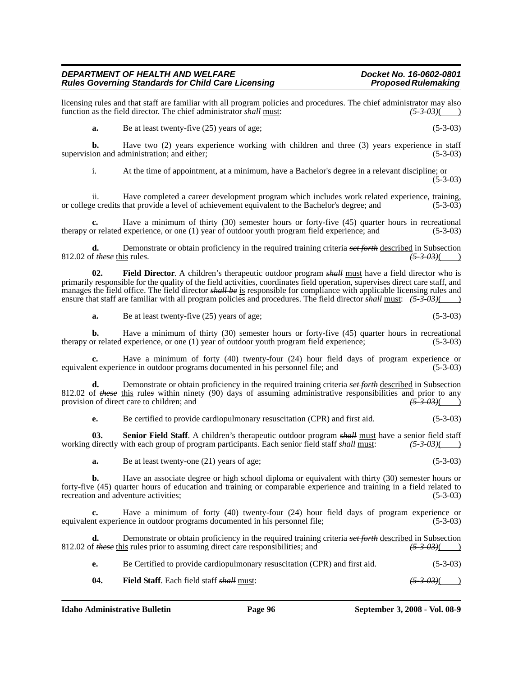licensing rules and that staff are familiar with all program policies and procedures. The chief administrator may also function as the field director. The chief administrator  $\frac{4}{4}$  must:  $\left(\frac{53\%}{53\%}\right)$ function as the field director. The chief administrator *shall* must:

**a.** Be at least twenty-five (25) years of age; (5-3-03)

**b.** Have two (2) years experience working with children and three (3) years experience in staff ion and administration: and either: (5-3-03) supervision and administration; and either;

i. At the time of appointment, at a minimum, have a Bachelor's degree in a relevant discipline; or  $(5-3-03)$ 

ii. Have completed a career development program which includes work related experience, training, i.e credits that provide a level of achievement equivalent to the Bachelor's degree: and (5-3-03) or college credits that provide a level of achievement equivalent to the Bachelor's degree; and

Have a minimum of thirty (30) semester hours or forty-five (45) quarter hours in recreational experience, or one (1) year of outdoor youth program field experience; and (5-3-03) therapy or related experience, or one  $(1)$  year of outdoor youth program field experience; and

**d.** Demonstrate or obtain proficiency in the required training criteria *set forth* described in Subsection 812.02 of *these* this rule*s*. *(5-3-03)*( )

**02. Field Director**. A children's therapeutic outdoor program *shall* must have a field director who is primarily responsible for the quality of the field activities, coordinates field operation, supervises direct care staff, and manages the field office. The field director *shall be* is responsible for compliance with applicable licensing rules and ensure that staff are familiar with all program policies and procedures. The field director *shall* must: *(5-3-03)*( )

**a.** Be at least twenty-five (25) years of age; (5-3-03)

**b.** Have a minimum of thirty (30) semester hours or forty-five (45) quarter hours in recreational therapy or related experience, or one (1) year of outdoor youth program field experience; (5-3-03)

**c.** Have a minimum of forty (40) twenty-four (24) hour field days of program experience or equivalent experience in outdoor programs documented in his personnel file; and (5-3-03)

**d.** Demonstrate or obtain proficiency in the required training criteria *set forth* described in Subsection 812.02 of *these* this rules within ninety (90) days of assuming administrative responsibilities and prior to any provision of direct care to children; and  $\frac{(5-3-0.3)()}{(5-3-0.3)()}$ provision of direct care to children; and

**e.** Be certified to provide cardiopulmonary resuscitation (CPR) and first aid.  $(5-3-03)$ 

**03.** Senior Field Staff. A children's therapeutic outdoor program *shall* must have a senior field staff working directly with each group of program participants. Each senior field staff *shall* must: *(5-3-03)*( )

**a.** Be at least twenty-one (21) years of age; (5-3-03)

**b.** Have an associate degree or high school diploma or equivalent with thirty (30) semester hours or forty-five (45) quarter hours of education and training or comparable experience and training in a field related to recreation and adventure activities; (5-3-03)

**c.** Have a minimum of forty (40) twenty-four (24) hour field days of program experience or nt experience in outdoor programs documented in his personnel file; (5-3-03) equivalent experience in outdoor programs documented in his personnel file;

**d.** Demonstrate or obtain proficiency in the required training criteria *set forth* described in Subsection  $f$  *these* this rules prior to assuming direct care responsibilities; and  $\frac{f}{f}$   $\frac{3.03}{f}$   $\frac{3.03}{f}$ 812.02 of *these* this rules prior to assuming direct care responsibilities; and

**e.** Be Certified to provide cardiopulmonary resuscitation (CPR) and first aid.  $(5-3-03)$ 

**04. Field Staff**. Each field staff *shall* must: *(5-3-03)*( )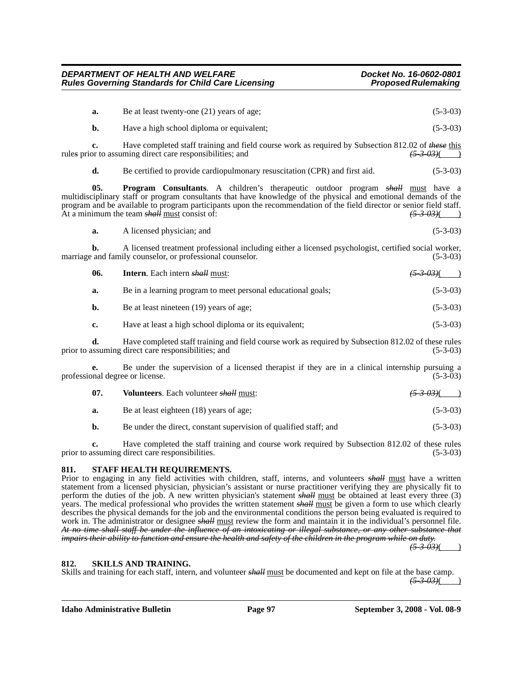| a.  | Be at least twenty-one (21) years of age;                                                                                                                                                                                                                                                                                                                                                 | $(5-3-03)$            |
|-----|-------------------------------------------------------------------------------------------------------------------------------------------------------------------------------------------------------------------------------------------------------------------------------------------------------------------------------------------------------------------------------------------|-----------------------|
| b.  | Have a high school diploma or equivalent;                                                                                                                                                                                                                                                                                                                                                 | $(5-3-03)$            |
| c.  | Have completed staff training and field course work as required by Subsection 812.02 of these this<br>rules prior to assuming direct care responsibilities; and                                                                                                                                                                                                                           | $(5-3-0.3)$ (         |
| d.  | Be certified to provide cardiopulmonary resuscitation (CPR) and first aid.                                                                                                                                                                                                                                                                                                                | $(5-3-03)$            |
| 05. | <b>Program Consultants.</b> A children's therapeutic outdoor program shall must have a<br>multidisciplinary staff or program consultants that have knowledge of the physical and emotional demands of the<br>program and be available to program participants upon the recommendation of the field director or senior field staff.<br>At a minimum the team <i>shall</i> must consist of: | <del>(5 3 03)</del> ( |
| a.  | A licensed physician; and                                                                                                                                                                                                                                                                                                                                                                 | $(5-3-03)$            |
| b.  | A licensed treatment professional including either a licensed psychologist, certified social worker,<br>marriage and family counselor, or professional counselor.                                                                                                                                                                                                                         | $(5-3-03)$            |

| 06. | <b>Intern.</b> Each intern <b><i>shall</i></b> must:                                                |            |
|-----|-----------------------------------------------------------------------------------------------------|------------|
| a.  | Be in a learning program to meet personal educational goals;                                        | $(5-3-03)$ |
| b.  | Be at least nineteen (19) years of age;                                                             | $(5-3-03)$ |
| c.  | Have at least a high school diploma or its equivalent;                                              | $(5-3-03)$ |
| л   | Have completed staff training and field course work as required by Subsection 812.02 of these rules |            |

**d.** Have completed staff training and field course work as required by Subsection 812.02 of these rules prior to assuming direct care responsibilities; and (5-3-03)

**e.** Be under the supervision of a licensed therapist if they are in a clinical internship pursuing a professional degree or license. (5-3-03)

| 07. | <b>Volunteers.</b> Each volunteer shall must: | $\frac{(5.3.03)}{)}$ |
|-----|-----------------------------------------------|----------------------|
| а.  | Be at least eighteen (18) years of age;       | $(5-3-03)$           |

**b.** Be under the direct, constant supervision of qualified staff; and (5-3-03)

**c.** Have completed the staff training and course work required by Subsection 812.02 of these rules prior to assuming direct care responsibilities. (5-3-03)

#### **811. STAFF HEALTH REQUIREMENTS.**

Prior to engaging in any field activities with children, staff, interns, and volunteers *shall* must have a written statement from a licensed physician, physician's assistant or nurse practitioner verifying they are physically fit to perform the duties of the job. A new written physician's statement *shall* must be obtained at least every three (3) years. The medical professional who provides the written statement *shall* must be given a form to use which clearly describes the physical demands for the job and the environmental conditions the person being evaluated is required to work in. The administrator or designee *shall* must review the form and maintain it in the individual's personnel file. *At no time shall staff be under the influence of an intoxicating or illegal substance, or any other substance that impairs their ability to function and ensure the health and safety of the children in the program while on duty. (5-3-03)*( )

#### **812. SKILLS AND TRAINING.**

Skills and training for each staff, intern, and volunteer *shall* must be documented and kept on file at the base camp.

 $(5-3-03)$ ( )

**Idaho Administrative Bulletin Page 97 September 3, 2008 - Vol. 08-9**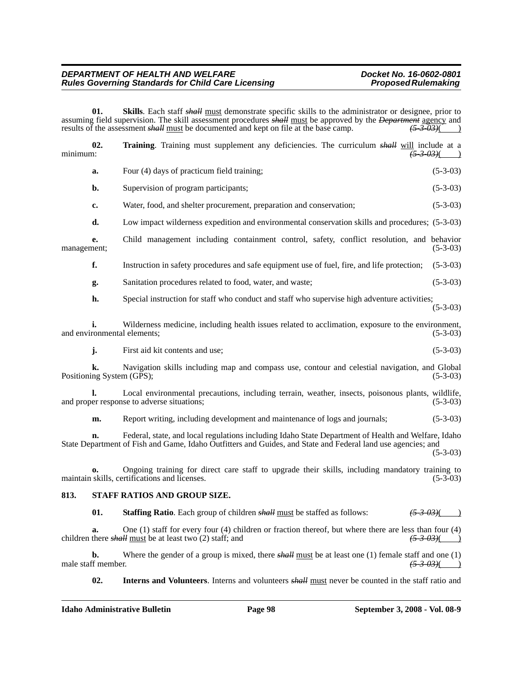#### *DEPARTMENT OF HEALTH AND WELFARE*<br>Rules Governing Standards for Child Care Licensing **Docket Mo. 2002-0801**<br>Proposed Rulemaking **Rules Governing Standards for Child Care Licensing**

**01. Skills**. Each staff *shall* must demonstrate specific skills to the administrator or designee, prior to assuming field supervision. The skill assessment procedures *shall* must be approved by the *Department* agency and results of the assessment *shall* must be documented and kept on file at the base camp.  $\frac{(5-3-0.3)(}{(5$ results of the assessment *shall* must be documented and kept on file at the base camp.

| minimum:                                                                                                                                                                                                                          | 02.                      | Training. Training must supplement any deficiencies. The curriculum <i>shall</i> will include at a                                                                               | <del>(5-3-03)</del> ( |
|-----------------------------------------------------------------------------------------------------------------------------------------------------------------------------------------------------------------------------------|--------------------------|----------------------------------------------------------------------------------------------------------------------------------------------------------------------------------|-----------------------|
|                                                                                                                                                                                                                                   | a.                       | Four (4) days of practicum field training;                                                                                                                                       | $(5-3-03)$            |
|                                                                                                                                                                                                                                   | b.                       | Supervision of program participants;                                                                                                                                             | $(5-3-03)$            |
|                                                                                                                                                                                                                                   | c.                       | Water, food, and shelter procurement, preparation and conservation;                                                                                                              | $(5-3-03)$            |
|                                                                                                                                                                                                                                   | d.                       | Low impact wilderness expedition and environmental conservation skills and procedures; (5-3-03)                                                                                  |                       |
| management;                                                                                                                                                                                                                       | e.                       | Child management including containment control, safety, conflict resolution, and behavior                                                                                        | $(5-3-03)$            |
|                                                                                                                                                                                                                                   | f.                       | Instruction in safety procedures and safe equipment use of fuel, fire, and life protection;                                                                                      | $(5-3-03)$            |
|                                                                                                                                                                                                                                   | g.                       | Sanitation procedures related to food, water, and waste;                                                                                                                         | $(5-3-03)$            |
|                                                                                                                                                                                                                                   | h.                       | Special instruction for staff who conduct and staff who supervise high adventure activities;                                                                                     | $(5-3-03)$            |
|                                                                                                                                                                                                                                   |                          | Wilderness medicine, including health issues related to acclimation, exposure to the environment,<br>and environmental elements;                                                 | $(5-3-03)$            |
|                                                                                                                                                                                                                                   | j.                       | First aid kit contents and use:                                                                                                                                                  | $(5-3-03)$            |
|                                                                                                                                                                                                                                   | k.                       | Navigation skills including map and compass use, contour and celestial navigation, and Global<br>Positioning System (GPS);                                                       | $(5-3-03)$            |
|                                                                                                                                                                                                                                   | l.                       | Local environmental precautions, including terrain, weather, insects, poisonous plants, wildlife,<br>and proper response to adverse situations;                                  | $(5-3-03)$            |
|                                                                                                                                                                                                                                   | m.                       | Report writing, including development and maintenance of logs and journals;                                                                                                      | $(5-3-03)$            |
| Federal, state, and local regulations including Idaho State Department of Health and Welfare, Idaho<br>State Department of Fish and Game, Idaho Outfitters and Guides, and State and Federal land use agencies; and<br>$(5-3-03)$ |                          |                                                                                                                                                                                  |                       |
|                                                                                                                                                                                                                                   |                          | Ongoing training for direct care staff to upgrade their skills, including mandatory training to<br>maintain skills, certifications and licenses.                                 | $(5-3-03)$            |
| 813.                                                                                                                                                                                                                              |                          | STAFF RATIOS AND GROUP SIZE.                                                                                                                                                     |                       |
|                                                                                                                                                                                                                                   | 01.                      | Staffing Ratio. Each group of children <i>shall</i> must be staffed as follows:                                                                                                  | $(5-3-03)$ (          |
|                                                                                                                                                                                                                                   | a.                       | One $(1)$ staff for every four $(4)$ children or fraction thereof, but where there are less than four $(4)$<br>children there <i>shall</i> must be at least two $(2)$ staff; and | $(5-3-03)$ (          |
|                                                                                                                                                                                                                                   | b.<br>male staff member. | Where the gender of a group is mixed, there $\frac{\text{shell}}{\text{must}}$ be at least one (1) female staff and one (1)                                                      | $(5 - 3 - 03)$        |

**02.** Interns and Volunteers. Interns and volunteers *shall* must never be counted in the staff ratio and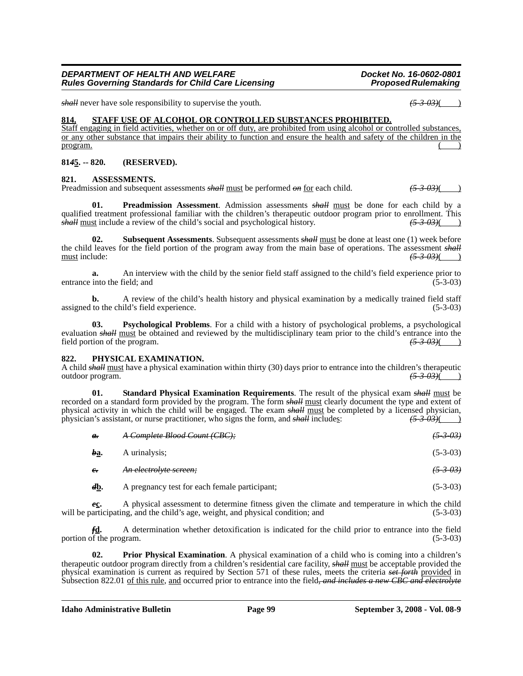*shall* never have sole responsibility to supervise the youth. *(5-3-03)*( )

#### **814. STAFF USE OF ALCOHOL OR CONTROLLED SUBSTANCES PROHIBITED.**

Staff engaging in field activities, whether on or off duty, are prohibited from using alcohol or controlled substances, or any other substance that impairs their ability to function and ensure the health and safety of the children in the program. ( )

#### **81***4***5. -- 820. (RESERVED).**

#### **821. ASSESSMENTS.**

Preadmission and subsequent assessments *shall* must be performed  $\omega n$  for each child.

**01. Preadmission Assessment**. Admission assessments *shall* must be done for each child by a qualified treatment professional familiar with the children's therapeutic outdoor program prior to enrollment. This *shall* must include a review of the child's social and psychological history. *(5-3-03)*( )

**02. Subsequent Assessments**. Subsequent assessments *shall* must be done at least one (1) week before the child leaves for the field portion of the program away from the main base of operations. The assessment *shall* must include: *(5-3-03)*( )

**a.** An interview with the child by the senior field staff assigned to the child's field experience prior to into the field: and (5-3-03) entrance into the field; and

**b.** A review of the child's health history and physical examination by a medically trained field staff assigned to the child's field experience. (5-3-03)

**03. Psychological Problems**. For a child with a history of psychological problems, a psychological evaluation *shall* must be obtained and reviewed by the multidisciplinary team prior to the child's entrance into the field portion of the program. field portion of the program.

#### **822. PHYSICAL EXAMINATION.**

A child *shall* must have a physical examination within thirty (30) days prior to entrance into the children's therapeutic outdoor program. *(5-3-03)*( )

**01. Standard Physical Examination Requirements**. The result of the physical exam *shall* must be recorded on a standard form provided by the program. The form *shall* must clearly document the type and extent of physical activity in which the child will be engaged. The exam *shall* must be completed by a licensed physician, physician's assistant, or nurse practitioner, who signs the form, and *shall* includes:  $\frac{(5.3.03)}{(2.3.03)}$ physician's assistant, or nurse practitioner, who signs the form, and *shall* includes: *(5-3-03)*( )

| а.                    | A Complete Blood Count (CBC);                 | $(5 - 3 - 03)$    |
|-----------------------|-----------------------------------------------|-------------------|
| ba.                   | A urinalysis:                                 | $(5-3-03)$        |
| $e_{\tau}$            | An electrolyte sereen;                        | <del>(5303)</del> |
| $d_{\underline{b}}$ . | A pregnancy test for each female participant; | $(5-3-03)$        |

*e***c.** A physical assessment to determine fitness given the climate and temperature in which the child will be participating, and the child's age, weight, and physical condition; and (5-3-03)

*f***d.** A determination whether detoxification is indicated for the child prior to entrance into the field portion of the program. (5-3-03)

**02. Prior Physical Examination**. A physical examination of a child who is coming into a children's therapeutic outdoor program directly from a children's residential care facility, *shall* must be acceptable provided the physical examination is current as required by Section 571 of these rules, meets the criteria *set forth* provided in Subsection 822.01 of this rule, and occurred prior to entrance into the field*, and includes a new CBC and electrolyte*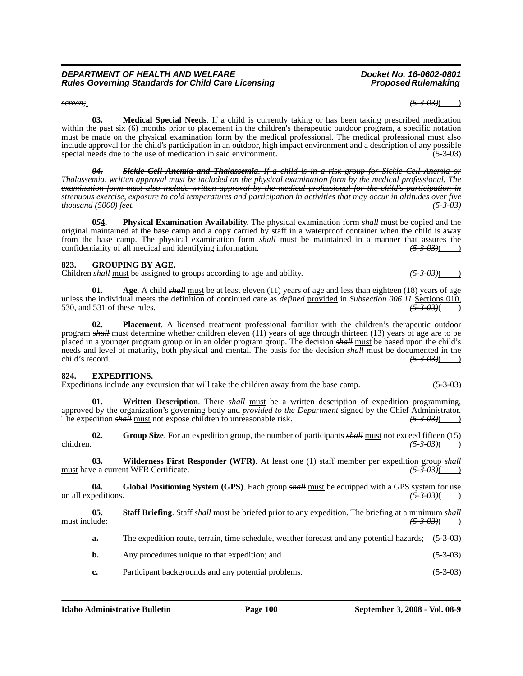#### **Idaho Administrative Bulletin Page 100 September 3, 2008 - Vol. 08-9**

 $(5-3-03)$ ( )

**a.** The expedition route, terrain, time schedule, weather forecast and any potential hazards; (5-3-03)

**04. Global Positioning System (GPS)**. Each group *shall* must be equipped with a GPS system for use

- **b.** Any procedures unique to that expedition; and (5-3-03)
- **c.** Participant backgrounds and any potential problems. (5-3-03)

**05.** Staff Briefing. Staff *shall* <u>must</u> be briefed prior to any expedition. The briefing at a minimum *shall*<br>(5.3.03)(1)

on all expeditions.  $\left(53-03\right)$ 

**03.** Wilderness First Responder (WFR). At least one (1) staff member per expedition group *shall* re a current WFR Certificate. (5.3.03)( must have a current WFR Certificate. *(5-3-03)*( )

children. *(5-3-03)*( )

The expedition *shall* must not expose children to unreasonable risk.  $(5-3-0.3)$ **02.** Group Size. For an expedition group, the number of participants *shall* must not exceed fifteen (15) children.

approved by the organization's governing body and *provided to the Department* signed by the Chief Administrator.

placed in a younger program group or in an older program group. The decision *shall* must be based upon the child's needs and level of maturity, both physical and mental. The basis for the decision *shall* <u>must</u> be documented in the child's record.  $(5-3-03)$ ( ) **824. EXPEDITIONS.** Expeditions include any excursion that will take the children away from the base camp. (5-3-03)

program *shall* must determine whether children eleven (11) years of age through thirteen (13) years of age are to be

unless the individual meets the definition of continued care as *defined* provided in *Subsection 006.11* Sections 010, 530, and 531 of these rules.

Children *shall* must be assigned to groups according to age and ability.  $(5-3-03)$ 

**01. Age**. A child *shall* must be at least eleven (11) years of age and less than eighteen (18) years of age

original maintained at the base camp and a copy carried by staff in a waterproof container when the child is away from the base camp. The physical examination form **shall** must be maintained in a manner that assures the confidentiality of all medical and identifying information.  $\left(5-3-03\right)$  (5)

**823. GROUPING BY AGE.**

*04. Sickle Cell Anemia and Thalassemia. If a child is in a risk group for Sickle Cell Anemia or Thalassemia, written approval must be included on the physical examination form by the medical professional. The examination form must also include written approval by the medical professional for the child's participation in strenuous exercise, exposure to cold temperatures and participation in activities that may occur in altitudes over five* 

**0***5***4. Physical Examination Availability**. The physical examination form *shall* must be copied and the

**02. Placement**. A licensed treatment professional familiar with the children's therapeutic outdoor

**01.** Written Description. There *shall* must be a written description of expedition programming,

**03. Medical Special Needs**. If a child is currently taking or has been taking prescribed medication within the past six (6) months prior to placement in the children's therapeutic outdoor program, a specific notation must be made on the physical examination form by the medical professional. The medical professional must also include approval for the child's participation in an outdoor, high impact environment and a description of any possible special needs due to the use of medication in said environment. (5-3-03)

*DEPARTMENT OF HEALTH AND WELFARE Docket No. 16-0602-0801* **Rules Governing Standards for Child Care Licensing** 

special needs due to the use of medication in said environment.

confidentiality of all medical and identifying information.

*thousand (5000) feet. (5-3-03)*

530, and 531 of these rules.

*screen;*. *(5-3-03)*( )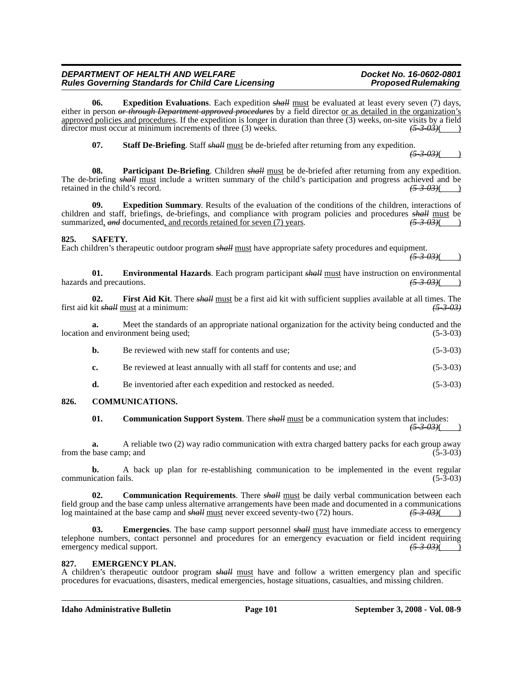#### *DEPARTMENT OF HEALTH AND WELFARE*<br>Rules Governing Standards for Child Care Licensing **Docket Mension Proposed Rulemaking Rules Governing Standards for Child Care Licensing**

**06. Expedition Evaluations**. Each expedition *shall* must be evaluated at least every seven (7) days, either in person *or through Department approved procedures* by a field director or as detailed in the organization's approved policies and procedures. If the expedition is longer in duration than three (3) weeks, on-site visits by a field director must occur at minimum increments of three (3) weeks. director must occur at minimum increments of three (3) weeks.

**07.** Staff De-Briefing. Staff *shall* must be de-briefed after returning from any expedition.

 $(5 - 3 - 0.3)$ 

**08. Participant De-Briefing**. Children *shall* must be de-briefed after returning from any expedition. The de-briefing *shall* must include a written summary of the child's participation and progress achieved and be retained in the child's record.  $\left(53.03\right)$ retained in the child's record.

**09. Expedition Summary**. Results of the evaluation of the conditions of the children, interactions of children and staff, briefings, de-briefings, and compliance with program policies and procedures *shall* must be summarized, and documented, and records retained for seven (7) years.  $(5-3-03)$ ( )

#### **825. SAFETY.**

Each children's therapeutic outdoor program *shall* must have appropriate safety procedures and equipment.

*(5-3-03)*( )

**01. Environmental Hazards**. Each program participant *shall* must have instruction on environmental and precautions.  $(5-3-03)($ hazards and precautions.

**02. First Aid Kit**. There *shall* must be a first aid kit with sufficient supplies available at all times. The first aid kit *shall* must at a minimum: *(5-3-03)*

**a.** Meet the standards of an appropriate national organization for the activity being conducted and the and environment being used; (5-3-03) location and environment being used;

| <b>b.</b>   | Be reviewed with new staff for contents and use:                       | $(5-3-03)$ |
|-------------|------------------------------------------------------------------------|------------|
| $c_{\cdot}$ | Be reviewed at least annually with all staff for contents and use; and | $(5-3-03)$ |

# **d.** Be inventoried after each expedition and restocked as needed. (5-3-03)

#### **826. COMMUNICATIONS.**

**01.** Communication Support System. There *shall* must be a communication system that includes: *(5-3-03)*( )

**a.** A reliable two (2) way radio communication with extra charged battery packs for each group away from the base camp; and (5-3-03)

**b.** A back up plan for re-establishing communication to be implemented in the event regular communication fails. (5-3-03)

**02. Communication Requirements**. There *shall* must be daily verbal communication between each field group and the base camp unless alternative arrangements have been made and documented in a communications log maintained at the base camp and *shall* must never exceed seventy-two (72) hours.  $\frac{(5-3-0.3)}{(5-3-0.3)}$ log maintained at the base camp and *shall* must never exceed seventy-two (72) hours.

**03.** Emergencies. The base camp support personnel *shall* must have immediate access to emergency telephone numbers, contact personnel and procedures for an emergency evacuation or field incident requiring emergency medical support.  $\left(5-3-0.3\right)$ 

#### **827. EMERGENCY PLAN.**

A children's therapeutic outdoor program *shall* must have and follow a written emergency plan and specific procedures for evacuations, disasters, medical emergencies, hostage situations, casualties, and missing children.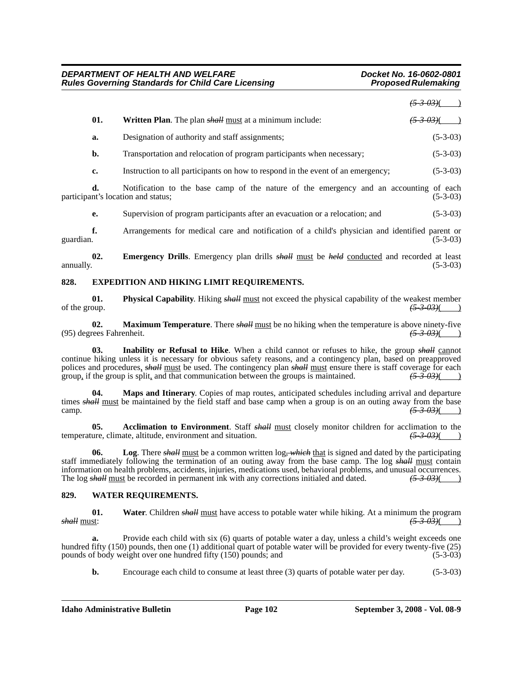*(5-3-03)*( )

| Written Plan. The plan <i>shall</i> must at a minimum include: | $\frac{(5-3-0.3)}{2}$ |
|----------------------------------------------------------------|-----------------------|
| Designation of authority and staff assignments;                | $(5-3-03)$            |

**b.** Transportation and relocation of program participants when necessary; (5-3-03)

**c.** Instruction to all participants on how to respond in the event of an emergency; (5-3-03)

**d.** Notification to the base camp of the nature of the emergency and an accounting of each participant's location and status; (5-3-03)

**e.** Supervision of program participants after an evacuation or a relocation; and (5-3-03)

**f.** Arrangements for medical care and notification of a child's physician and identified parent or guardian. (5-3-03) guardian.  $(5-3-03)$ 

**02.** Emergency Drills. Emergency plan drills *shall* must be *held* conducted and recorded at least annually. (5-3-03) annually.  $(5-3-03)$ 

#### **828. EXPEDITION AND HIKING LIMIT REQUIREMENTS.**

**01. Physical Capability**. Hiking *shall* <u>must</u> not exceed the physical capability of the weakest member  $\frac{(5-3-0.3)}{(5-3-0.3)}$ of the group. *(5-3-03)*( )

**02.** Maximum Temperature. There *shall* <u>must</u> be no hiking when the temperature is above ninety-five rees Fahrenheit.  $\frac{(5-3-0.3)}{(5-3-0.3)}$ (95) degrees Fahrenheit. *(5-3-03)*( )

**03. Inability or Refusal to Hike**. When a child cannot or refuses to hike, the group *shall* cannot continue hiking unless it is necessary for obvious safety reasons, and a contingency plan, based on preapproved polices and procedures, *shall* must be used. The contingency plan *shall* must ensure there is staff coverage for each group, if the group is split, and that communication between the groups is maintained.  $\left(5-3-03\right)\left(6-0.0005\right)$ 

**04. Maps and Itinerary**. Copies of map routes, anticipated schedules including arrival and departure times *shall* must be maintained by the field staff and base camp when a group is on an outing away from the base camp.  $\frac{(5-3-0.3)}{(5-3-0.3)}$ 

**05.** Acclimation to Environment. Staff *shall* <u>must</u> closely monitor children for acclimation to the ure, climate, altitude, environment and situation.  $\left(5-3-03\right)$  ( temperature, climate, altitude, environment and situation.

**06. Log**. There *shall* must be a common written log*, which* that is signed and dated by the participating staff immediately following the termination of an outing away from the base camp. The log *shall* must contain information on health problems, accidents, injuries, medications used, behavioral problems, and unusual occurrences. The log *shall* must be recorded in permanent ink with any corrections initialed and dated.  $\frac{(5-3-0.3)}{(1-0.5-0.3)}$ 

#### **829. WATER REQUIREMENTS.**

**01.** Water. Children *shall* <u>must</u> have access to potable water while hiking. At a minimum the program  $\frac{(5-3.03)}{(5-3.03)}$ *shall* must: *(5-3-03)*( )

Provide each child with six (6) quarts of potable water a day, unless a child's weight exceeds one hundred fifty (150) pounds, then one (1) additional quart of potable water will be provided for every twenty-five (25) pounds of body weight over one hundred fifty (150) pounds; and (5-3-03)

**b.** Encourage each child to consume at least three (3) quarts of potable water per day. (5-3-03)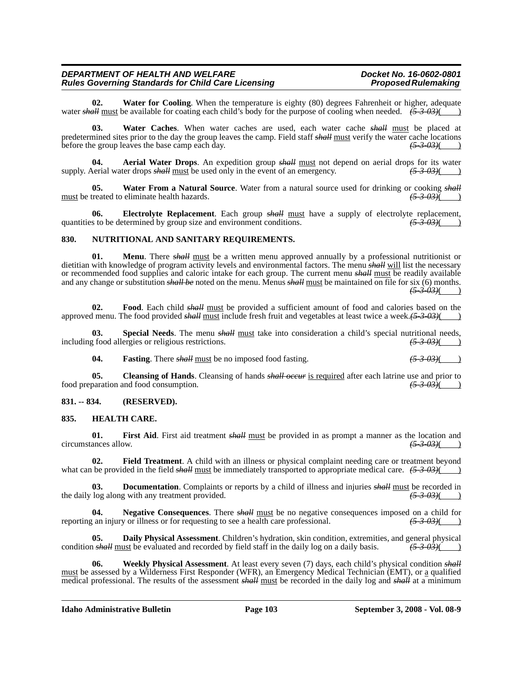#### *DEPARTMENT OF HEALTH AND WELFARE*<br>Rules Governing Standards for Child Care Licensing **Docket Mension Proposed Rulemaking Rules Governing Standards for Child Care Licensing**

**02. Water for Cooling**. When the temperature is eighty (80) degrees Fahrenheit or higher, adequate water *shall* must be available for coating each child's body for the purpose of cooling when needed.  $\overline{(5-3-03)}$ 

**03. Water Caches**. When water caches are used, each water cache *shall* must be placed at predetermined sites prior to the day the group leaves the camp. Field staff *shall* must verify the water cache locations before the group leaves the base camp each day.  $\frac{(5-3-0.3)()}{(5-3-0.3)()}$ before the group leaves the base camp each day.

**04. Aerial Water Drops**. An expedition group *shall* must not depend on aerial drops for its water supply. Aerial water drops *shall* must be used only in the event of an emergency.  $(5-3-0.3)$ 

**05.** Water From a Natural Source. Water from a natural source used for drinking or cooking *shall* treated to eliminate health hazards. must be treated to eliminate health hazards.

**06. Electrolyte Replacement**. Each group *shall* must have a supply of electrolyte replacement, quantities to be determined by group size and environment conditions.  $(5-3-03)$  (

#### **830. NUTRITIONAL AND SANITARY REQUIREMENTS.**

**01. Menu**. There *shall* must be a written menu approved annually by a professional nutritionist or dietitian with knowledge of program activity levels and environmental factors. The menu *shall* will list the necessary or recommended food supplies and caloric intake for each group. The current menu *shall* must be readily available and any change or substitution *shall be* noted on the menu. Menus *shall* must be maintained on file for six (6) months. *(5-3-03)*( )

**02. Food**. Each child *shall* must be provided a sufficient amount of food and calories based on the approved menu. The food provided *shall* must include fresh fruit and vegetables at least twice a week.(5-3-03)(

**03.** Special Needs. The menu *shall* must take into consideration a child's special nutritional needs,  $(53.03)(63.0)$ including food allergies or religious restrictions.

**04. Fasting**. There *shall* must be no imposed food fasting. *(5-3-03)*( )

**05.** Cleansing of Hands. Cleansing of hands *shall occur* is required after each latrine use and prior to paration and food consumption.  $\left(5-3-03\right)$  ( $\left(5-3-03\right)$ ) food preparation and food consumption.

#### **831. -- 834. (RESERVED).**

#### **835. HEALTH CARE.**

**01.** First Aid. First aid treatment *shall* <u>must</u> be provided in as prompt a manner as the location and ances allow.  $\frac{(5.3 \text{ }0.3)}{(5.3 \text{ }0.3)}$  $circumstances$  allow.

**02. Field Treatment**. A child with an illness or physical complaint needing care or treatment beyond what can be provided in the field *shall* must be immediately transported to appropriate medical care.  $(5-3-03)$ ( $\qquad$ )

**03. Documentation**. Complaints or reports by a child of illness and injuries *shall* must be recorded in the daily log along with any treatment provided.  $(5-3-0.3)$  ( $(5-3-0.3)$ )

**04.** Negative Consequences. There  $\frac{\text{shall must}}{\text{d}t}$  be no negative consequences imposed on a child for  $\tan$  injury or illness or for requesting to see a health care professional.  $\frac{(5.3.03)}{(2.3.03)}$ reporting an injury or illness or for requesting to see a health care professional.

**Daily Physical Assessment**. Children's hydration, skin condition, extremities, and general physical ust be evaluated and recorded by field staff in the daily log on a daily basis.  $\left(53.03\right)$ condition *shall* must be evaluated and recorded by field staff in the daily log on a daily basis.

**06. Weekly Physical Assessment**. At least every seven (7) days, each child's physical condition *shall* must be assessed by a Wilderness First Responder (WFR), an Emergency Medical Technician (EMT), or a qualified medical professional. The results of the assessment *shall* must be recorded in the daily log and *shall* at a minimum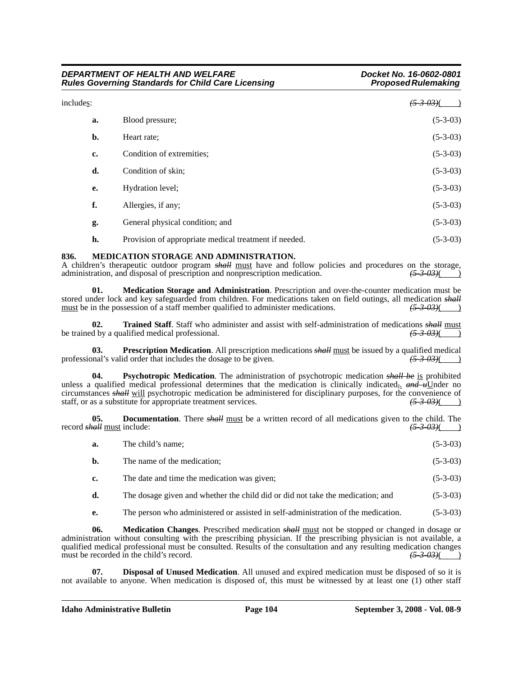| DEPARTMENT OF HEALTH AND WELFARE<br><b>Rules Governing Standards for Child Care Licensing</b><br>includes: |                                                       | Docket No. 16-0602-0801<br><b>Proposed Rulemaking</b> |
|------------------------------------------------------------------------------------------------------------|-------------------------------------------------------|-------------------------------------------------------|
|                                                                                                            |                                                       | <del>(5-3-03)</del> (                                 |
| a.                                                                                                         | Blood pressure;                                       | $(5-3-03)$                                            |
| b.                                                                                                         | Heart rate;                                           | $(5-3-03)$                                            |
| c.                                                                                                         | Condition of extremities;                             | $(5-3-03)$                                            |
| d.                                                                                                         | Condition of skin;                                    | $(5-3-03)$                                            |
| e.                                                                                                         | Hydration level;                                      | $(5-3-03)$                                            |
| f.                                                                                                         | Allergies, if any;                                    | $(5-3-03)$                                            |
| g.                                                                                                         | General physical condition; and                       | $(5-3-03)$                                            |
| h.                                                                                                         | Provision of appropriate medical treatment if needed. | $(5-3-03)$                                            |

#### **836. MEDICATION STORAGE AND ADMINISTRATION.**

A children's therapeutic outdoor program *shall* must have and follow policies and procedures on the storage, administration, and disposal of prescription and nonprescription medication.  $\frac{(5-3-0.3)}{(2.5-0.3)}$ administration, and disposal of prescription and nonprescription medication.

**01. Medication Storage and Administration**. Prescription and over-the-counter medication must be stored under lock and key safeguarded from children. For medications taken on field outings, all medication *shall*<br>must be in the possession of a staff member qualified to administer medications.  $\frac{(5-3-0.3)}{(5-3-0.3)}$ must be in the possession of a staff member qualified to administer medications.

**02. Trained Staff**. Staff who administer and assist with self-administration of medications *shall* must d by a qualified medical professional.  $\frac{(5-3-0.3)}{(5-3-0.3)}$ be trained by a qualified medical professional.

**03. Prescription Medication**. All prescription medications *shall* must be issued by a qualified medical mal's valid order that includes the dosage to be given. professional's valid order that includes the dosage to be given.

**04. Psychotropic Medication**. The administration of psychotropic medication *shall be* is prohibited unless a qualified medical professional determines that the medication is clinically indicated<sub>r</sub> and u<sub>U</sub>nder no circumstances *shall* will psychotropic medication be administered for disciplinary purposes, for the convenience of staff, or as a substitute for appropriate treatment services.  $\frac{(5-3-0.3)}{(5-3-0.3)}$ staff, or as a substitute for appropriate treatment services.

**05. Documentation**. There *shall* <u>must</u> be a written record of all medications given to the child. The *call* must include:  $\frac{(5-3-0.3)()}{(5-3-0.3)()}$ record **shall** must include:

| a. | The child's name;                                                              | $(5-3-03)$ |
|----|--------------------------------------------------------------------------------|------------|
| b. | The name of the medication;                                                    | $(5-3-03)$ |
| c. | The date and time the medication was given;                                    | $(5-3-03)$ |
| d. | The dosage given and whether the child did or did not take the medication; and | $(5-3-03)$ |

**e.** The person who administered or assisted in self-administration of the medication. (5-3-03)

**06. Medication Changes**. Prescribed medication *shall* must not be stopped or changed in dosage or administration without consulting with the prescribing physician. If the prescribing physician is not available, a qualified medical professional must be consulted. Results of the consultation and any resulting medication changes must be recorded in the child's record.  $\left(5-3-03\right)$  (5-3-03)

**07. Disposal of Unused Medication**. All unused and expired medication must be disposed of so it is not available to anyone. When medication is disposed of, this must be witnessed by at least one (1) other staff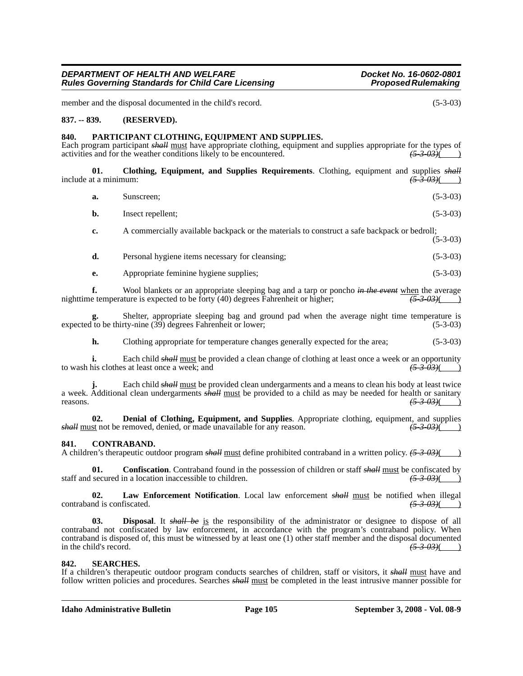member and the disposal documented in the child's record. (5-3-03)

#### **837. -- 839. (RESERVED).**

#### **840. PARTICIPANT CLOTHING, EQUIPMENT AND SUPPLIES.**

Each program participant *shall* must have appropriate clothing, equipment and supplies appropriate for the types of activities and for the weather conditions likely to be encountered.  $\frac{(5-3-0.3)(})}{(5-3-0.3)(})$ activities and for the weather conditions likely to be encountered.

**01. Clothing, Equipment, and Supplies Requirements**. Clothing, equipment and supplies *shall* include at a minimum:  $\left(5-3-03\right)$ 

| a. | Sunscreen;        | $(5-3-03)$ |
|----|-------------------|------------|
| b. | Insect repellent; | $(5-3-03)$ |

**c.** A commercially available backpack or the materials to construct a safe backpack or bedroll; (5-3-03)

| d. | Personal hygiene items necessary for cleansing; | $(5-3-03)$ |
|----|-------------------------------------------------|------------|
|    |                                                 |            |

**e.** Appropriate feminine hygiene supplies; (5-3-03)

**f.** Wool blankets or an appropriate sleeping bag and a tarp or poncho *in the event* when the average nighttime temperature is expected to be forty (40) degrees Fahrenheit or higher;  $\left(5-3-03\right)$ 

**g.** Shelter, appropriate sleeping bag and ground pad when the average night time temperature is expected to be thirty-nine (39) degrees Fahrenheit or lower; (5-3-03)

**h.** Clothing appropriate for temperature changes generally expected for the area; (5-3-03)

**i.** Each child *shall* must be provided a clean change of clothing at least once a week or an opportunity to wash his clothes at least once a week; and  $(5-3-0.3)$  ( $(5-3-0.3)$ )

**j.** Each child *shall* must be provided clean undergarments and a means to clean his body at least twice a week. Additional clean undergarments *shall* must be provided to a child as may be needed for health or sanitary reasons. *(5-3-03)*( )

**02. Denial of Clothing, Equipment, and Supplies**. Appropriate clothing, equipment, and supplies st not be removed, denied, or made unavailable for any reason.  $\frac{(5-3-0.3)}{(5-3-0.3)}$ *shall* must not be removed, denied, or made unavailable for any reason.

#### **841. CONTRABAND.**

A children's therapeutic outdoor program *shall* must define prohibited contraband in a written policy. *(5-3-03)*( )

**01.** Confiscation. Contraband found in the possession of children or staff *shall* must be confiscated by secured in a location inaccessible to children.  $\frac{(5-3-0.3)()}{(5-3-0.3)()}$ staff and secured in a location inaccessible to children.

**02. Law Enforcement Notification**. Local law enforcement *shall* must be notified when illegal contraband is confiscated. *(5-3-03)*( )

Disposal. It *shall be* is the responsibility of the administrator or designee to dispose of all contraband not confiscated by law enforcement, in accordance with the program's contraband policy. When contraband is disposed of, this must be witnessed by at least one (1) other staff member and the disposal documented<br>in the child's record.  $\left(53.03\right)$ in the child's record.  $(5-3-03)$  ( $(5-3-03)$ )

#### **842. SEARCHES.**

If a children's therapeutic outdoor program conducts searches of children, staff or visitors, it *shall* must have and follow written policies and procedures. Searches *shall* must be completed in the least intrusive manner possible for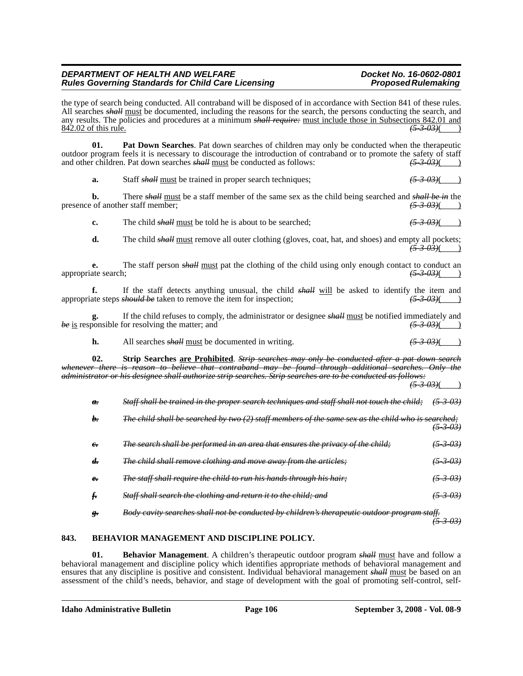the type of search being conducted. All contraband will be disposed of in accordance with Section 841 of these rules. All searches *shall* must be documented, including the reasons for the search, the persons conducting the search, and any results. The policies and procedures at a minimum *shall require:* <u>must include those in Subsections 842.01 and</u> 842.02 of this rule. 842.02 of this rule. *(5-3-03)*( )

**01. Pat Down Searches**. Pat down searches of children may only be conducted when the therapeutic outdoor program feels it is necessary to discourage the introduction of contraband or to promote the safety of staff and other children. Pat down searches *shall* must be conducted as follows: and other children. Pat down searches *shall* must be conducted as follows:

**a.** Staff *shall* must be trained in proper search techniques; *(5-3-03)*( )

**b.** There *shall* must be a staff member of the same sex as the child being searched and *shall be in* the of another staff member.  $\frac{(5-3-0.3)}{(5-3-0.3)}$ presence of another staff member;

**c.** The child *shall* must be told he is about to be searched;  $(5-3-03)$ 

**d.** The child *shall* must remove all outer clothing (gloves, coat, hat, and shoes) and empty all pockets; *(5-3-03)*( )

**e.** The staff person *shall* <u>must</u> pat the clothing of the child using only enough contact to conduct an ate search;  $\frac{(5-3-0.3)}{(2-3-0.3)}$ appropriate search; *(5-3-03)*( )

**f.** If the staff detects anything unusual, the child *shall* will be asked to identify the item and appropriate steps *should be* taken to remove the item for inspection; *(5-3-03)*( )

**g.** If the child refuses to comply, the administrator or designee  $\frac{\text{shell}}{\text{must}}$  be notified immediately and  $\frac{(5-3-0.3)}{(5-3-0.3)}$ *be* is responsible for resolving the matter; and

**h.** All searches *shall* must be documented in writing.  $(5-3-0.3)$  (5-3-03)

**02. Strip Searches are Prohibited**. *Strip searches may only be conducted after a pat down search whenever there is reason to believe that contraband may be found through additional searches. Only the administrator or his designee shall authorize strip searches. Strip searches are to be conducted as follows:*

 $(5 - 3 - 0.3)$ 

| а.         | Staff shall be trained in the proper search techniques and staff shall not touch the child;        | <del>(5-3-03)</del> |
|------------|----------------------------------------------------------------------------------------------------|---------------------|
| h.         | The child shall be searched by two (2) staff members of the same sex as the child who is searched; | $(5 - 3 - 03)$      |
| $\epsilon$ | The search shall be performed in an area that ensures the privacy of the child;                    | <del>(5-3-03)</del> |
| d.         | The child shall remove clothing and move away from the articles;                                   | <del>(5-3-03)</del> |
| $e_{\tau}$ | <i>The staff shall require the child to run his hands through his hair;</i>                        | <del>(5-3-03)</del> |
|            | Staff shall search the clothing and return it to the child; and                                    | <del>(5-3-03)</del> |
|            | Body cavity searches shall not be conducted by children's therapeutic outdoor program staff.       |                     |

#### **843. BEHAVIOR MANAGEMENT AND DISCIPLINE POLICY.**

**01. Behavior Management**. A children's therapeutic outdoor program *shall* must have and follow a behavioral management and discipline policy which identifies appropriate methods of behavioral management and ensures that any discipline is positive and consistent. Individual behavioral management *shall* must be based on an assessment of the child's needs, behavior, and stage of development with the goal of promoting self-control, self-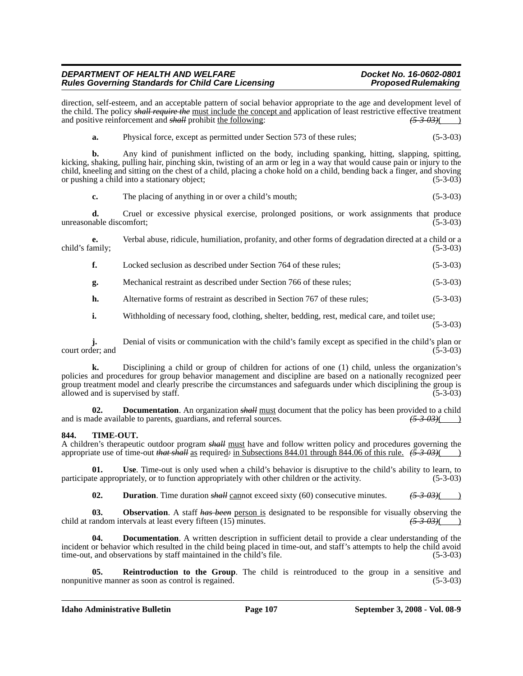direction, self-esteem, and an acceptable pattern of social behavior appropriate to the age and development level of the child. The policy *shall require the* must include the concept and application of least restrictive effective treatment and positive reinforcement and *shall* prohibit the following:  $(5-3-03)$ (

**a.** Physical force, except as permitted under Section 573 of these rules; (5-3-03)

**b.** Any kind of punishment inflicted on the body, including spanking, hitting, slapping, spitting, kicking, shaking, pulling hair, pinching skin, twisting of an arm or leg in a way that would cause pain or injury to the child, kneeling and sitting on the chest of a child, placing a choke hold on a child, bending back a finger, and shoving or pushing a child into a stationary object; (5-3-03)

**c.** The placing of anything in or over a child's mouth; (5-3-03)

**d.** Cruel or excessive physical exercise, prolonged positions, or work assignments that produce unreasonable discomfort; (5-3-03)

**e.** Verbal abuse, ridicule, humiliation, profanity, and other forms of degradation directed at a child or a child's family; (5-3-03) (5-3-03)

**f.** Locked seclusion as described under Section 764 of these rules; (5-3-03)

**g.** Mechanical restraint as described under Section 766 of these rules; (5-3-03)

**h.** Alternative forms of restraint as described in Section 767 of these rules; (5-3-03)

**i.** Withholding of necessary food, clothing, shelter, bedding, rest, medical care, and toilet use;

(5-3-03)

**j.** Denial of visits or communication with the child's family except as specified in the child's plan or court order; and (5-3-03)

**k.** Disciplining a child or group of children for actions of one (1) child, unless the organization's policies and procedures for group behavior management and discipline are based on a nationally recognized peer group treatment model and clearly prescribe the circumstances and safeguards under which disciplining the group is allowed and is supervised by staff. (5-3-03) allowed and is supervised by staff.

**02. Documentation**. An organization *shall* <u>must</u> document that the policy has been provided to a child ade available to parents, guardians, and referral sources.  $\frac{(5.3.03)}{(2.3.03)}$ and is made available to parents, guardians, and referral sources.

#### **844. TIME-OUT.**

A children's therapeutic outdoor program *shall* must have and follow written policy and procedures governing the appropriate use of time-out *that shall* as required*:* in Subsections 844.01 through 844.06 of this rule. *(5-3-03)*( )

**01. Use**. Time-out is only used when a child's behavior is disruptive to the child's ability to learn, to participate appropriately, or to function appropriately with other children or the activity. (5-3-03)

**02. Duration**. Time duration *shall* cannot exceed sixty (60) consecutive minutes. *(5-3-03)*( )

**03. Observation**. A staff *has been* person is designated to be responsible for visually observing the candom intervals at least every fifteen (15) minutes.  $\left(53.03\right)$ child at random intervals at least every fifteen (15) minutes.

**Documentation**. A written description in sufficient detail to provide a clear understanding of the incident or behavior which resulted in the child being placed in time-out, and staff's attempts to help the child avoid time-out, and observations by staff maintained in the child's file. (5-3-03)

**Reintroduction to the Group**. The child is reintroduced to the group in a sensitive and nonpunitive manner as soon as control is regained. (5-3-03)